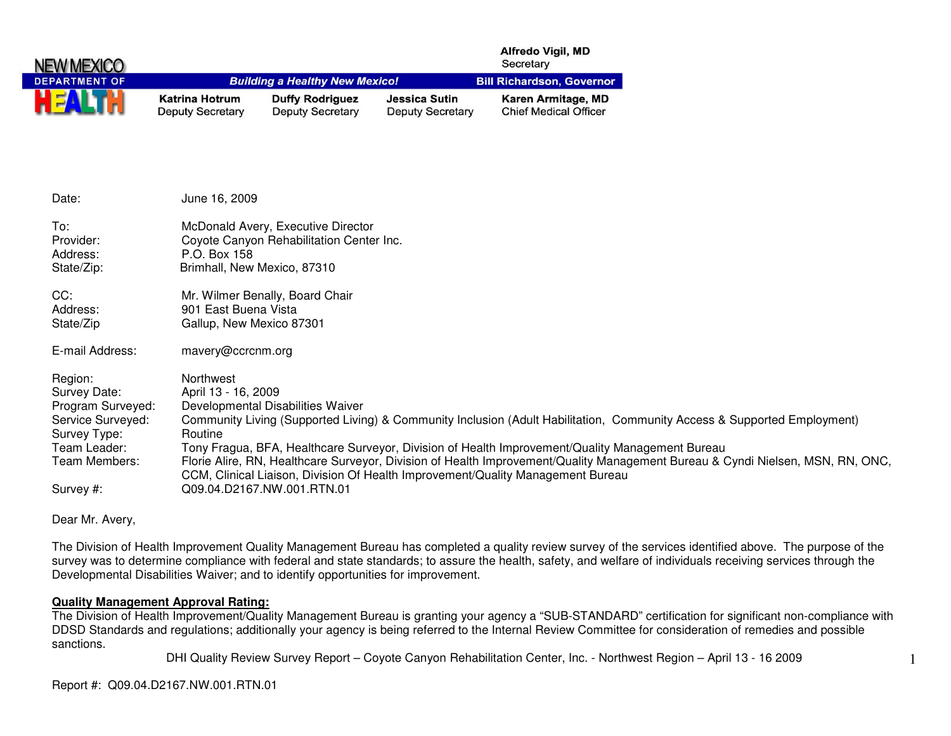| <b>NEW MEXICO</b>    |                                                  |                                                   |                                          | <b>Alfredo Vigil, MD</b><br>Secretary              |
|----------------------|--------------------------------------------------|---------------------------------------------------|------------------------------------------|----------------------------------------------------|
| <b>DEPARTMENT OF</b> |                                                  | <b>Building a Healthy New Mexico!</b>             |                                          | <b>Bill Richardson, Governor</b>                   |
| ш                    | <b>Katrina Hotrum</b><br><b>Deputy Secretary</b> | <b>Duffy Rodriguez</b><br><b>Deputy Secretary</b> | Jessica Sutin<br><b>Deputy Secretary</b> | Karen Armitage, MD<br><b>Chief Medical Officer</b> |
| Date:                | June 16, 2009                                    |                                                   |                                          |                                                    |

To: McDonald Avery, Executive Director Provider: Coyote Canyon Rehabilitation Center Inc.Address: P.O. Box 158 State/Zip: **Brimhall, New Mexico, 87310** CC: Mr. Wilmer Benally, Board Chair Address: 901 East Buena Vista State/Zip Gallup, New Mexico 87301 E-mail Address: mavery@ccrcnm.org Region: Northwest Survey Date: April 13 - 16, 2009 Program Surveyed: Developmental Disabilities Waiver Service Surveyed: Community Living (Supported Living) & Community Inclusion (Adult Habilitation, Community Access & Supported Employment) Survey Type: Routine Team Leader: Tony Fragua, BFA, Healthcare Surveyor, Division of Health Improvement/Quality Management Bureau Team Members: Florie Alire, RN, Healthcare Surveyor, Division of Health Improvement/Quality Management Bureau & Cyndi Nielsen, MSN, RN, ONC, CCM, Clinical Liaison, Division Of Health Improvement/Quality Management Bureau Survey #: Q09.04.D2167.NW.001.RTN.01

Dear Mr. Avery,

The Division of Health Improvement Quality Management Bureau has completed a quality review survey of the services identified above. The purpose of the survey was to determine compliance with federal and state standards; to assure the health, safety, and welfare of individuals receiving services through the Developmental Disabilities Waiver; and to identify opportunities for improvement.

### **Quality Management Approval Rating:**

 The Division of Health Improvement/Quality Management Bureau is granting your agency a "SUB-STANDARD" certification for significant non-compliance with DDSD Standards and regulations; additionally your agency is being referred to the Internal Review Committee for consideration of remedies and possible sanctions.

DHI Quality Review Survey Report – Coyote Canyon Rehabilitation Center, Inc. - Northwest Region – April 13 - 16 2009

Report #: Q09.04.D2167.NW.001.RTN.01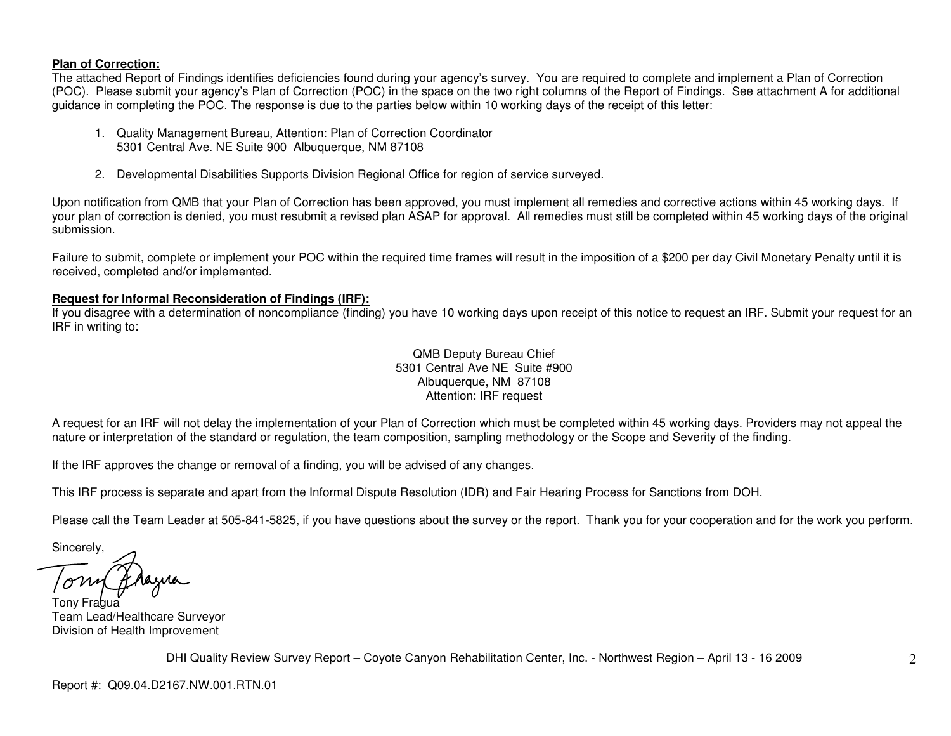### **Plan of Correction:**

 The attached Report of Findings identifies deficiencies found during your agency's survey. You are required to complete and implement a Plan of Correction (POC). Please submit your agency's Plan of Correction (POC) in the space on the two right columns of the Report of Findings. See attachment A for additional guidance in completing the POC. The response is due to the parties below within 10 working days of the receipt of this letter:

- 1. Quality Management Bureau, Attention: Plan of Correction Coordinator 5301 Central Ave. NE Suite 900 Albuquerque, NM 87108
- 2. Developmental Disabilities Supports Division Regional Office for region of service surveyed.

Upon notification from QMB that your Plan of Correction has been approved, you must implement all remedies and corrective actions within 45 working days. If your plan of correction is denied, you must resubmit a revised plan ASAP for approval. All remedies must still be completed within 45 working days of the original submission.

Failure to submit, complete or implement your POC within the required time frames will result in the imposition of a \$200 per day Civil Monetary Penalty until it is received, completed and/or implemented.

### **Request for Informal Reconsideration of Findings (IRF):**

 If you disagree with a determination of noncompliance (finding) you have 10 working days upon receipt of this notice to request an IRF. Submit your request for an IRF in writing to:

> QMB Deputy Bureau Chief 5301 Central Ave NE Suite #900 Albuquerque, NM 87108 Attention: IRF request

A request for an IRF will not delay the implementation of your Plan of Correction which must be completed within 45 working days. Providers may not appeal the nature or interpretation of the standard or regulation, the team composition, sampling methodology or the Scope and Severity of the finding.

If the IRF approves the change or removal of a finding, you will be advised of any changes.

This IRF process is separate and apart from the Informal Dispute Resolution (IDR) and Fair Hearing Process for Sanctions from DOH.

Please call the Team Leader at 505-841-5825, if you have questions about the survey or the report. Thank you for your cooperation and for the work you perform.

Sincerely,

oni razna

Tony Fragua Team Lead/Healthcare Surveyor Division of Health Improvement

DHI Quality Review Survey Report – Coyote Canyon Rehabilitation Center, Inc. - Northwest Region – April 13 - 16 2009

Report #: Q09.04.D2167.NW.001.RTN.01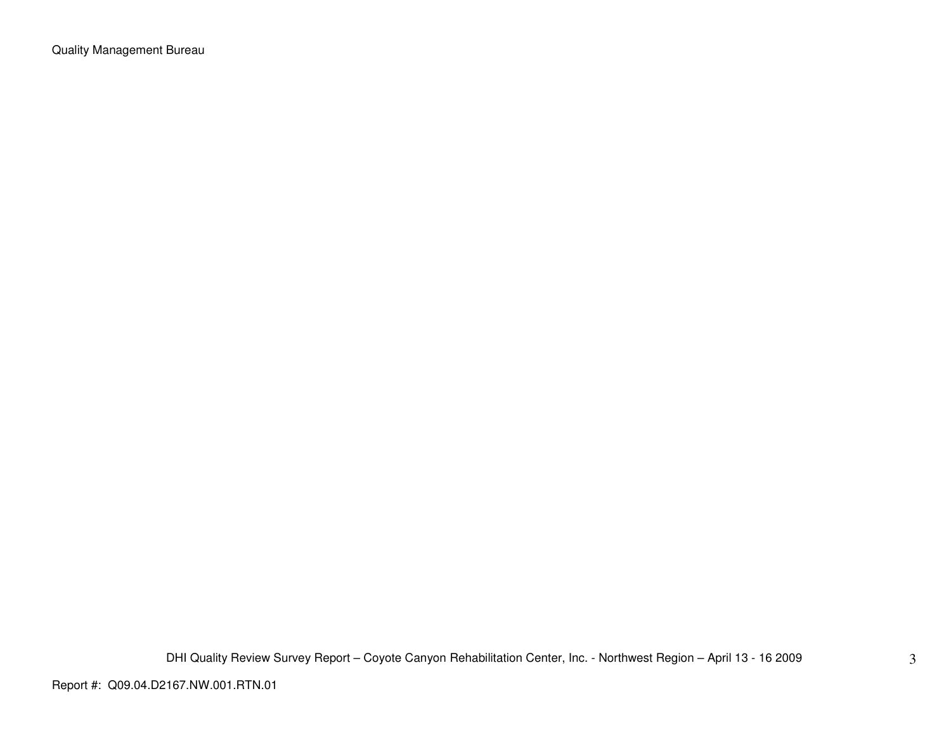Quality Management Bureau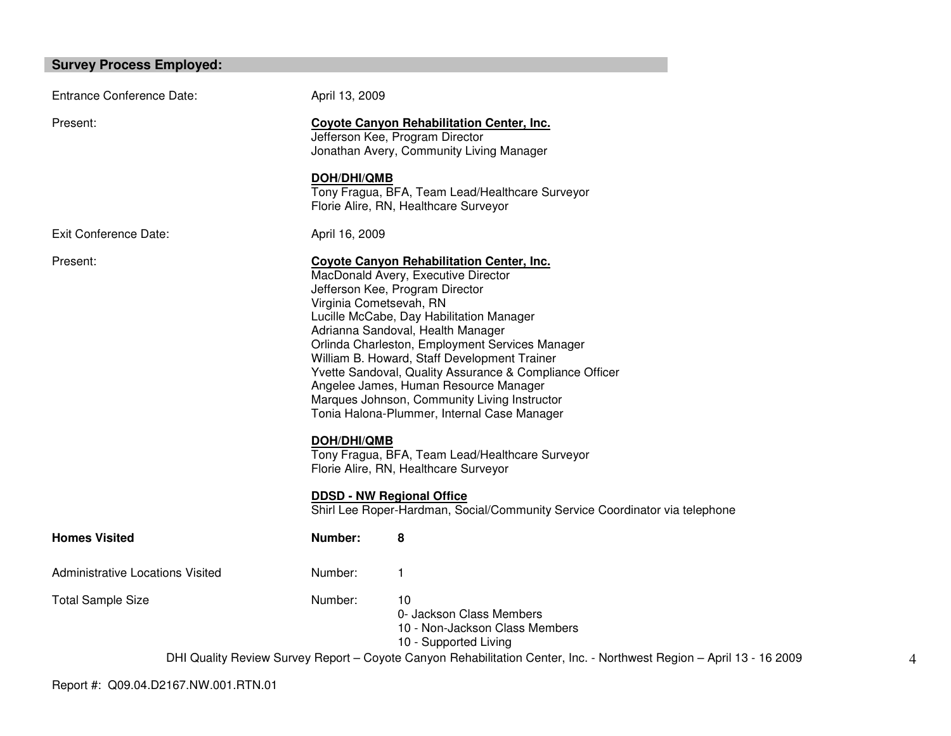| <b>Survey Process Employed:</b> |  |  |
|---------------------------------|--|--|
|---------------------------------|--|--|

| <b>Entrance Conference Date:</b>        | April 13, 2009                                                                                                                                                                                                                                                                                                                                                                                                                                                                                                                                                                                                                                                                                                                                                             |                                                                                           |  |
|-----------------------------------------|----------------------------------------------------------------------------------------------------------------------------------------------------------------------------------------------------------------------------------------------------------------------------------------------------------------------------------------------------------------------------------------------------------------------------------------------------------------------------------------------------------------------------------------------------------------------------------------------------------------------------------------------------------------------------------------------------------------------------------------------------------------------------|-------------------------------------------------------------------------------------------|--|
| Present:                                | <b>Coyote Canyon Rehabilitation Center, Inc.</b><br>Jefferson Kee, Program Director<br>Jonathan Avery, Community Living Manager                                                                                                                                                                                                                                                                                                                                                                                                                                                                                                                                                                                                                                            |                                                                                           |  |
|                                         | DOH/DHI/QMB                                                                                                                                                                                                                                                                                                                                                                                                                                                                                                                                                                                                                                                                                                                                                                | Tony Fragua, BFA, Team Lead/Healthcare Surveyor<br>Florie Alire, RN, Healthcare Surveyor  |  |
| Exit Conference Date:                   | April 16, 2009                                                                                                                                                                                                                                                                                                                                                                                                                                                                                                                                                                                                                                                                                                                                                             |                                                                                           |  |
| Present:                                | <b>Coyote Canyon Rehabilitation Center, Inc.</b><br>MacDonald Avery, Executive Director<br>Jefferson Kee, Program Director<br>Virginia Cometsevah, RN<br>Lucille McCabe, Day Habilitation Manager<br>Adrianna Sandoval, Health Manager<br>Orlinda Charleston, Employment Services Manager<br>William B. Howard, Staff Development Trainer<br>Yvette Sandoval, Quality Assurance & Compliance Officer<br>Angelee James, Human Resource Manager<br>Marques Johnson, Community Living Instructor<br>Tonia Halona-Plummer, Internal Case Manager<br>DOH/DHI/QMB<br>Tony Fragua, BFA, Team Lead/Healthcare Surveyor<br>Florie Alire, RN, Healthcare Surveyor<br><b>DDSD - NW Regional Office</b><br>Shirl Lee Roper-Hardman, Social/Community Service Coordinator via telephone |                                                                                           |  |
| <b>Homes Visited</b>                    | Number:                                                                                                                                                                                                                                                                                                                                                                                                                                                                                                                                                                                                                                                                                                                                                                    | 8                                                                                         |  |
| <b>Administrative Locations Visited</b> | Number:                                                                                                                                                                                                                                                                                                                                                                                                                                                                                                                                                                                                                                                                                                                                                                    | 1                                                                                         |  |
| <b>Total Sample Size</b>                | Number:                                                                                                                                                                                                                                                                                                                                                                                                                                                                                                                                                                                                                                                                                                                                                                    | 10<br>0- Jackson Class Members<br>10 - Non-Jackson Class Members<br>10 - Supported Living |  |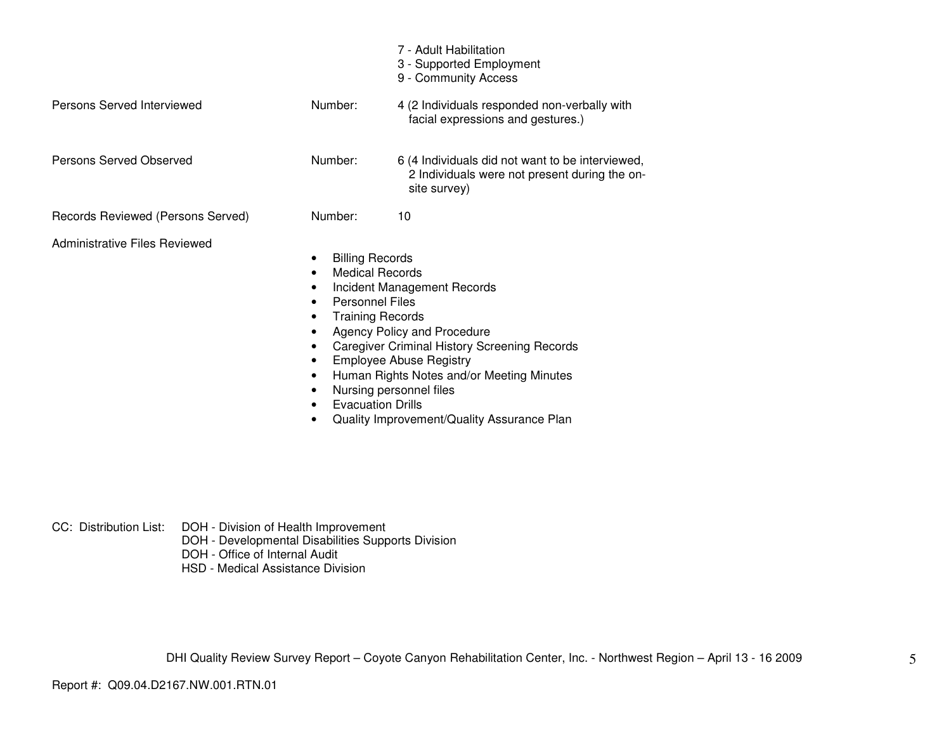|                                   |                                                                                                                                                                                                         | 7 - Adult Habilitation<br>3 - Supported Employment<br>9 - Community Access                                                                                                                                                                                         |
|-----------------------------------|---------------------------------------------------------------------------------------------------------------------------------------------------------------------------------------------------------|--------------------------------------------------------------------------------------------------------------------------------------------------------------------------------------------------------------------------------------------------------------------|
| Persons Served Interviewed        | Number:                                                                                                                                                                                                 | 4 (2 Individuals responded non-verbally with<br>facial expressions and gestures.)                                                                                                                                                                                  |
| Persons Served Observed           | Number:                                                                                                                                                                                                 | 6 (4 Individuals did not want to be interviewed,<br>2 Individuals were not present during the on-<br>site survey)                                                                                                                                                  |
| Records Reviewed (Persons Served) | Number:                                                                                                                                                                                                 | 10                                                                                                                                                                                                                                                                 |
| Administrative Files Reviewed     | <b>Billing Records</b><br><b>Medical Records</b><br>$\bullet$<br>$\bullet$<br><b>Personnel Files</b><br>$\bullet$<br><b>Training Records</b><br>٠<br>$\bullet$<br>$\bullet$<br><b>Evacuation Drills</b> | Incident Management Records<br>Agency Policy and Procedure<br>Caregiver Criminal History Screening Records<br><b>Employee Abuse Registry</b><br>Human Rights Notes and/or Meeting Minutes<br>Nursing personnel files<br>Quality Improvement/Quality Assurance Plan |

CC: Distribution List: DOH - Division of Health Improvement

- DOH Developmental Disabilities Supports Division
	- DOH Office of Internal Audit
- HSD Medical Assistance Division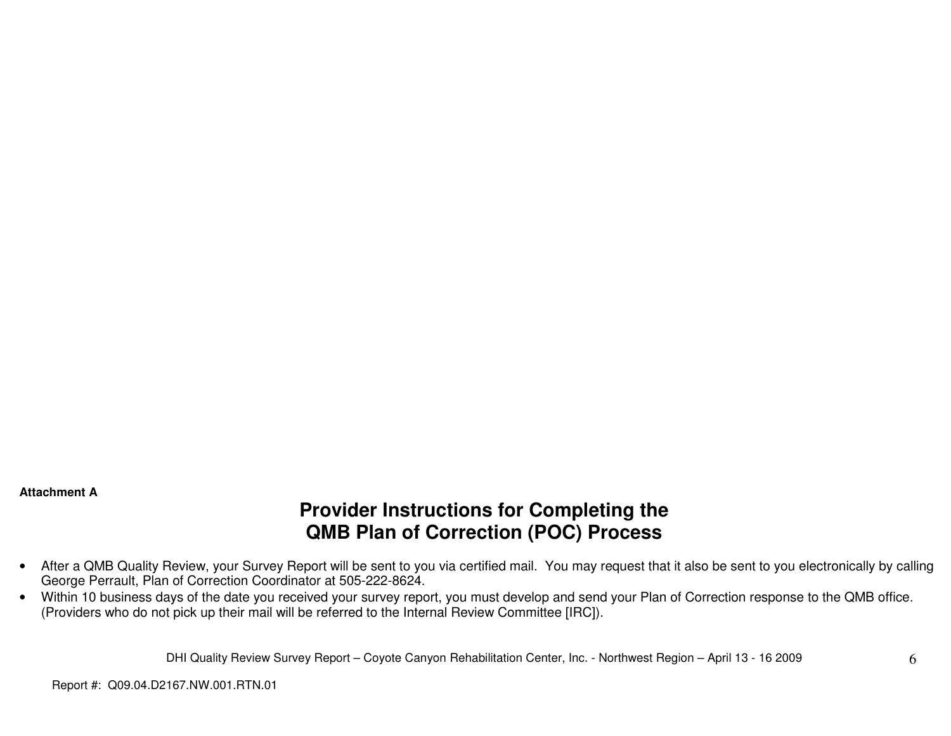**Attachment A** 

# **Provider Instructions for Completing the QMB Plan of Correction (POC) Process**

- After a QMB Quality Review, your Survey Report will be sent to you via certified mail. You may request that it also be sent to you electronically by calling George Perrault, Plan of Correction Coordinator at 505-222-8624.
- Within 10 business days of the date you received your survey report, you must develop and send your Plan of Correction response to the QMB office.<br>(Providers who do not pick up their mail will be referred to the Internal

DHI Quality Review Survey Report – Coyote Canyon Rehabilitation Center, Inc. - Northwest Region – April 13 - 16 2009

Report #: Q09.04.D2167.NW.001.RTN.01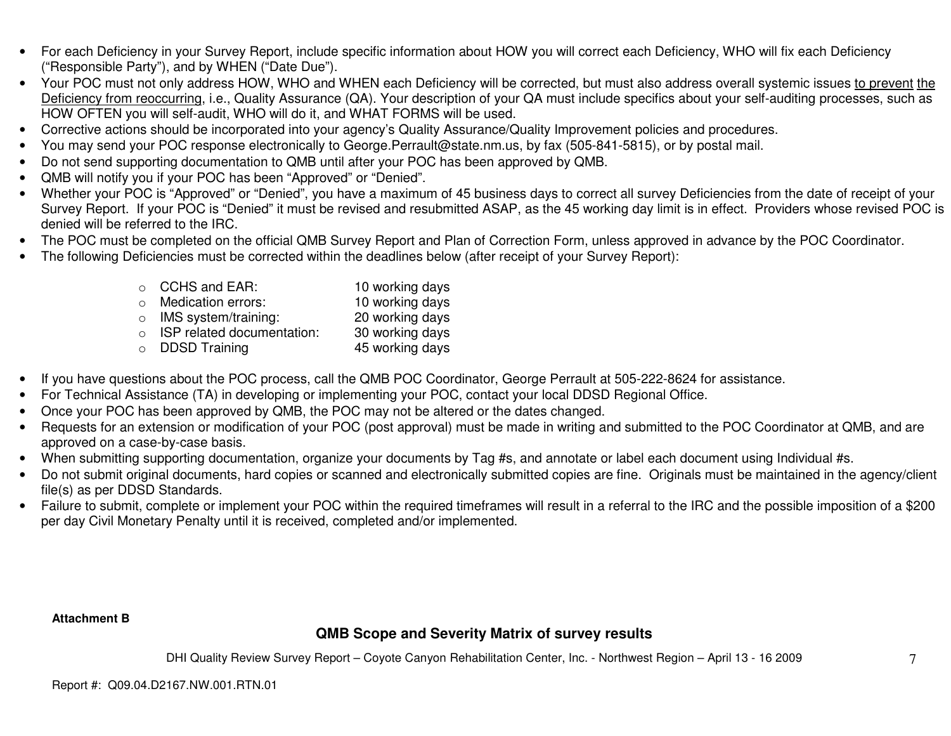- For each Deficiency in your Survey Report, include specific information about HOW you will correct each Deficiency, WHO will fix each Deficiency ("Responsible Party"), and by WHEN ("Date Due").
- Your POC must not only address HOW, WHO and WHEN each Deficiency will be corrected, but must also address overall systemic issues to prevent the Deficiency from reoccurring, i.e., Quality Assurance (QA). Your description of your QA must include specifics about your self-auditing processes, such as HOW OFTEN you will self-audit, WHO will do it, and WHAT FORMS will be used.
- Corrective actions should be incorporated into your agency's Quality Assurance/Quality Improvement policies and procedures.
- You may send your POC response electronically to George.Perrault@state.nm.us, by fax (505-841-5815), or by postal mail.
- Do not send supporting documentation to QMB until after your POC has been approved by QMB.
- QMB will notify you if your POC has been "Approved" or "Denied".
- Whether your POC is "Approved" or "Denied", you have a maximum of 45 business days to correct all survey Deficiencies from the date of receipt of your Survey Report. If your POC is "Denied" it must be revised and resubmitted ASAP, as the 45 working day limit is in effect. Providers whose revised POC is denied will be referred to the IRC.
- The POC must be completed on the official QMB Survey Report and Plan of Correction Form, unless approved in advance by the POC Coordinator.
- The following Deficiencies must be corrected within the deadlines below (after receipt of your Survey Report):

| $\circ$ CCHS and EAR:              | 10 working days |
|------------------------------------|-----------------|
| $\circ$ Medication errors:         | 10 working days |
| $\circ$ IMS system/training:       | 20 working days |
| $\circ$ ISP related documentation: | 30 working days |
| $\circ$ DDSD Training              | 45 working days |
|                                    |                 |

- If you have questions about the POC process, call the QMB POC Coordinator, George Perrault at 505-222-8624 for assistance.
- For Technical Assistance (TA) in developing or implementing your POC, contact your local DDSD Regional Office.
- Once your POC has been approved by QMB, the POC may not be altered or the dates changed.
- Requests for an extension or modification of your POC (post approval) must be made in writing and submitted to the POC Coordinator at QMB, and are approved on a case-by-case basis.
- When submitting supporting documentation, organize your documents by Tag #s, and annotate or label each document using Individual #s.
- Do not submit original documents, hard copies or scanned and electronically submitted copies are fine. Originals must be maintained in the agency/client file(s) as per DDSD Standards.
- Failure to submit, complete or implement your POC within the required timeframes will result in a referral to the IRC and the possible imposition of a \$200 per day Civil Monetary Penalty until it is received, completed and/or implemented.

### **Attachment B**

## **QMB Scope and Severity Matrix of survey results**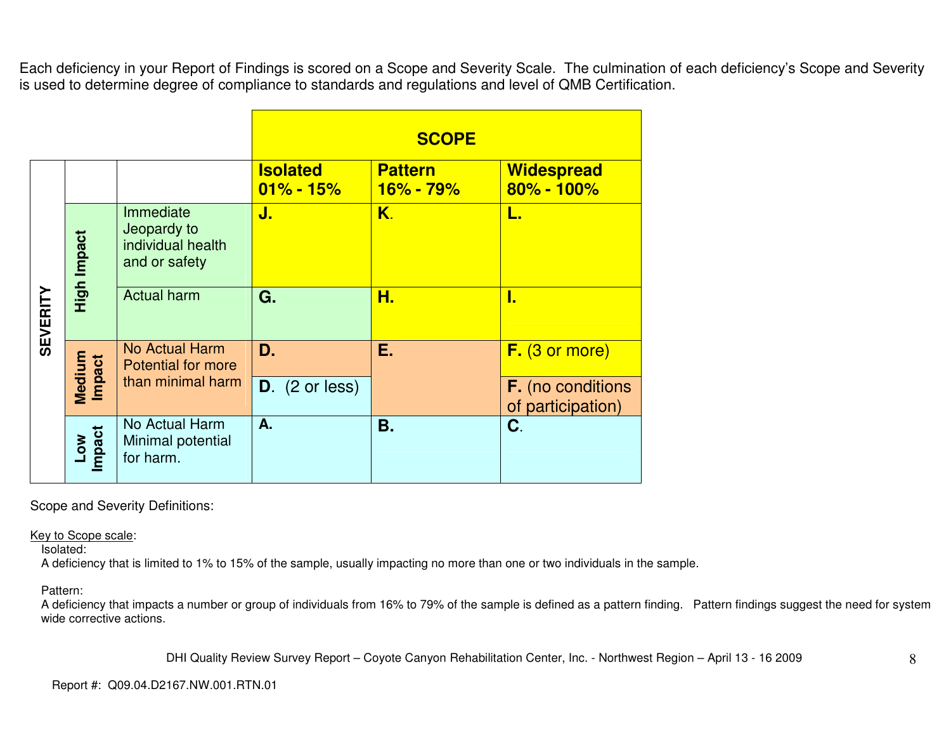Each deficiency in your Report of Findings is scored on a Scope and Severity Scale. The culmination of each deficiency's Scope and Severity is used to determine degree of compliance to standards and regulations and level of QMB Certification.

|                 |                      |                                                                |                                  | <b>SCOPE</b>                    |                                               |
|-----------------|----------------------|----------------------------------------------------------------|----------------------------------|---------------------------------|-----------------------------------------------|
|                 |                      |                                                                | <b>Isolated</b><br>$01\% - 15\%$ | <b>Pattern</b><br>$16\% - 79\%$ | <b>Widespread</b><br>$80\% - 100\%$           |
|                 | High Impact          | Immediate<br>Jeopardy to<br>individual health<br>and or safety | J.                               | K.                              | L.                                            |
| <b>SEVERITY</b> |                      | <b>Actual harm</b>                                             | G.                               | Н.                              | ъ.                                            |
|                 |                      | No Actual Harm<br><b>Potential for more</b>                    | D.                               | Е.                              | $F.$ (3 or more)                              |
|                 | Medium<br>Impact     | than minimal harm                                              | $D.$ (2 or less)                 |                                 | <b>F.</b> (no conditions<br>of participation) |
|                 | <b>Impact</b><br>Low | No Actual Harm<br>Minimal potential<br>for harm.               | A.                               | <b>B.</b>                       | $\mathbf{C}$                                  |

Scope and Severity Definitions:

Key to Scope scale:

Isolated:

A deficiency that is limited to 1% to 15% of the sample, usually impacting no more than one or two individuals in the sample.

Pattern:

 A deficiency that impacts a number or group of individuals from 16% to 79% of the sample is defined as a pattern finding. Pattern findings suggest the need for system wide corrective actions.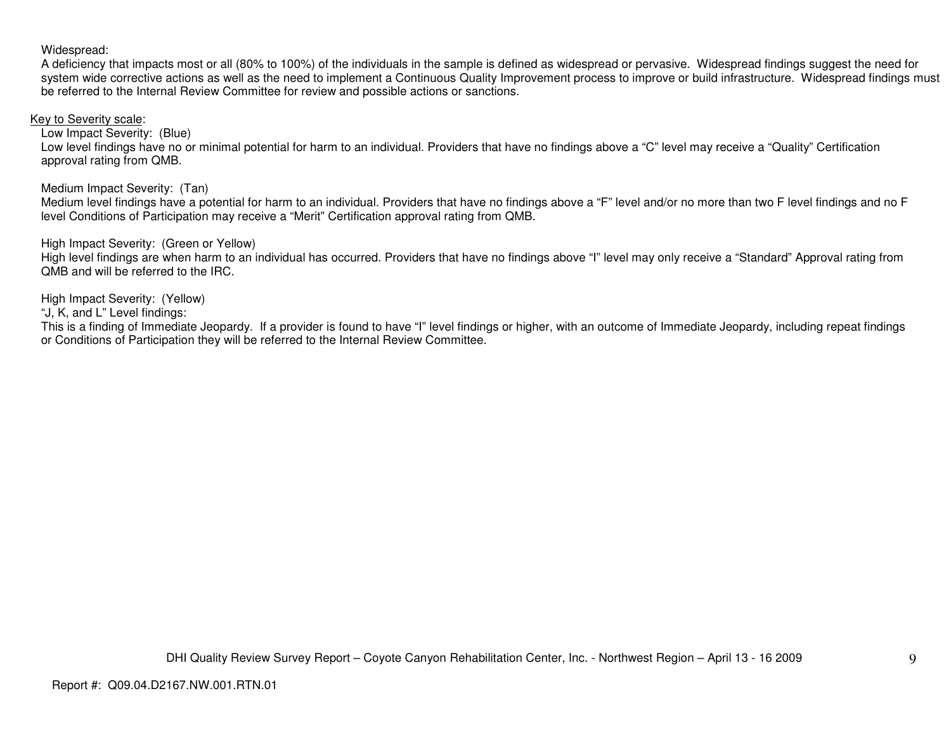### Widespread:

 A deficiency that impacts most or all (80% to 100%) of the individuals in the sample is defined as widespread or pervasive. Widespread findings suggest the need for system wide corrective actions as well as the need to implement a Continuous Quality Improvement process to improve or build infrastructure. Widespread findings must be referred to the Internal Review Committee for review and possible actions or sanctions.

### Key to Severity scale:

Low Impact Severity: (Blue)

 Low level findings have no or minimal potential for harm to an individual. Providers that have no findings above a "C" level may receive a "Quality" Certification approval rating from QMB.

Medium Impact Severity: (Tan)

Medium level findings have a potential for harm to an individual. Providers that have no findings above a "F" level and/or no more than two F level findings and no F level Conditions of Participation may receive a "Merit" Certification approval rating from QMB.

High Impact Severity: (Green or Yellow)

 High level findings are when harm to an individual has occurred. Providers that have no findings above "I" level may only receive a "Standard" Approval rating from QMB and will be referred to the IRC.

High Impact Severity: (Yellow)

"J, K, and L" Level findings:

 This is a finding of Immediate Jeopardy. If a provider is found to have "I" level findings or higher, with an outcome of Immediate Jeopardy, including repeat findings or Conditions of Participation they will be referred to the Internal Review Committee.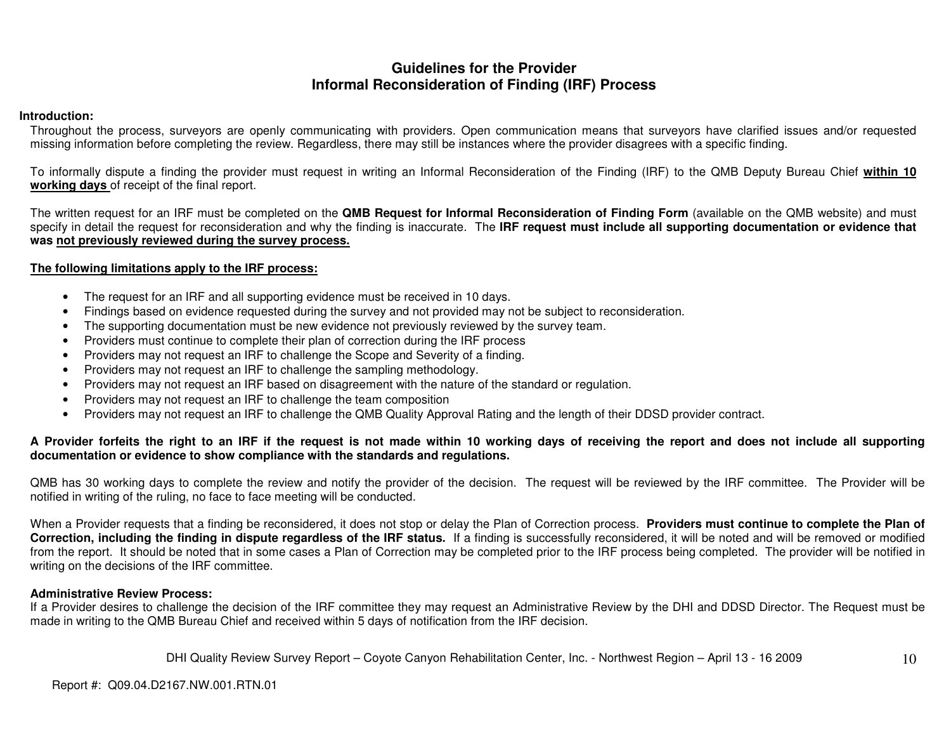### **Guidelines for the Provider Informal Reconsideration of Finding (IRF) Process**

#### **Introduction:**

 Throughout the process, surveyors are openly communicating with providers. Open communication means that surveyors have clarified issues and/or requestedmissing information before completing the review. Regardless, there may still be instances where the provider disagrees with a specific finding.

To informally dispute a finding the provider must request in writing an Informal Reconsideration of the Finding (IRF) to the QMB Deputy Bureau Chief **within 10 working days** of receipt of the final report.

The written request for an IRF must be completed on the **QMB Request for Informal Reconsideration of Finding Form** (available on the QMB website) and must specify in detail the request for reconsideration and why the finding is inaccurate. The **IRF request must include all supporting documentation or evidence that was not previously reviewed during the survey process.** 

### **The following limitations apply to the IRF process:**

- The request for an IRF and all supporting evidence must be received in 10 days.
- Findings based on evidence requested during the survey and not provided may not be subject to reconsideration.
- The supporting documentation must be new evidence not previously reviewed by the survey team.
- Providers must continue to complete their plan of correction during the IRF process
- Providers may not request an IRF to challenge the Scope and Severity of a finding.
- Providers may not request an IRF to challenge the sampling methodology.
- Providers may not request an IRF based on disagreement with the nature of the standard or regulation.
- Providers may not request an IRF to challenge the team composition
- Providers may not request an IRF to challenge the QMB Quality Approval Rating and the length of their DDSD provider contract.

### **A Provider forfeits the right to an IRF if the request is not made within 10 working days of receiving the report and does not include all supporting documentation or evidence to show compliance with the standards and regulations.**

QMB has 30 working days to complete the review and notify the provider of the decision. The request will be reviewed by the IRF committee. The Provider will be notified in writing of the ruling, no face to face meeting will be conducted.

When a Provider requests that a finding be reconsidered, it does not stop or delay the Plan of Correction process. **Providers must continue to complete the Plan of Correction, including the finding in dispute regardless of the IRF status.** If a finding is successfully reconsidered, it will be noted and will be removed or modified from the report. It should be noted that in some cases a Plan of Correction may be completed prior to the IRF process being completed. The provider will be notified in writing on the decisions of the IRF committee.

### **Administrative Review Process:**

 If a Provider desires to challenge the decision of the IRF committee they may request an Administrative Review by the DHI and DDSD Director. The Request must be made in writing to the QMB Bureau Chief and received within 5 days of notification from the IRF decision.

DHI Quality Review Survey Report – Coyote Canyon Rehabilitation Center, Inc. - Northwest Region – April 13 - 16 2009

Report #: Q09.04.D2167.NW.001.RTN.01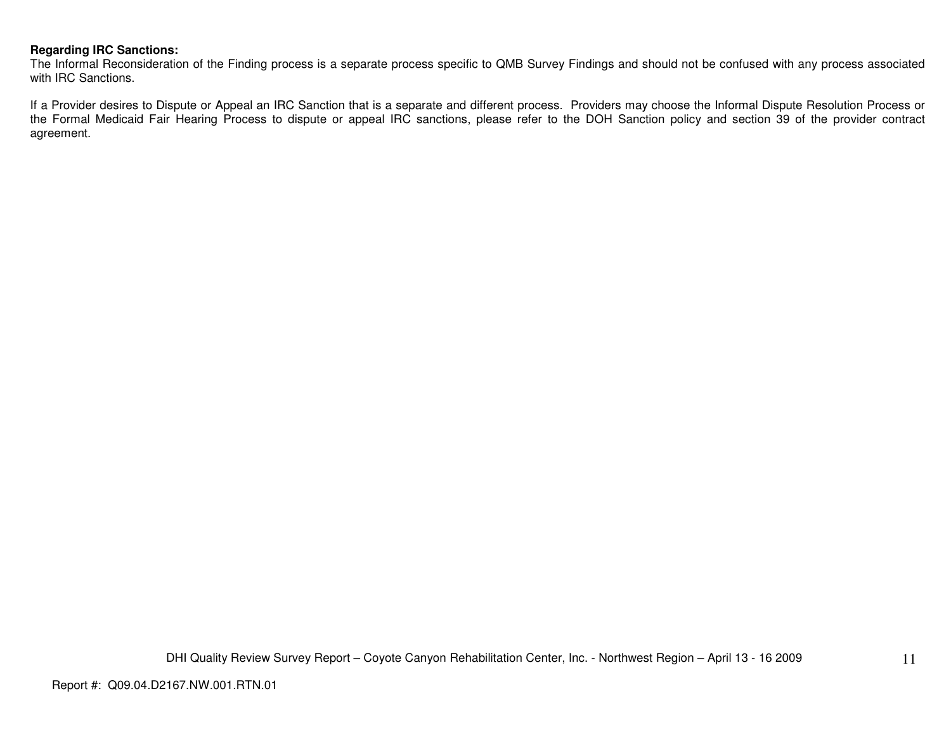### **Regarding IRC Sanctions:**

 The Informal Reconsideration of the Finding process is a separate process specific to QMB Survey Findings and should not be confused with any process associated with IRC Sanctions.

If a Provider desires to Dispute or Appeal an IRC Sanction that is a separate and different process. Providers may choose the Informal Dispute Resolution Process or the Formal Medicaid Fair Hearing Process to dispute or appeal IRC sanctions, please refer to the DOH Sanction policy and section 39 of the provider contract agreement.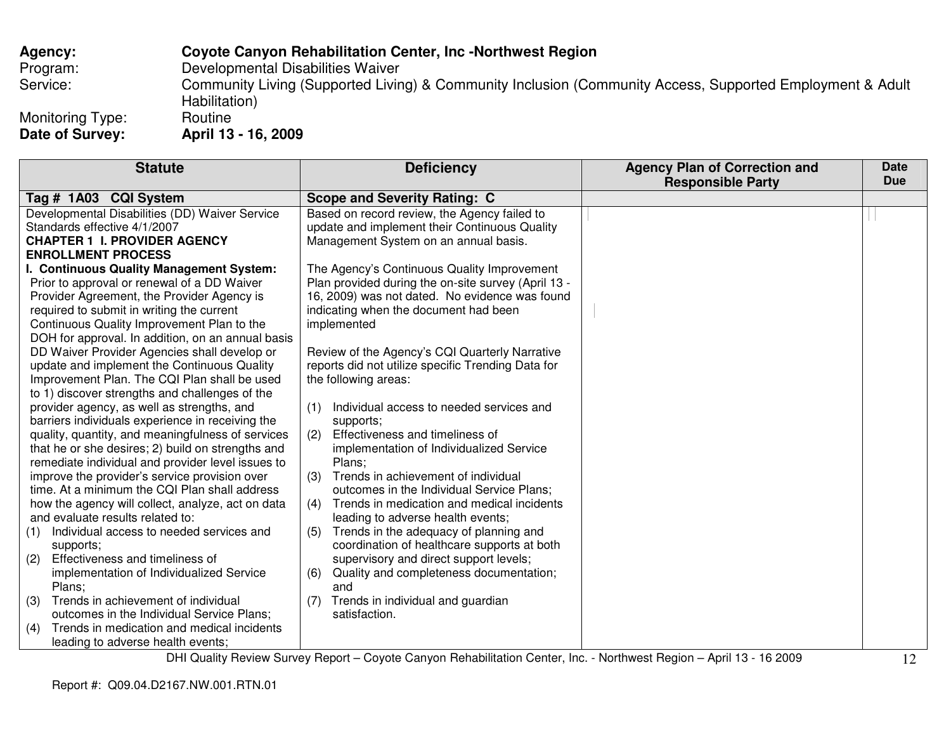# **Agency: Coyote Canyon Rehabilitation Center, Inc -Northwest Region**

Program: Developmental Disabilities Waiver

Service: Community Living (Supported Living) & Community Inclusion (Community Access, Supported Employment & Adult Habilitation)<br>Routine

Monitoring Type:<br>Date of Survey: **Date of Survey: April 13 - 16, 2009** 

| <b>Statute</b>                                                                                                                                                                                                                                                                                                                                                                                                                                                                                                                                                                                                                                                                                                                                                                                                                                                                                                                                                                                                                                                                                                                                                                                                | <b>Deficiency</b>                                                                                                                                                                                                                                                                                                                                                                                                                                                                                                                                                                                                                                                                                                                                                                                                                                                                                                                                                 | <b>Agency Plan of Correction and</b><br><b>Responsible Party</b> | <b>Date</b><br><b>Due</b> |
|---------------------------------------------------------------------------------------------------------------------------------------------------------------------------------------------------------------------------------------------------------------------------------------------------------------------------------------------------------------------------------------------------------------------------------------------------------------------------------------------------------------------------------------------------------------------------------------------------------------------------------------------------------------------------------------------------------------------------------------------------------------------------------------------------------------------------------------------------------------------------------------------------------------------------------------------------------------------------------------------------------------------------------------------------------------------------------------------------------------------------------------------------------------------------------------------------------------|-------------------------------------------------------------------------------------------------------------------------------------------------------------------------------------------------------------------------------------------------------------------------------------------------------------------------------------------------------------------------------------------------------------------------------------------------------------------------------------------------------------------------------------------------------------------------------------------------------------------------------------------------------------------------------------------------------------------------------------------------------------------------------------------------------------------------------------------------------------------------------------------------------------------------------------------------------------------|------------------------------------------------------------------|---------------------------|
| Tag # 1A03 CQI System                                                                                                                                                                                                                                                                                                                                                                                                                                                                                                                                                                                                                                                                                                                                                                                                                                                                                                                                                                                                                                                                                                                                                                                         | <b>Scope and Severity Rating: C</b>                                                                                                                                                                                                                                                                                                                                                                                                                                                                                                                                                                                                                                                                                                                                                                                                                                                                                                                               |                                                                  |                           |
| Developmental Disabilities (DD) Waiver Service<br>Standards effective 4/1/2007<br><b>CHAPTER 1 I. PROVIDER AGENCY</b><br><b>ENROLLMENT PROCESS</b>                                                                                                                                                                                                                                                                                                                                                                                                                                                                                                                                                                                                                                                                                                                                                                                                                                                                                                                                                                                                                                                            | Based on record review, the Agency failed to<br>update and implement their Continuous Quality<br>Management System on an annual basis.                                                                                                                                                                                                                                                                                                                                                                                                                                                                                                                                                                                                                                                                                                                                                                                                                            |                                                                  |                           |
| I. Continuous Quality Management System:<br>Prior to approval or renewal of a DD Waiver<br>Provider Agreement, the Provider Agency is<br>required to submit in writing the current<br>Continuous Quality Improvement Plan to the<br>DOH for approval. In addition, on an annual basis<br>DD Waiver Provider Agencies shall develop or<br>update and implement the Continuous Quality<br>Improvement Plan. The CQI Plan shall be used<br>to 1) discover strengths and challenges of the<br>provider agency, as well as strengths, and<br>barriers individuals experience in receiving the<br>quality, quantity, and meaningfulness of services<br>that he or she desires; 2) build on strengths and<br>remediate individual and provider level issues to<br>improve the provider's service provision over<br>time. At a minimum the CQI Plan shall address<br>how the agency will collect, analyze, act on data<br>and evaluate results related to:<br>Individual access to needed services and<br>(1)<br>supports;<br>Effectiveness and timeliness of<br>(2)<br>implementation of Individualized Service<br>Plans;<br>Trends in achievement of individual<br>(3)<br>outcomes in the Individual Service Plans; | The Agency's Continuous Quality Improvement<br>Plan provided during the on-site survey (April 13 -<br>16, 2009) was not dated. No evidence was found<br>indicating when the document had been<br>implemented<br>Review of the Agency's CQI Quarterly Narrative<br>reports did not utilize specific Trending Data for<br>the following areas:<br>Individual access to needed services and<br>(1)<br>supports;<br>Effectiveness and timeliness of<br>(2)<br>implementation of Individualized Service<br>Plans;<br>Trends in achievement of individual<br>(3)<br>outcomes in the Individual Service Plans;<br>Trends in medication and medical incidents<br>(4)<br>leading to adverse health events;<br>Trends in the adequacy of planning and<br>(5)<br>coordination of healthcare supports at both<br>supervisory and direct support levels;<br>Quality and completeness documentation;<br>(6)<br>and<br>Trends in individual and guardian<br>(7)<br>satisfaction. |                                                                  |                           |
| Trends in medication and medical incidents<br>(4)<br>leading to adverse health events;                                                                                                                                                                                                                                                                                                                                                                                                                                                                                                                                                                                                                                                                                                                                                                                                                                                                                                                                                                                                                                                                                                                        |                                                                                                                                                                                                                                                                                                                                                                                                                                                                                                                                                                                                                                                                                                                                                                                                                                                                                                                                                                   |                                                                  |                           |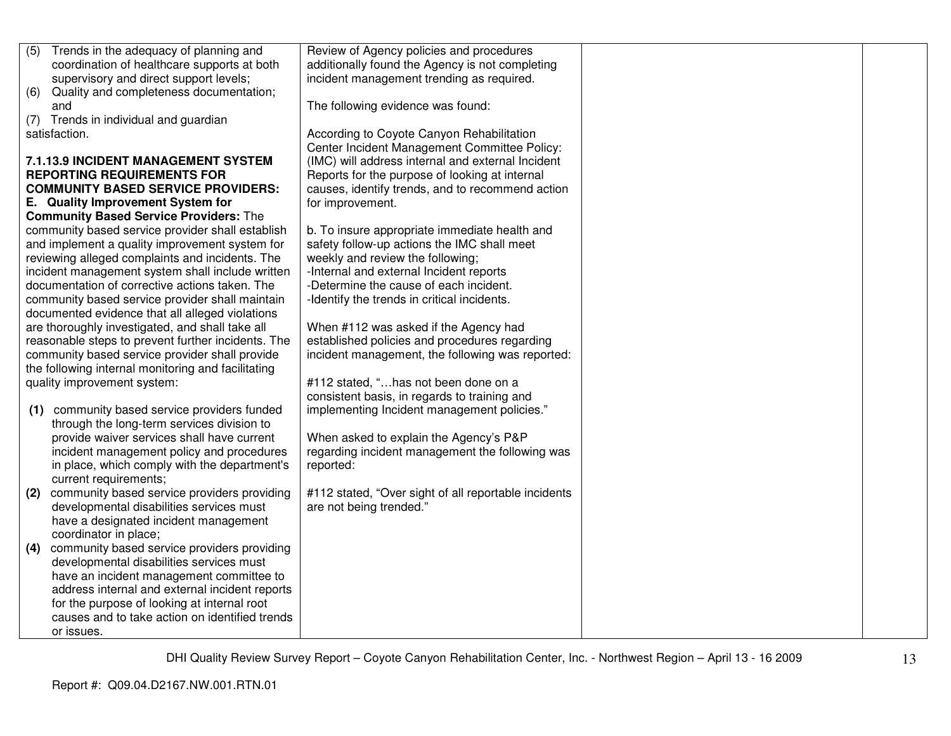| (5) | Trends in the adequacy of planning and             | Review of Agency policies and procedures             |  |
|-----|----------------------------------------------------|------------------------------------------------------|--|
|     | coordination of healthcare supports at both        | additionally found the Agency is not completing      |  |
|     | supervisory and direct support levels;             | incident management trending as required.            |  |
| (6) | Quality and completeness documentation;            |                                                      |  |
|     | and                                                | The following evidence was found:                    |  |
| (7) | Trends in individual and guardian                  |                                                      |  |
|     | satisfaction.                                      | According to Coyote Canyon Rehabilitation            |  |
|     |                                                    | Center Incident Management Committee Policy:         |  |
|     | 7.1.13.9 INCIDENT MANAGEMENT SYSTEM                | (IMC) will address internal and external Incident    |  |
|     | <b>REPORTING REQUIREMENTS FOR</b>                  | Reports for the purpose of looking at internal       |  |
|     | <b>COMMUNITY BASED SERVICE PROVIDERS:</b>          | causes, identify trends, and to recommend action     |  |
|     | E. Quality Improvement System for                  | for improvement.                                     |  |
|     | <b>Community Based Service Providers: The</b>      |                                                      |  |
|     | community based service provider shall establish   | b. To insure appropriate immediate health and        |  |
|     | and implement a quality improvement system for     | safety follow-up actions the IMC shall meet          |  |
|     | reviewing alleged complaints and incidents. The    | weekly and review the following;                     |  |
|     | incident management system shall include written   | -Internal and external Incident reports              |  |
|     | documentation of corrective actions taken. The     | -Determine the cause of each incident.               |  |
|     | community based service provider shall maintain    | -Identify the trends in critical incidents.          |  |
|     | documented evidence that all alleged violations    |                                                      |  |
|     | are thoroughly investigated, and shall take all    | When #112 was asked if the Agency had                |  |
|     | reasonable steps to prevent further incidents. The | established policies and procedures regarding        |  |
|     | community based service provider shall provide     | incident management, the following was reported:     |  |
|     | the following internal monitoring and facilitating |                                                      |  |
|     | quality improvement system:                        | #112 stated, "has not been done on a                 |  |
|     |                                                    | consistent basis, in regards to training and         |  |
| (1) | community based service providers funded           | implementing Incident management policies."          |  |
|     | through the long-term services division to         |                                                      |  |
|     | provide waiver services shall have current         | When asked to explain the Agency's P&P               |  |
|     | incident management policy and procedures          | regarding incident management the following was      |  |
|     | in place, which comply with the department's       | reported:                                            |  |
|     | current requirements;                              |                                                      |  |
| (2) | community based service providers providing        | #112 stated, "Over sight of all reportable incidents |  |
|     | developmental disabilities services must           | are not being trended."                              |  |
|     | have a designated incident management              |                                                      |  |
|     |                                                    |                                                      |  |
|     | coordinator in place;                              |                                                      |  |
| (4) | community based service providers providing        |                                                      |  |
|     | developmental disabilities services must           |                                                      |  |
|     | have an incident management committee to           |                                                      |  |
|     | address internal and external incident reports     |                                                      |  |
|     | for the purpose of looking at internal root        |                                                      |  |
|     | causes and to take action on identified trends     |                                                      |  |
|     | or issues.                                         |                                                      |  |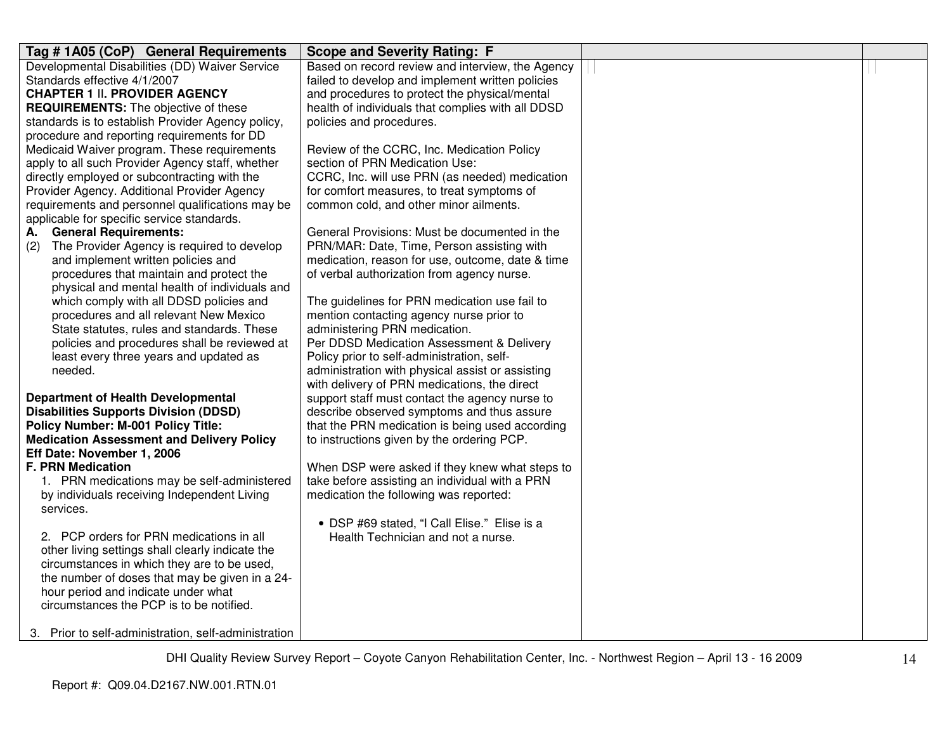| Tag # 1A05 (CoP) General Requirements                | <b>Scope and Severity Rating: F</b>               |  |
|------------------------------------------------------|---------------------------------------------------|--|
| Developmental Disabilities (DD) Waiver Service       | Based on record review and interview, the Agency  |  |
| Standards effective 4/1/2007                         | failed to develop and implement written policies  |  |
| <b>CHAPTER 1 II. PROVIDER AGENCY</b>                 | and procedures to protect the physical/mental     |  |
| <b>REQUIREMENTS:</b> The objective of these          | health of individuals that complies with all DDSD |  |
| standards is to establish Provider Agency policy,    | policies and procedures.                          |  |
| procedure and reporting requirements for DD          |                                                   |  |
| Medicaid Waiver program. These requirements          | Review of the CCRC, Inc. Medication Policy        |  |
| apply to all such Provider Agency staff, whether     | section of PRN Medication Use:                    |  |
| directly employed or subcontracting with the         | CCRC, Inc. will use PRN (as needed) medication    |  |
| Provider Agency. Additional Provider Agency          | for comfort measures, to treat symptoms of        |  |
| requirements and personnel qualifications may be     | common cold, and other minor ailments.            |  |
| applicable for specific service standards.           |                                                   |  |
| <b>General Requirements:</b><br>А.                   | General Provisions: Must be documented in the     |  |
| The Provider Agency is required to develop<br>(2)    | PRN/MAR: Date, Time, Person assisting with        |  |
| and implement written policies and                   | medication, reason for use, outcome, date & time  |  |
| procedures that maintain and protect the             | of verbal authorization from agency nurse.        |  |
| physical and mental health of individuals and        |                                                   |  |
| which comply with all DDSD policies and              | The guidelines for PRN medication use fail to     |  |
| procedures and all relevant New Mexico               | mention contacting agency nurse prior to          |  |
| State statutes, rules and standards. These           | administering PRN medication.                     |  |
| policies and procedures shall be reviewed at         | Per DDSD Medication Assessment & Delivery         |  |
| least every three years and updated as               | Policy prior to self-administration, self-        |  |
| needed.                                              | administration with physical assist or assisting  |  |
|                                                      | with delivery of PRN medications, the direct      |  |
| <b>Department of Health Developmental</b>            | support staff must contact the agency nurse to    |  |
| <b>Disabilities Supports Division (DDSD)</b>         | describe observed symptoms and thus assure        |  |
| <b>Policy Number: M-001 Policy Title:</b>            | that the PRN medication is being used according   |  |
| <b>Medication Assessment and Delivery Policy</b>     | to instructions given by the ordering PCP.        |  |
| Eff Date: November 1, 2006                           |                                                   |  |
| <b>F. PRN Medication</b>                             | When DSP were asked if they knew what steps to    |  |
| 1. PRN medications may be self-administered          | take before assisting an individual with a PRN    |  |
| by individuals receiving Independent Living          | medication the following was reported:            |  |
| services.                                            |                                                   |  |
|                                                      | • DSP #69 stated, "I Call Elise." Elise is a      |  |
| 2. PCP orders for PRN medications in all             | Health Technician and not a nurse.                |  |
| other living settings shall clearly indicate the     |                                                   |  |
| circumstances in which they are to be used,          |                                                   |  |
| the number of doses that may be given in a 24-       |                                                   |  |
| hour period and indicate under what                  |                                                   |  |
| circumstances the PCP is to be notified.             |                                                   |  |
|                                                      |                                                   |  |
| 3. Prior to self-administration, self-administration |                                                   |  |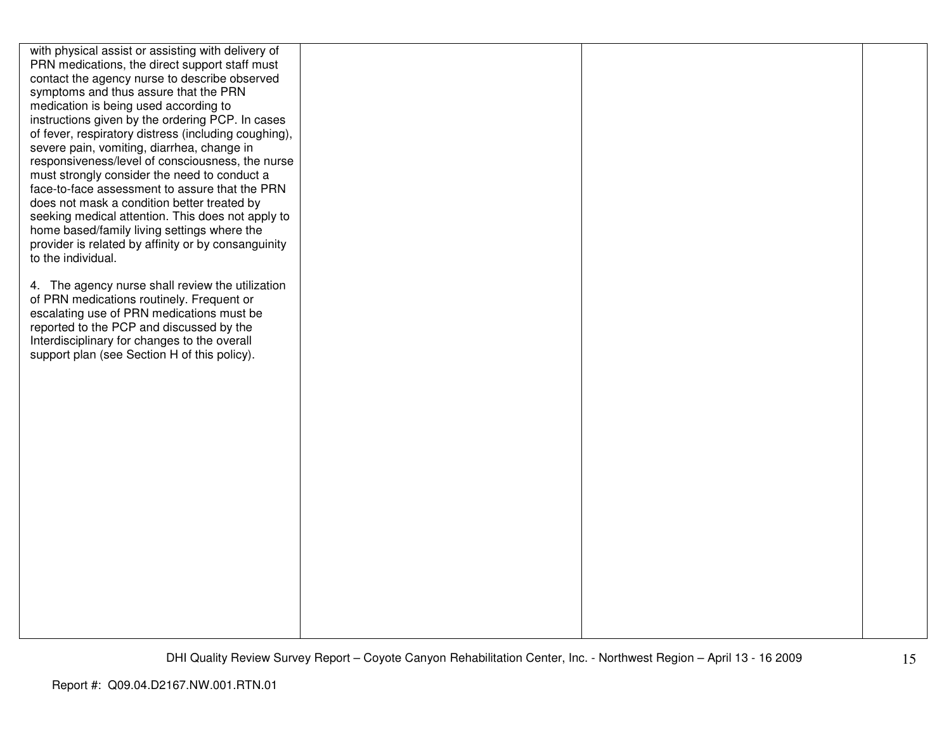with physical assist or assisting with delivery of PRN medications, the direct support staff must contact the agency nurse to describe observed symptoms and thus assure that the PRN medication is being used according to instructions given by the ordering PCP. In cases of fever, respiratory distress (including coughing), severe pain, vomiting, diarrhea, change in responsiveness/level of consciousness, the nurse must strongly consider the need to conduct a face-to-face assessment to assure that the PRN does not mask a condition better treated by seeking medical attention. This does not apply to home based/family living settings where the provider is related by affinity or by consanguinityto the individual. 4. The agency nurse shall review the utilization of PRN medications routinely. Frequent or escalating use of PRN medications must be reported to the PCP and discussed by the Interdisciplinary for changes to the overall support plan (see Section H of this policy).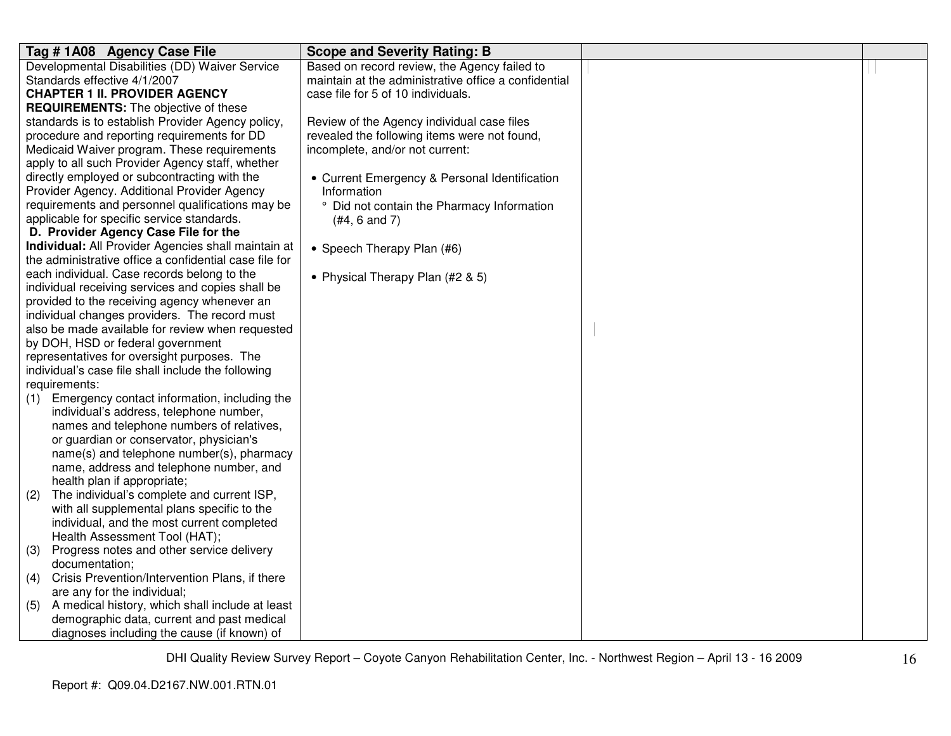| Tag # 1A08 Agency Case File                                                                                   | <b>Scope and Severity Rating: B</b>                  |  |
|---------------------------------------------------------------------------------------------------------------|------------------------------------------------------|--|
| Developmental Disabilities (DD) Waiver Service                                                                | Based on record review, the Agency failed to         |  |
| Standards effective 4/1/2007                                                                                  | maintain at the administrative office a confidential |  |
| <b>CHAPTER 1 II. PROVIDER AGENCY</b>                                                                          | case file for 5 of 10 individuals.                   |  |
| <b>REQUIREMENTS:</b> The objective of these                                                                   |                                                      |  |
| standards is to establish Provider Agency policy,                                                             | Review of the Agency individual case files           |  |
| procedure and reporting requirements for DD                                                                   | revealed the following items were not found,         |  |
| Medicaid Waiver program. These requirements                                                                   | incomplete, and/or not current:                      |  |
| apply to all such Provider Agency staff, whether                                                              |                                                      |  |
| directly employed or subcontracting with the                                                                  | • Current Emergency & Personal Identification        |  |
| Provider Agency. Additional Provider Agency                                                                   | Information                                          |  |
| requirements and personnel qualifications may be                                                              | ° Did not contain the Pharmacy Information           |  |
| applicable for specific service standards.                                                                    | (#4, 6 and 7)                                        |  |
| D. Provider Agency Case File for the                                                                          |                                                      |  |
| Individual: All Provider Agencies shall maintain at<br>the administrative office a confidential case file for | • Speech Therapy Plan (#6)                           |  |
| each individual. Case records belong to the                                                                   | • Physical Therapy Plan (#2 & 5)                     |  |
| individual receiving services and copies shall be                                                             |                                                      |  |
| provided to the receiving agency whenever an                                                                  |                                                      |  |
| individual changes providers. The record must                                                                 |                                                      |  |
| also be made available for review when requested                                                              |                                                      |  |
| by DOH, HSD or federal government                                                                             |                                                      |  |
| representatives for oversight purposes. The                                                                   |                                                      |  |
| individual's case file shall include the following                                                            |                                                      |  |
| requirements:                                                                                                 |                                                      |  |
| Emergency contact information, including the<br>(1)                                                           |                                                      |  |
| individual's address, telephone number,                                                                       |                                                      |  |
| names and telephone numbers of relatives,                                                                     |                                                      |  |
| or guardian or conservator, physician's                                                                       |                                                      |  |
| name(s) and telephone number(s), pharmacy                                                                     |                                                      |  |
| name, address and telephone number, and                                                                       |                                                      |  |
| health plan if appropriate;                                                                                   |                                                      |  |
| The individual's complete and current ISP,<br>(2)                                                             |                                                      |  |
| with all supplemental plans specific to the                                                                   |                                                      |  |
| individual, and the most current completed                                                                    |                                                      |  |
| Health Assessment Tool (HAT);                                                                                 |                                                      |  |
| Progress notes and other service delivery<br>(3)<br>documentation;                                            |                                                      |  |
| Crisis Prevention/Intervention Plans, if there<br>(4)                                                         |                                                      |  |
| are any for the individual;                                                                                   |                                                      |  |
| A medical history, which shall include at least<br>(5)                                                        |                                                      |  |
| demographic data, current and past medical                                                                    |                                                      |  |
| diagnoses including the cause (if known) of                                                                   |                                                      |  |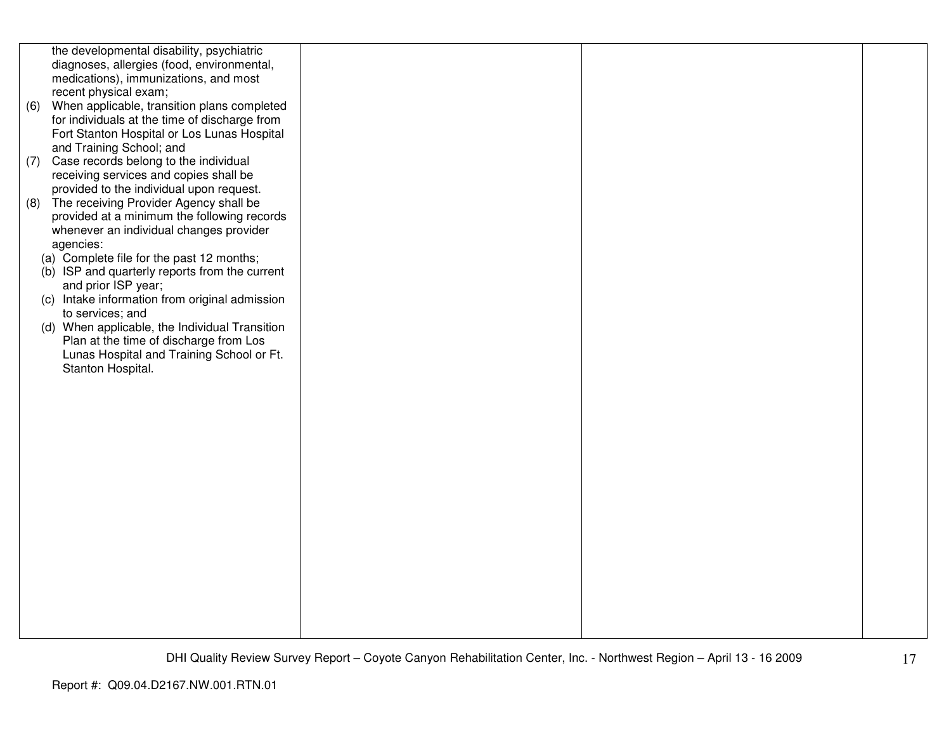|     | the developmental disability, psychiatric      |  |  |
|-----|------------------------------------------------|--|--|
|     | diagnoses, allergies (food, environmental,     |  |  |
|     | medications), immunizations, and most          |  |  |
|     | recent physical exam;                          |  |  |
|     |                                                |  |  |
| (6) | When applicable, transition plans completed    |  |  |
|     | for individuals at the time of discharge from  |  |  |
|     | Fort Stanton Hospital or Los Lunas Hospital    |  |  |
|     | and Training School; and                       |  |  |
| (7) | Case records belong to the individual          |  |  |
|     | receiving services and copies shall be         |  |  |
|     | provided to the individual upon request.       |  |  |
| (8) | The receiving Provider Agency shall be         |  |  |
|     | provided at a minimum the following records    |  |  |
|     | whenever an individual changes provider        |  |  |
|     |                                                |  |  |
|     | agencies:                                      |  |  |
|     | (a) Complete file for the past 12 months;      |  |  |
|     | (b) ISP and quarterly reports from the current |  |  |
|     | and prior ISP year;                            |  |  |
|     | (c) Intake information from original admission |  |  |
|     | to services; and                               |  |  |
|     | (d) When applicable, the Individual Transition |  |  |
|     | Plan at the time of discharge from Los         |  |  |
|     | Lunas Hospital and Training School or Ft.      |  |  |
|     | Stanton Hospital.                              |  |  |
|     |                                                |  |  |
|     |                                                |  |  |
|     |                                                |  |  |
|     |                                                |  |  |
|     |                                                |  |  |
|     |                                                |  |  |
|     |                                                |  |  |
|     |                                                |  |  |
|     |                                                |  |  |
|     |                                                |  |  |
|     |                                                |  |  |
|     |                                                |  |  |
|     |                                                |  |  |
|     |                                                |  |  |
|     |                                                |  |  |
|     |                                                |  |  |
|     |                                                |  |  |
|     |                                                |  |  |
|     |                                                |  |  |
|     |                                                |  |  |
|     |                                                |  |  |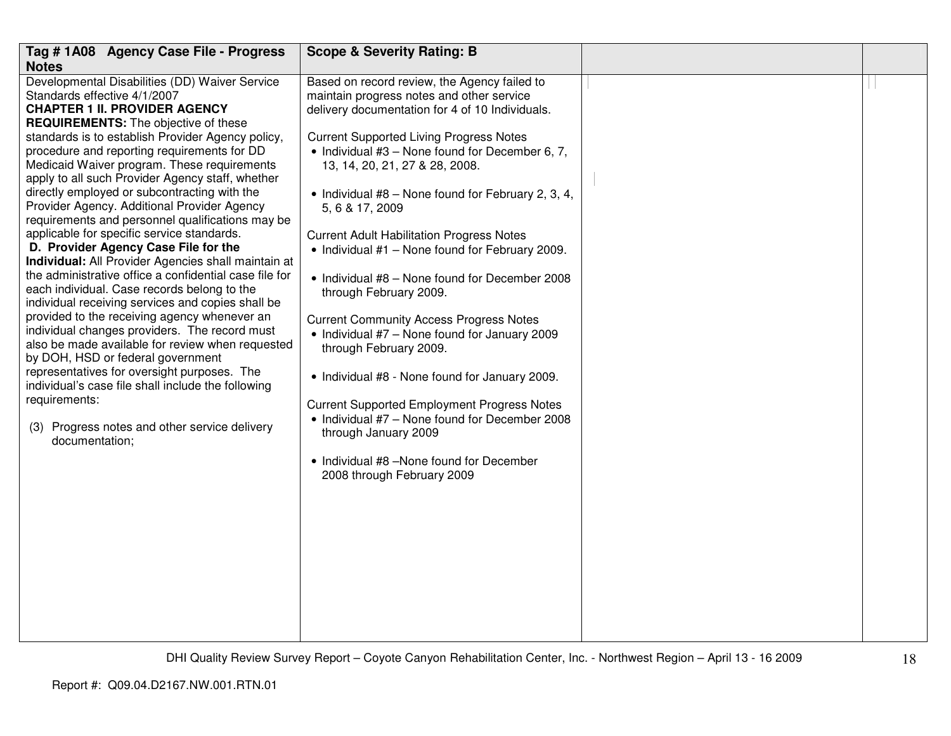| Tag #1A08 Agency Case File - Progress                                                                                                                                                                                                                                                                                                                                                                                                                                                                                                                                                                                                                                                                                                                                                                                                                                                                                                                                                                                                                                                                                                                                                                                         | <b>Scope &amp; Severity Rating: B</b>                                                                                                                                                                                                                                                                                                                                                                                                                                                                                                                                                                                                                                                                                                                                                                                                                                                                                                    |  |
|-------------------------------------------------------------------------------------------------------------------------------------------------------------------------------------------------------------------------------------------------------------------------------------------------------------------------------------------------------------------------------------------------------------------------------------------------------------------------------------------------------------------------------------------------------------------------------------------------------------------------------------------------------------------------------------------------------------------------------------------------------------------------------------------------------------------------------------------------------------------------------------------------------------------------------------------------------------------------------------------------------------------------------------------------------------------------------------------------------------------------------------------------------------------------------------------------------------------------------|------------------------------------------------------------------------------------------------------------------------------------------------------------------------------------------------------------------------------------------------------------------------------------------------------------------------------------------------------------------------------------------------------------------------------------------------------------------------------------------------------------------------------------------------------------------------------------------------------------------------------------------------------------------------------------------------------------------------------------------------------------------------------------------------------------------------------------------------------------------------------------------------------------------------------------------|--|
| <b>Notes</b>                                                                                                                                                                                                                                                                                                                                                                                                                                                                                                                                                                                                                                                                                                                                                                                                                                                                                                                                                                                                                                                                                                                                                                                                                  |                                                                                                                                                                                                                                                                                                                                                                                                                                                                                                                                                                                                                                                                                                                                                                                                                                                                                                                                          |  |
| Developmental Disabilities (DD) Waiver Service<br>Standards effective 4/1/2007<br><b>CHAPTER 1 II. PROVIDER AGENCY</b><br><b>REQUIREMENTS:</b> The objective of these<br>standards is to establish Provider Agency policy,<br>procedure and reporting requirements for DD<br>Medicaid Waiver program. These requirements<br>apply to all such Provider Agency staff, whether<br>directly employed or subcontracting with the<br>Provider Agency. Additional Provider Agency<br>requirements and personnel qualifications may be<br>applicable for specific service standards.<br>D. Provider Agency Case File for the<br>Individual: All Provider Agencies shall maintain at<br>the administrative office a confidential case file for<br>each individual. Case records belong to the<br>individual receiving services and copies shall be<br>provided to the receiving agency whenever an<br>individual changes providers. The record must<br>also be made available for review when requested<br>by DOH, HSD or federal government<br>representatives for oversight purposes. The<br>individual's case file shall include the following<br>requirements:<br>(3) Progress notes and other service delivery<br>documentation; | Based on record review, the Agency failed to<br>maintain progress notes and other service<br>delivery documentation for 4 of 10 Individuals.<br><b>Current Supported Living Progress Notes</b><br>• Individual #3 - None found for December 6, 7,<br>13, 14, 20, 21, 27 & 28, 2008.<br>• Individual #8 - None found for February 2, 3, 4,<br>5, 6 & 17, 2009<br><b>Current Adult Habilitation Progress Notes</b><br>• Individual #1 - None found for February 2009.<br>• Individual #8 - None found for December 2008<br>through February 2009.<br><b>Current Community Access Progress Notes</b><br>• Individual #7 - None found for January 2009<br>through February 2009.<br>• Individual #8 - None found for January 2009.<br><b>Current Supported Employment Progress Notes</b><br>• Individual #7 - None found for December 2008<br>through January 2009<br>• Individual #8 -None found for December<br>2008 through February 2009 |  |
|                                                                                                                                                                                                                                                                                                                                                                                                                                                                                                                                                                                                                                                                                                                                                                                                                                                                                                                                                                                                                                                                                                                                                                                                                               |                                                                                                                                                                                                                                                                                                                                                                                                                                                                                                                                                                                                                                                                                                                                                                                                                                                                                                                                          |  |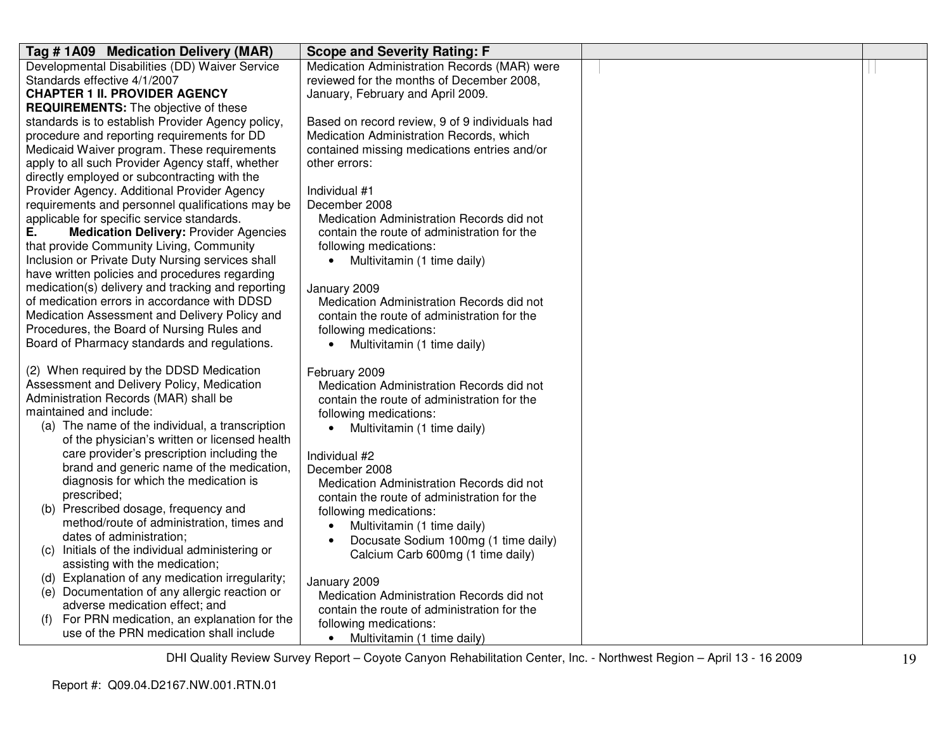| Tag #1A09 Medication Delivery (MAR)                 | <b>Scope and Severity Rating: F</b>            |  |
|-----------------------------------------------------|------------------------------------------------|--|
| Developmental Disabilities (DD) Waiver Service      | Medication Administration Records (MAR) were   |  |
| Standards effective 4/1/2007                        | reviewed for the months of December 2008,      |  |
| <b>CHAPTER 1 II. PROVIDER AGENCY</b>                | January, February and April 2009.              |  |
| <b>REQUIREMENTS:</b> The objective of these         |                                                |  |
| standards is to establish Provider Agency policy,   | Based on record review, 9 of 9 individuals had |  |
| procedure and reporting requirements for DD         | Medication Administration Records, which       |  |
| Medicaid Waiver program. These requirements         | contained missing medications entries and/or   |  |
| apply to all such Provider Agency staff, whether    | other errors:                                  |  |
| directly employed or subcontracting with the        |                                                |  |
| Provider Agency. Additional Provider Agency         | Individual #1                                  |  |
| requirements and personnel qualifications may be    | December 2008                                  |  |
| applicable for specific service standards.          | Medication Administration Records did not      |  |
| <b>Medication Delivery: Provider Agencies</b><br>Е. | contain the route of administration for the    |  |
| that provide Community Living, Community            | following medications:                         |  |
| Inclusion or Private Duty Nursing services shall    | Multivitamin (1 time daily)                    |  |
| have written policies and procedures regarding      |                                                |  |
| medication(s) delivery and tracking and reporting   | January 2009                                   |  |
| of medication errors in accordance with DDSD        | Medication Administration Records did not      |  |
| Medication Assessment and Delivery Policy and       | contain the route of administration for the    |  |
| Procedures, the Board of Nursing Rules and          | following medications:                         |  |
| Board of Pharmacy standards and regulations.        | Multivitamin (1 time daily)<br>$\bullet$       |  |
| (2) When required by the DDSD Medication            | February 2009                                  |  |
| Assessment and Delivery Policy, Medication          | Medication Administration Records did not      |  |
| Administration Records (MAR) shall be               | contain the route of administration for the    |  |
| maintained and include:                             | following medications:                         |  |
| (a) The name of the individual, a transcription     | Multivitamin (1 time daily)<br>$\bullet$       |  |
| of the physician's written or licensed health       |                                                |  |
| care provider's prescription including the          | Individual #2                                  |  |
| brand and generic name of the medication,           | December 2008                                  |  |
| diagnosis for which the medication is               | Medication Administration Records did not      |  |
| prescribed;                                         | contain the route of administration for the    |  |
| (b) Prescribed dosage, frequency and                | following medications:                         |  |
| method/route of administration, times and           | Multivitamin (1 time daily)                    |  |
| dates of administration;                            | Docusate Sodium 100mg (1 time daily)           |  |
| Initials of the individual administering or<br>(C)  | Calcium Carb 600mg (1 time daily)              |  |
| assisting with the medication;                      |                                                |  |
| Explanation of any medication irregularity;<br>(d)  | January 2009                                   |  |
| (e) Documentation of any allergic reaction or       | Medication Administration Records did not      |  |
| adverse medication effect; and                      | contain the route of administration for the    |  |
| For PRN medication, an explanation for the<br>(f)   | following medications:                         |  |
| use of the PRN medication shall include             | Multivitamin (1 time daily)<br>$\bullet$       |  |
|                                                     |                                                |  |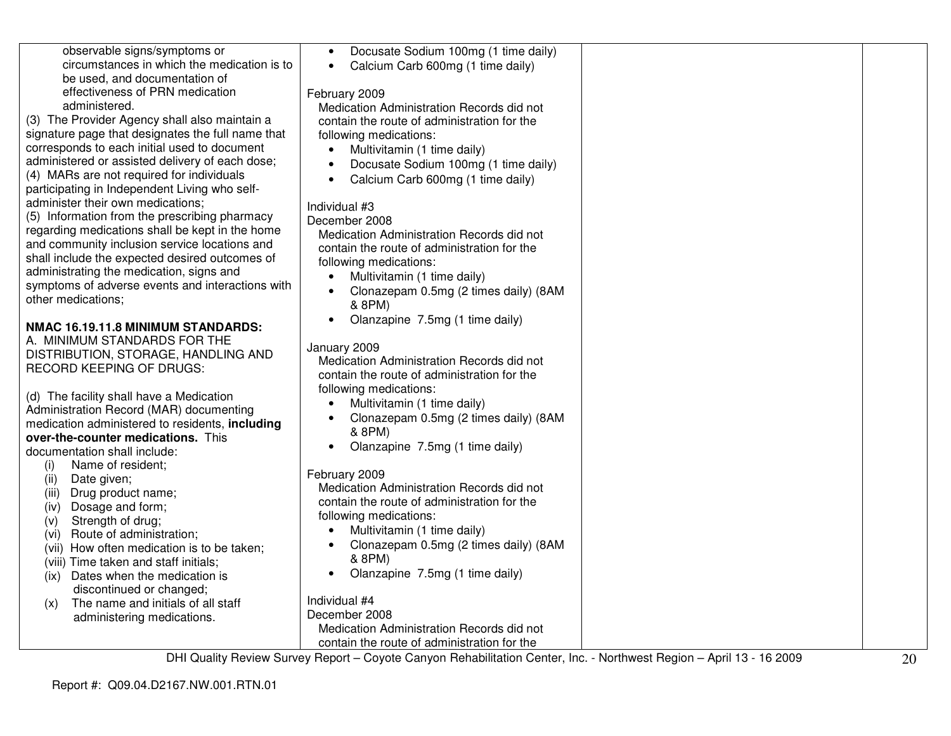| observable signs/symptoms or<br>circumstances in which the medication is to<br>be used, and documentation of<br>effectiveness of PRN medication<br>administered.<br>(3) The Provider Agency shall also maintain a<br>signature page that designates the full name that<br>corresponds to each initial used to document<br>administered or assisted delivery of each dose;<br>(4) MARs are not required for individuals<br>participating in Independent Living who self-<br>administer their own medications;<br>(5) Information from the prescribing pharmacy<br>regarding medications shall be kept in the home<br>and community inclusion service locations and<br>shall include the expected desired outcomes of<br>administrating the medication, signs and<br>symptoms of adverse events and interactions with<br>other medications;<br>NMAC 16.19.11.8 MINIMUM STANDARDS:<br>A. MINIMUM STANDARDS FOR THE<br>DISTRIBUTION, STORAGE, HANDLING AND<br>RECORD KEEPING OF DRUGS:<br>(d) The facility shall have a Medication<br>Administration Record (MAR) documenting<br>medication administered to residents, including<br>over-the-counter medications. This<br>documentation shall include: | Docusate Sodium 100mg (1 time daily)<br>$\bullet$<br>Calcium Carb 600mg (1 time daily)<br>$\bullet$<br>February 2009<br>Medication Administration Records did not<br>contain the route of administration for the<br>following medications:<br>Multivitamin (1 time daily)<br>$\bullet$<br>Docusate Sodium 100mg (1 time daily)<br>$\bullet$<br>Calcium Carb 600mg (1 time daily)<br>$\bullet$<br>Individual #3<br>December 2008<br>Medication Administration Records did not<br>contain the route of administration for the<br>following medications:<br>Multivitamin (1 time daily)<br>$\bullet$<br>Clonazepam 0.5mg (2 times daily) (8AM<br>$\bullet$<br>& 8PM)<br>Olanzapine 7.5mg (1 time daily)<br>January 2009<br>Medication Administration Records did not<br>contain the route of administration for the<br>following medications:<br>Multivitamin (1 time daily)<br>$\bullet$<br>Clonazepam 0.5mg (2 times daily) (8AM<br>$\bullet$<br>& 8PM)<br>Olanzapine 7.5mg (1 time daily)<br>$\bullet$ |  |
|----------------------------------------------------------------------------------------------------------------------------------------------------------------------------------------------------------------------------------------------------------------------------------------------------------------------------------------------------------------------------------------------------------------------------------------------------------------------------------------------------------------------------------------------------------------------------------------------------------------------------------------------------------------------------------------------------------------------------------------------------------------------------------------------------------------------------------------------------------------------------------------------------------------------------------------------------------------------------------------------------------------------------------------------------------------------------------------------------------------------------------------------------------------------------------------------------|--------------------------------------------------------------------------------------------------------------------------------------------------------------------------------------------------------------------------------------------------------------------------------------------------------------------------------------------------------------------------------------------------------------------------------------------------------------------------------------------------------------------------------------------------------------------------------------------------------------------------------------------------------------------------------------------------------------------------------------------------------------------------------------------------------------------------------------------------------------------------------------------------------------------------------------------------------------------------------------------------------|--|
|                                                                                                                                                                                                                                                                                                                                                                                                                                                                                                                                                                                                                                                                                                                                                                                                                                                                                                                                                                                                                                                                                                                                                                                                    |                                                                                                                                                                                                                                                                                                                                                                                                                                                                                                                                                                                                                                                                                                                                                                                                                                                                                                                                                                                                        |  |
|                                                                                                                                                                                                                                                                                                                                                                                                                                                                                                                                                                                                                                                                                                                                                                                                                                                                                                                                                                                                                                                                                                                                                                                                    |                                                                                                                                                                                                                                                                                                                                                                                                                                                                                                                                                                                                                                                                                                                                                                                                                                                                                                                                                                                                        |  |
| Name of resident;<br>(i)<br>(ii)<br>Date given;<br>(iii)<br>Drug product name;<br>Dosage and form;<br>(iv)<br>Strength of drug;<br>(v)<br>Route of administration;<br>(vi)<br>(vii) How often medication is to be taken;<br>(viii) Time taken and staff initials;                                                                                                                                                                                                                                                                                                                                                                                                                                                                                                                                                                                                                                                                                                                                                                                                                                                                                                                                  | February 2009<br>Medication Administration Records did not<br>contain the route of administration for the<br>following medications:<br>Multivitamin (1 time daily)<br>Clonazepam 0.5mg (2 times daily) (8AM<br>$\bullet$<br>& 8PM)<br>Olanzapine 7.5mg (1 time daily)<br>$\bullet$                                                                                                                                                                                                                                                                                                                                                                                                                                                                                                                                                                                                                                                                                                                     |  |
| Dates when the medication is<br>(ix)<br>discontinued or changed;<br>The name and initials of all staff<br>(x)<br>administering medications.                                                                                                                                                                                                                                                                                                                                                                                                                                                                                                                                                                                                                                                                                                                                                                                                                                                                                                                                                                                                                                                        | Individual #4<br>December 2008                                                                                                                                                                                                                                                                                                                                                                                                                                                                                                                                                                                                                                                                                                                                                                                                                                                                                                                                                                         |  |
|                                                                                                                                                                                                                                                                                                                                                                                                                                                                                                                                                                                                                                                                                                                                                                                                                                                                                                                                                                                                                                                                                                                                                                                                    | Medication Administration Records did not<br>contain the route of administration for the                                                                                                                                                                                                                                                                                                                                                                                                                                                                                                                                                                                                                                                                                                                                                                                                                                                                                                               |  |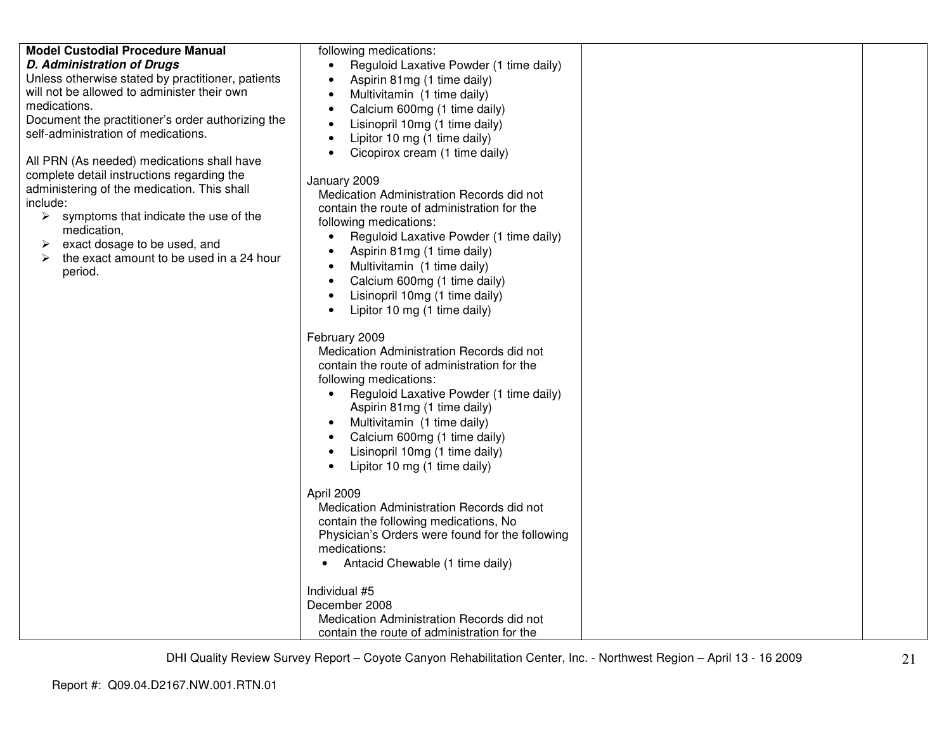| <b>Model Custodial Procedure Manual</b><br><b>D. Administration of Drugs</b><br>Unless otherwise stated by practitioner, patients<br>will not be allowed to administer their own<br>medications.<br>Document the practitioner's order authorizing the<br>self-administration of medications.<br>All PRN (As needed) medications shall have<br>complete detail instructions regarding the<br>administering of the medication. This shall<br>include:<br>symptoms that indicate the use of the<br>➤<br>medication,<br>exact dosage to be used, and<br>the exact amount to be used in a 24 hour<br>period. | following medications:<br>Reguloid Laxative Powder (1 time daily)<br>Aspirin 81mg (1 time daily)<br>Multivitamin (1 time daily)<br>Calcium 600mg (1 time daily)<br>$\bullet$<br>Lisinopril 10mg (1 time daily)<br>Lipitor 10 mg (1 time daily)<br>Cicopirox cream (1 time daily)<br>January 2009<br>Medication Administration Records did not<br>contain the route of administration for the<br>following medications:<br>Reguloid Laxative Powder (1 time daily)<br>$\bullet$<br>Aspirin 81mg (1 time daily)<br>Multivitamin (1 time daily)<br>Calcium 600mg (1 time daily)<br>Lisinopril 10mg (1 time daily)<br>Lipitor 10 mg (1 time daily)<br>$\bullet$<br>February 2009<br>Medication Administration Records did not<br>contain the route of administration for the<br>following medications:<br>Reguloid Laxative Powder (1 time daily)<br>Aspirin 81mg (1 time daily)<br>Multivitamin (1 time daily)<br>Calcium 600mg (1 time daily)<br>Lisinopril 10mg (1 time daily)<br>Lipitor 10 mg (1 time daily)<br>April 2009<br>Medication Administration Records did not<br>contain the following medications, No<br>Physician's Orders were found for the following<br>medications:<br>Antacid Chewable (1 time daily)<br>$\bullet$<br>Individual #5<br>December 2008 |  |
|---------------------------------------------------------------------------------------------------------------------------------------------------------------------------------------------------------------------------------------------------------------------------------------------------------------------------------------------------------------------------------------------------------------------------------------------------------------------------------------------------------------------------------------------------------------------------------------------------------|------------------------------------------------------------------------------------------------------------------------------------------------------------------------------------------------------------------------------------------------------------------------------------------------------------------------------------------------------------------------------------------------------------------------------------------------------------------------------------------------------------------------------------------------------------------------------------------------------------------------------------------------------------------------------------------------------------------------------------------------------------------------------------------------------------------------------------------------------------------------------------------------------------------------------------------------------------------------------------------------------------------------------------------------------------------------------------------------------------------------------------------------------------------------------------------------------------------------------------------------------------------------|--|
|                                                                                                                                                                                                                                                                                                                                                                                                                                                                                                                                                                                                         | Medication Administration Records did not                                                                                                                                                                                                                                                                                                                                                                                                                                                                                                                                                                                                                                                                                                                                                                                                                                                                                                                                                                                                                                                                                                                                                                                                                              |  |
|                                                                                                                                                                                                                                                                                                                                                                                                                                                                                                                                                                                                         | contain the route of administration for the                                                                                                                                                                                                                                                                                                                                                                                                                                                                                                                                                                                                                                                                                                                                                                                                                                                                                                                                                                                                                                                                                                                                                                                                                            |  |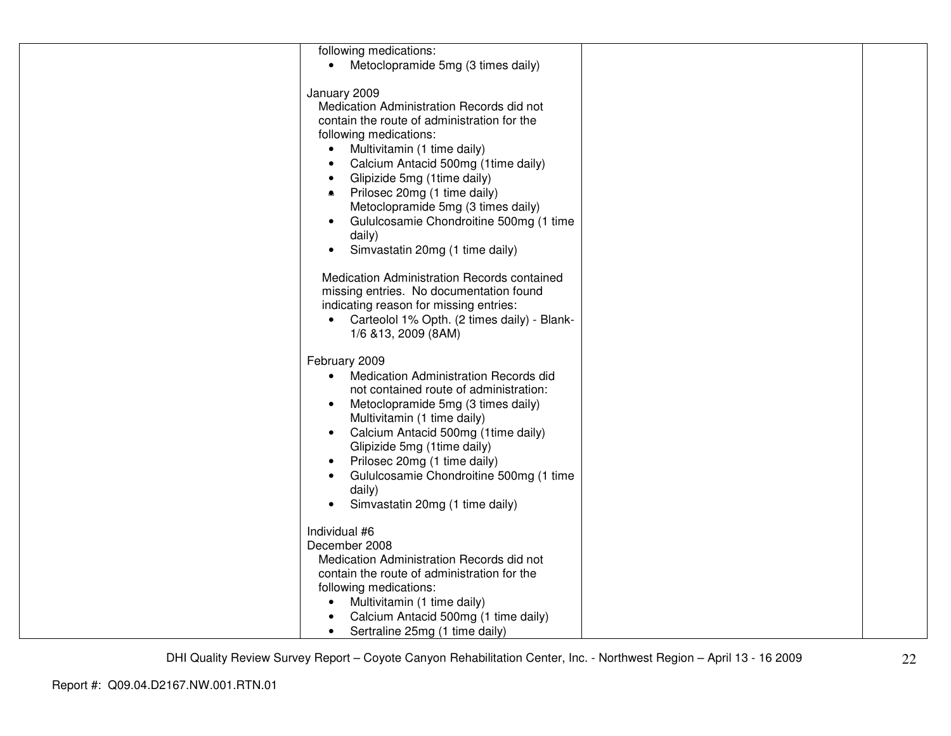| following medications:                             |  |
|----------------------------------------------------|--|
| Metoclopramide 5mg (3 times daily)<br>$\bullet$    |  |
|                                                    |  |
| January 2009                                       |  |
| Medication Administration Records did not          |  |
| contain the route of administration for the        |  |
| following medications:                             |  |
| Multivitamin (1 time daily)<br>$\bullet$           |  |
| Calcium Antacid 500mg (1time daily)                |  |
| Glipizide 5mg (1time daily)                        |  |
| Prilosec 20mg (1 time daily)<br>$\bullet$          |  |
| Metoclopramide 5mg (3 times daily)                 |  |
|                                                    |  |
| Gululcosamie Chondroitine 500mg (1 time            |  |
| daily)                                             |  |
| Simvastatin 20mg (1 time daily)                    |  |
| Medication Administration Records contained        |  |
|                                                    |  |
| missing entries. No documentation found            |  |
| indicating reason for missing entries:             |  |
| Carteolol 1% Opth. (2 times daily) - Blank-        |  |
| 1/6 & 13, 2009 (8AM)                               |  |
|                                                    |  |
| February 2009                                      |  |
| Medication Administration Records did<br>$\bullet$ |  |
| not contained route of administration:             |  |
| Metoclopramide 5mg (3 times daily)                 |  |
| Multivitamin (1 time daily)                        |  |
| Calcium Antacid 500mg (1time daily)<br>$\bullet$   |  |
| Glipizide 5mg (1time daily)                        |  |
| Prilosec 20mg (1 time daily)<br>$\bullet$          |  |
| Gululcosamie Chondroitine 500mg (1 time            |  |
| daily)                                             |  |
| Simvastatin 20mg (1 time daily)                    |  |
|                                                    |  |
| Individual #6                                      |  |
| December 2008                                      |  |
| Medication Administration Records did not          |  |
| contain the route of administration for the        |  |
| following medications:                             |  |
| Multivitamin (1 time daily)                        |  |
| Calcium Antacid 500mg (1 time daily)               |  |
| Sertraline 25mg (1 time daily)<br>$\bullet$        |  |
|                                                    |  |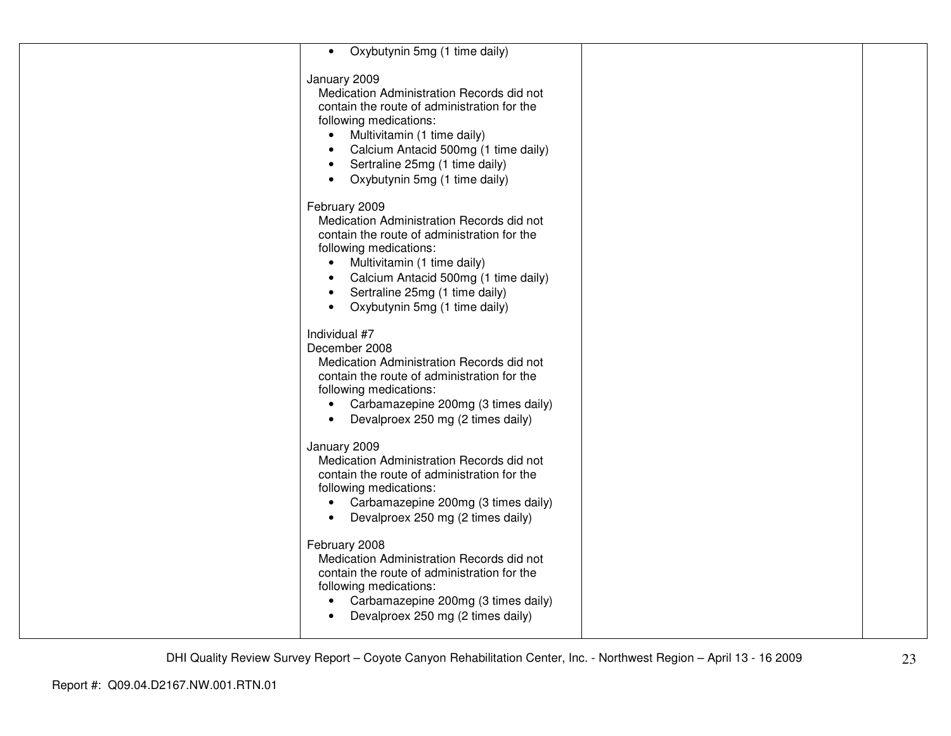| Oxybutynin 5mg (1 time daily)<br>$\bullet$                                                                                                                                                                                                                                                                                        |  |
|-----------------------------------------------------------------------------------------------------------------------------------------------------------------------------------------------------------------------------------------------------------------------------------------------------------------------------------|--|
| January 2009<br>Medication Administration Records did not<br>contain the route of administration for the<br>following medications:<br>• Multivitamin (1 time daily)<br>Calcium Antacid 500mg (1 time daily)<br>$\bullet$<br>Sertraline 25mg (1 time daily)<br>$\bullet$<br>Oxybutynin 5mg (1 time daily)<br>$\bullet$             |  |
| February 2009<br>Medication Administration Records did not<br>contain the route of administration for the<br>following medications:<br>Multivitamin (1 time daily)<br>$\bullet$<br>Calcium Antacid 500mg (1 time daily)<br>$\bullet$<br>Sertraline 25mg (1 time daily)<br>$\bullet$<br>Oxybutynin 5mg (1 time daily)<br>$\bullet$ |  |
| Individual #7<br>December 2008<br>Medication Administration Records did not<br>contain the route of administration for the<br>following medications:<br>Carbamazepine 200mg (3 times daily)<br>$\bullet$<br>Devalproex 250 mg (2 times daily)<br>$\bullet$                                                                        |  |
| January 2009<br>Medication Administration Records did not<br>contain the route of administration for the<br>following medications:<br>Carbamazepine 200mg (3 times daily)<br>$\bullet$<br>Devalproex 250 mg (2 times daily)<br>$\bullet$                                                                                          |  |
| February 2008<br>Medication Administration Records did not<br>contain the route of administration for the<br>following medications:<br>Carbamazepine 200mg (3 times daily)<br>$\bullet$<br>Devalproex 250 mg (2 times daily)<br>$\bullet$                                                                                         |  |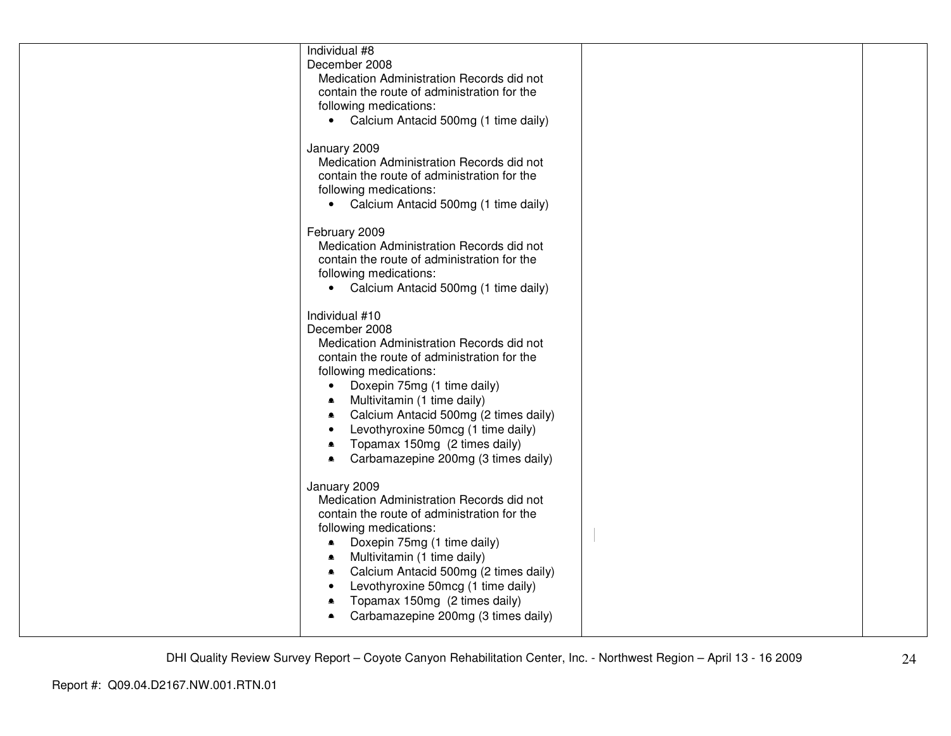| Individual #8                                      |  |
|----------------------------------------------------|--|
| December 2008                                      |  |
| Medication Administration Records did not          |  |
| contain the route of administration for the        |  |
| following medications:                             |  |
| Calcium Antacid 500mg (1 time daily)<br>$\bullet$  |  |
|                                                    |  |
| January 2009                                       |  |
| Medication Administration Records did not          |  |
| contain the route of administration for the        |  |
| following medications:                             |  |
| Calcium Antacid 500mg (1 time daily)<br>$\bullet$  |  |
| February 2009                                      |  |
| Medication Administration Records did not          |  |
| contain the route of administration for the        |  |
| following medications:                             |  |
| • Calcium Antacid 500mg (1 time daily)             |  |
|                                                    |  |
| Individual #10                                     |  |
| December 2008                                      |  |
| Medication Administration Records did not          |  |
| contain the route of administration for the        |  |
| following medications:                             |  |
| Doxepin 75mg (1 time daily)                        |  |
| Multivitamin (1 time daily)                        |  |
| Calcium Antacid 500mg (2 times daily)<br>$\bullet$ |  |
| Levothyroxine 50mcg (1 time daily)                 |  |
| Topamax 150mg (2 times daily)<br>$\bullet$         |  |
| Carbamazepine 200mg (3 times daily)<br>$\bullet$   |  |
|                                                    |  |
| January 2009                                       |  |
| Medication Administration Records did not          |  |
| contain the route of administration for the        |  |
| following medications:                             |  |
| Doxepin 75mg (1 time daily)<br>$\bullet$           |  |
| Multivitamin (1 time daily)<br>$\bullet$           |  |
| Calcium Antacid 500mg (2 times daily)<br>$\bullet$ |  |
| Levothyroxine 50mcg (1 time daily)                 |  |
| Topamax 150mg (2 times daily)                      |  |
| Carbamazepine 200mg (3 times daily)                |  |
|                                                    |  |
|                                                    |  |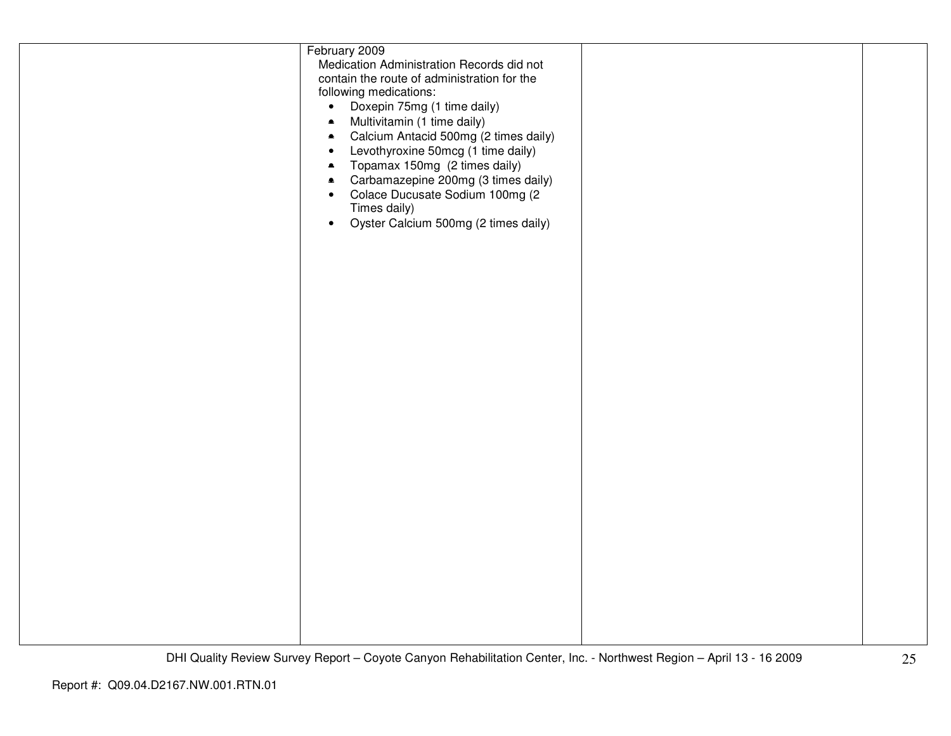| February 2009<br>Medication Administration Records did not<br>contain the route of administration for the<br>following medications:<br>Doxepin 75mg (1 time daily)<br>$\bullet$<br>Multivitamin (1 time daily)<br>$\blacksquare$<br>Calcium Antacid 500mg (2 times daily)<br>$\bullet$<br>Levothyroxine 50mcg (1 time daily)<br>$\bullet$<br>Topamax 150mg (2 times daily)<br>$\bullet$<br>Carbamazepine 200mg (3 times daily)<br>$\spadesuit$<br>Colace Ducusate Sodium 100mg (2<br>$\bullet$<br>Times daily)<br>Oyster Calcium 500mg (2 times daily)<br>$\bullet$ |  |
|---------------------------------------------------------------------------------------------------------------------------------------------------------------------------------------------------------------------------------------------------------------------------------------------------------------------------------------------------------------------------------------------------------------------------------------------------------------------------------------------------------------------------------------------------------------------|--|
|                                                                                                                                                                                                                                                                                                                                                                                                                                                                                                                                                                     |  |
|                                                                                                                                                                                                                                                                                                                                                                                                                                                                                                                                                                     |  |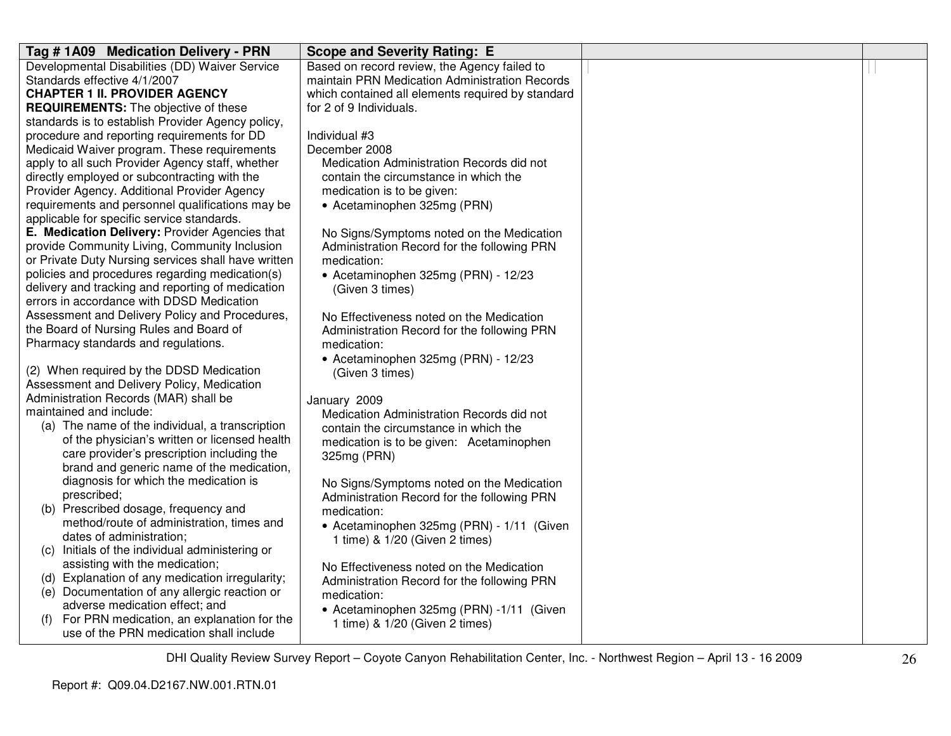| Tag # 1A09 Medication Delivery - PRN                | <b>Scope and Severity Rating: E</b>               |  |
|-----------------------------------------------------|---------------------------------------------------|--|
| Developmental Disabilities (DD) Waiver Service      | Based on record review, the Agency failed to      |  |
| Standards effective 4/1/2007                        | maintain PRN Medication Administration Records    |  |
| <b>CHAPTER 1 II. PROVIDER AGENCY</b>                | which contained all elements required by standard |  |
| <b>REQUIREMENTS:</b> The objective of these         | for 2 of 9 Individuals.                           |  |
| standards is to establish Provider Agency policy,   |                                                   |  |
| procedure and reporting requirements for DD         | Individual #3                                     |  |
| Medicaid Waiver program. These requirements         | December 2008                                     |  |
| apply to all such Provider Agency staff, whether    | Medication Administration Records did not         |  |
| directly employed or subcontracting with the        | contain the circumstance in which the             |  |
| Provider Agency. Additional Provider Agency         | medication is to be given:                        |  |
| requirements and personnel qualifications may be    | • Acetaminophen 325mg (PRN)                       |  |
| applicable for specific service standards.          |                                                   |  |
| E. Medication Delivery: Provider Agencies that      | No Signs/Symptoms noted on the Medication         |  |
| provide Community Living, Community Inclusion       | Administration Record for the following PRN       |  |
| or Private Duty Nursing services shall have written | medication:                                       |  |
| policies and procedures regarding medication(s)     | • Acetaminophen 325mg (PRN) - 12/23               |  |
| delivery and tracking and reporting of medication   | (Given 3 times)                                   |  |
| errors in accordance with DDSD Medication           |                                                   |  |
| Assessment and Delivery Policy and Procedures,      | No Effectiveness noted on the Medication          |  |
| the Board of Nursing Rules and Board of             | Administration Record for the following PRN       |  |
| Pharmacy standards and regulations.                 | medication:                                       |  |
|                                                     | • Acetaminophen 325mg (PRN) - 12/23               |  |
| (2) When required by the DDSD Medication            | (Given 3 times)                                   |  |
| Assessment and Delivery Policy, Medication          |                                                   |  |
| Administration Records (MAR) shall be               | January 2009                                      |  |
| maintained and include:                             | Medication Administration Records did not         |  |
| (a) The name of the individual, a transcription     | contain the circumstance in which the             |  |
| of the physician's written or licensed health       | medication is to be given: Acetaminophen          |  |
| care provider's prescription including the          | 325mg (PRN)                                       |  |
| brand and generic name of the medication,           |                                                   |  |
| diagnosis for which the medication is               | No Signs/Symptoms noted on the Medication         |  |
| prescribed;                                         | Administration Record for the following PRN       |  |
| (b) Prescribed dosage, frequency and                | medication:                                       |  |
| method/route of administration, times and           | • Acetaminophen 325mg (PRN) - 1/11 (Given         |  |
| dates of administration;                            | 1 time) & 1/20 (Given 2 times)                    |  |
| Initials of the individual administering or<br>(C)  |                                                   |  |
| assisting with the medication;                      | No Effectiveness noted on the Medication          |  |
| Explanation of any medication irregularity;<br>(d)  | Administration Record for the following PRN       |  |
| (e) Documentation of any allergic reaction or       | medication:                                       |  |
| adverse medication effect; and                      | • Acetaminophen 325mg (PRN) -1/11 (Given          |  |
| For PRN medication, an explanation for the<br>(f)   | 1 time) & 1/20 (Given 2 times)                    |  |
| use of the PRN medication shall include             |                                                   |  |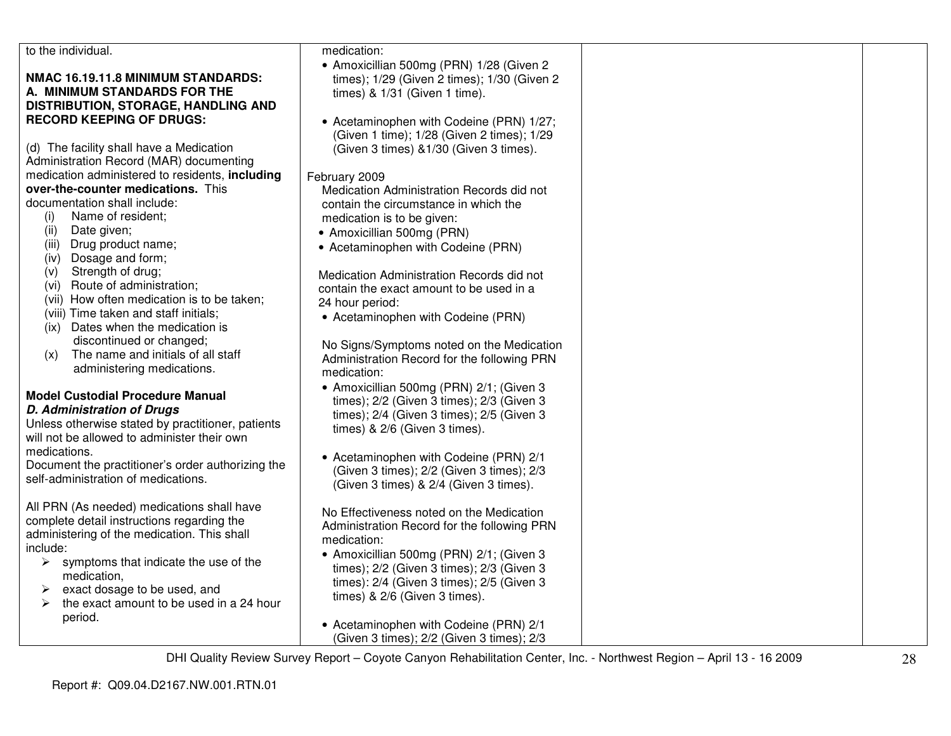| to the individual.                                          | medication:                                                                             |  |
|-------------------------------------------------------------|-----------------------------------------------------------------------------------------|--|
|                                                             | • Amoxicillian 500mg (PRN) 1/28 (Given 2                                                |  |
| NMAC 16.19.11.8 MINIMUM STANDARDS:                          | times); 1/29 (Given 2 times); 1/30 (Given 2                                             |  |
| A. MINIMUM STANDARDS FOR THE                                | times) $& 1/31$ (Given 1 time).                                                         |  |
| DISTRIBUTION, STORAGE, HANDLING AND                         |                                                                                         |  |
| <b>RECORD KEEPING OF DRUGS:</b>                             | • Acetaminophen with Codeine (PRN) 1/27;                                                |  |
|                                                             | (Given 1 time); 1/28 (Given 2 times); 1/29                                              |  |
| (d) The facility shall have a Medication                    | (Given 3 times) &1/30 (Given 3 times).                                                  |  |
| Administration Record (MAR) documenting                     |                                                                                         |  |
| medication administered to residents, including             | February 2009                                                                           |  |
| over-the-counter medications. This                          | Medication Administration Records did not                                               |  |
| documentation shall include:                                | contain the circumstance in which the                                                   |  |
| Name of resident;<br>(i)                                    | medication is to be given:                                                              |  |
| (ii)<br>Date given;<br>(iii)<br>Drug product name;          | • Amoxicillian 500mg (PRN)                                                              |  |
| Dosage and form;<br>(iv)                                    | • Acetaminophen with Codeine (PRN)                                                      |  |
| Strength of drug;<br>(V)                                    |                                                                                         |  |
| Route of administration;<br>(vi)                            | Medication Administration Records did not<br>contain the exact amount to be used in a   |  |
| (vii) How often medication is to be taken;                  | 24 hour period:                                                                         |  |
| (viii) Time taken and staff initials;                       | • Acetaminophen with Codeine (PRN)                                                      |  |
| Dates when the medication is<br>(ix)                        |                                                                                         |  |
| discontinued or changed;                                    | No Signs/Symptoms noted on the Medication                                               |  |
| The name and initials of all staff<br>(x)                   | Administration Record for the following PRN                                             |  |
| administering medications.                                  | medication:                                                                             |  |
|                                                             | • Amoxicillian 500mg (PRN) 2/1; (Given 3                                                |  |
| <b>Model Custodial Procedure Manual</b>                     | times); 2/2 (Given 3 times); 2/3 (Given 3                                               |  |
| <b>D. Administration of Drugs</b>                           | times); 2/4 (Given 3 times); 2/5 (Given 3                                               |  |
| Unless otherwise stated by practitioner, patients           | times) & 2/6 (Given 3 times).                                                           |  |
| will not be allowed to administer their own<br>medications. |                                                                                         |  |
| Document the practitioner's order authorizing the           | • Acetaminophen with Codeine (PRN) 2/1                                                  |  |
| self-administration of medications.                         | (Given 3 times); 2/2 (Given 3 times); 2/3                                               |  |
|                                                             | (Given 3 times) & 2/4 (Given 3 times).                                                  |  |
| All PRN (As needed) medications shall have                  |                                                                                         |  |
| complete detail instructions regarding the                  | No Effectiveness noted on the Medication<br>Administration Record for the following PRN |  |
| administering of the medication. This shall                 | medication:                                                                             |  |
| include:                                                    | • Amoxicillian 500mg (PRN) 2/1; (Given 3                                                |  |
| symptoms that indicate the use of the<br>≻                  | times); 2/2 (Given 3 times); 2/3 (Given 3                                               |  |
| medication,                                                 | times): 2/4 (Given 3 times); 2/5 (Given 3                                               |  |
| exact dosage to be used, and                                | times) & 2/6 (Given 3 times).                                                           |  |
| the exact amount to be used in a 24 hour<br>⋗               |                                                                                         |  |
| period.                                                     | • Acetaminophen with Codeine (PRN) 2/1                                                  |  |
|                                                             | (Given 3 times); 2/2 (Given 3 times); 2/3                                               |  |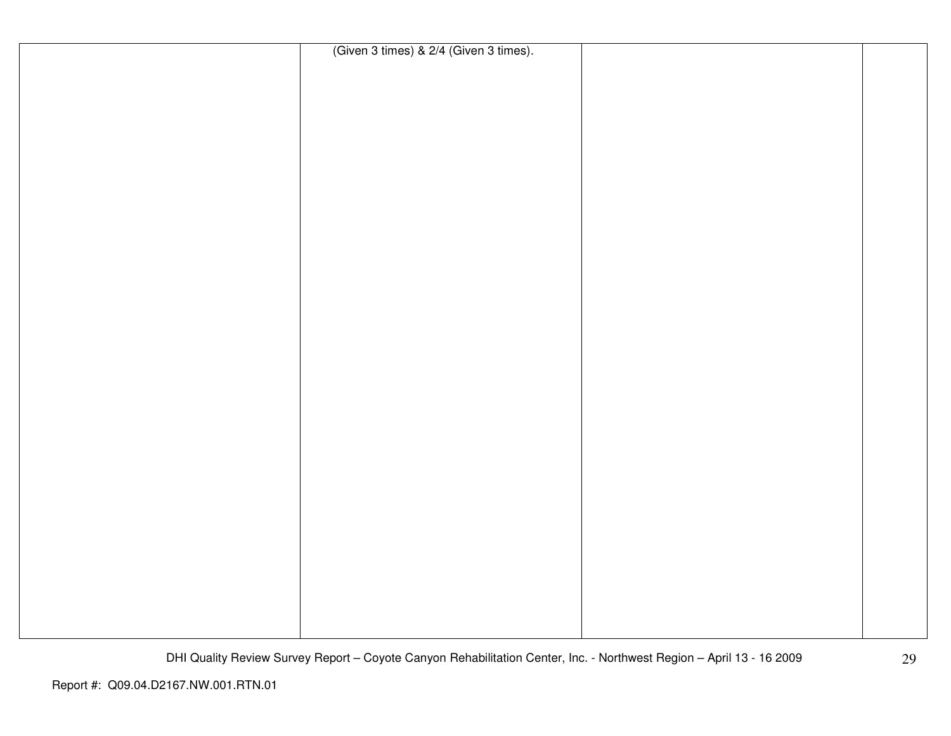| (Given 3 times) & 2/4 (Given 3 times). |  |
|----------------------------------------|--|
|                                        |  |
|                                        |  |
|                                        |  |
|                                        |  |
|                                        |  |
|                                        |  |
|                                        |  |
|                                        |  |
|                                        |  |
|                                        |  |
|                                        |  |
|                                        |  |
|                                        |  |
|                                        |  |
|                                        |  |
|                                        |  |
|                                        |  |
|                                        |  |
|                                        |  |
|                                        |  |
|                                        |  |
|                                        |  |
|                                        |  |
|                                        |  |
|                                        |  |
|                                        |  |
|                                        |  |
|                                        |  |
|                                        |  |
|                                        |  |
|                                        |  |
|                                        |  |
|                                        |  |
|                                        |  |
|                                        |  |
|                                        |  |
|                                        |  |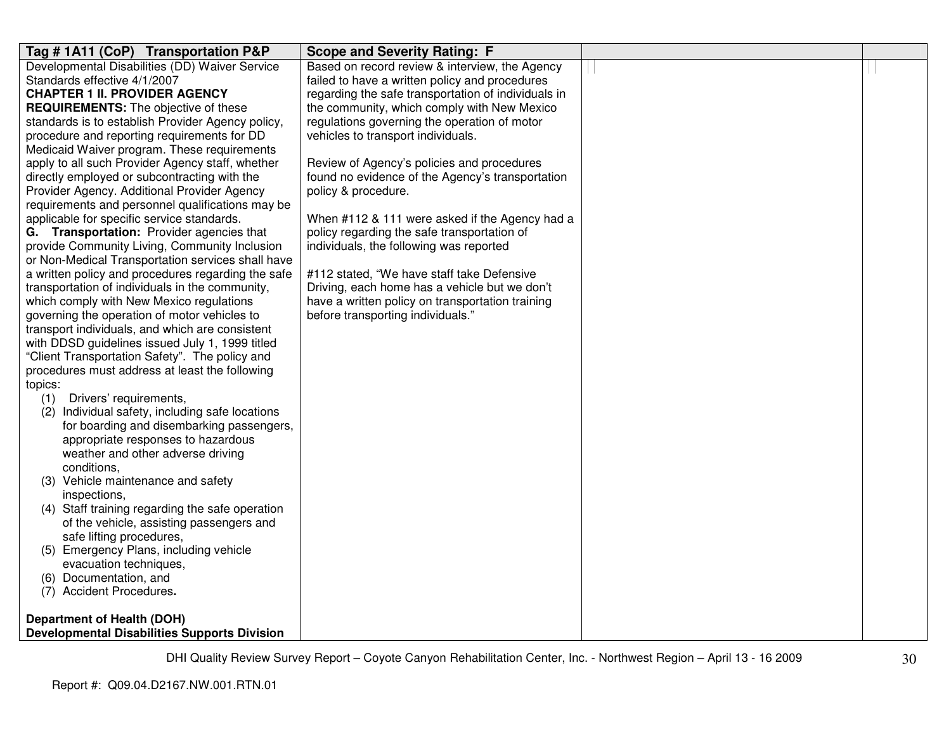| Tag # 1A11 (CoP) Transportation P&P                                                      | <b>Scope and Severity Rating: F</b>                                                   |  |
|------------------------------------------------------------------------------------------|---------------------------------------------------------------------------------------|--|
| Developmental Disabilities (DD) Waiver Service                                           | Based on record review & interview, the Agency                                        |  |
| Standards effective 4/1/2007                                                             | failed to have a written policy and procedures                                        |  |
| <b>CHAPTER 1 II. PROVIDER AGENCY</b>                                                     | regarding the safe transportation of individuals in                                   |  |
| <b>REQUIREMENTS:</b> The objective of these                                              | the community, which comply with New Mexico                                           |  |
| standards is to establish Provider Agency policy,                                        | regulations governing the operation of motor                                          |  |
| procedure and reporting requirements for DD                                              | vehicles to transport individuals.                                                    |  |
| Medicaid Waiver program. These requirements                                              |                                                                                       |  |
| apply to all such Provider Agency staff, whether                                         | Review of Agency's policies and procedures                                            |  |
| directly employed or subcontracting with the                                             | found no evidence of the Agency's transportation                                      |  |
| Provider Agency. Additional Provider Agency                                              | policy & procedure.                                                                   |  |
| requirements and personnel qualifications may be                                         |                                                                                       |  |
| applicable for specific service standards.                                               | When #112 & 111 were asked if the Agency had a                                        |  |
| G. Transportation: Provider agencies that                                                | policy regarding the safe transportation of                                           |  |
| provide Community Living, Community Inclusion                                            | individuals, the following was reported                                               |  |
| or Non-Medical Transportation services shall have                                        |                                                                                       |  |
| a written policy and procedures regarding the safe                                       | #112 stated, "We have staff take Defensive                                            |  |
| transportation of individuals in the community,                                          | Driving, each home has a vehicle but we don't                                         |  |
| which comply with New Mexico regulations<br>governing the operation of motor vehicles to | have a written policy on transportation training<br>before transporting individuals." |  |
| transport individuals, and which are consistent                                          |                                                                                       |  |
| with DDSD guidelines issued July 1, 1999 titled                                          |                                                                                       |  |
| "Client Transportation Safety". The policy and                                           |                                                                                       |  |
| procedures must address at least the following                                           |                                                                                       |  |
| topics:                                                                                  |                                                                                       |  |
| Drivers' requirements,<br>(1)                                                            |                                                                                       |  |
| Individual safety, including safe locations<br>(2)                                       |                                                                                       |  |
| for boarding and disembarking passengers,                                                |                                                                                       |  |
| appropriate responses to hazardous                                                       |                                                                                       |  |
| weather and other adverse driving                                                        |                                                                                       |  |
| conditions,                                                                              |                                                                                       |  |
| (3) Vehicle maintenance and safety                                                       |                                                                                       |  |
| inspections,                                                                             |                                                                                       |  |
| (4) Staff training regarding the safe operation                                          |                                                                                       |  |
| of the vehicle, assisting passengers and                                                 |                                                                                       |  |
| safe lifting procedures,                                                                 |                                                                                       |  |
| Emergency Plans, including vehicle<br>(5)                                                |                                                                                       |  |
| evacuation techniques,                                                                   |                                                                                       |  |
| (6) Documentation, and                                                                   |                                                                                       |  |
| (7) Accident Procedures.                                                                 |                                                                                       |  |
| <b>Department of Health (DOH)</b>                                                        |                                                                                       |  |
| <b>Developmental Disabilities Supports Division</b>                                      |                                                                                       |  |
|                                                                                          |                                                                                       |  |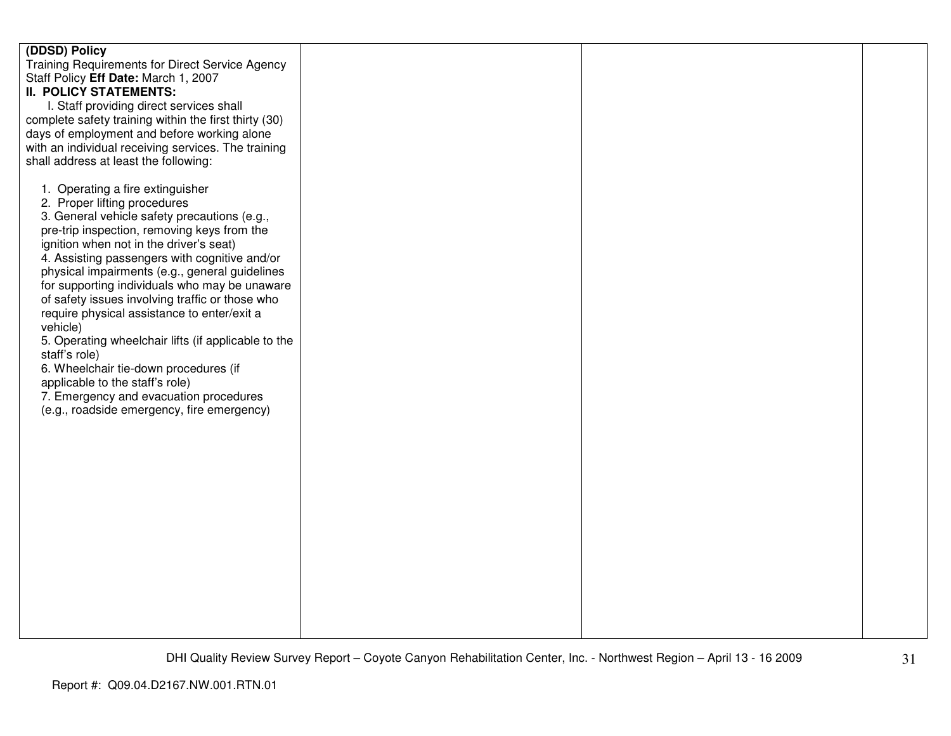| (DDSD) Policy                                         |  |  |
|-------------------------------------------------------|--|--|
| Training Requirements for Direct Service Agency       |  |  |
| Staff Policy Eff Date: March 1, 2007                  |  |  |
| <b>II. POLICY STATEMENTS:</b>                         |  |  |
| I. Staff providing direct services shall              |  |  |
| complete safety training within the first thirty (30) |  |  |
| days of employment and before working alone           |  |  |
| with an individual receiving services. The training   |  |  |
|                                                       |  |  |
| shall address at least the following:                 |  |  |
|                                                       |  |  |
| 1. Operating a fire extinguisher                      |  |  |
| 2. Proper lifting procedures                          |  |  |
| 3. General vehicle safety precautions (e.g.,          |  |  |
| pre-trip inspection, removing keys from the           |  |  |
| ignition when not in the driver's seat)               |  |  |
| 4. Assisting passengers with cognitive and/or         |  |  |
| physical impairments (e.g., general guidelines        |  |  |
| for supporting individuals who may be unaware         |  |  |
| of safety issues involving traffic or those who       |  |  |
| require physical assistance to enter/exit a           |  |  |
| vehicle)                                              |  |  |
| 5. Operating wheelchair lifts (if applicable to the   |  |  |
|                                                       |  |  |
| staff's role)                                         |  |  |
| 6. Wheelchair tie-down procedures (if                 |  |  |
| applicable to the staff's role)                       |  |  |
| 7. Emergency and evacuation procedures                |  |  |
| (e.g., roadside emergency, fire emergency)            |  |  |
|                                                       |  |  |
|                                                       |  |  |
|                                                       |  |  |
|                                                       |  |  |
|                                                       |  |  |
|                                                       |  |  |
|                                                       |  |  |
|                                                       |  |  |
|                                                       |  |  |
|                                                       |  |  |
|                                                       |  |  |
|                                                       |  |  |
|                                                       |  |  |
|                                                       |  |  |
|                                                       |  |  |
|                                                       |  |  |
|                                                       |  |  |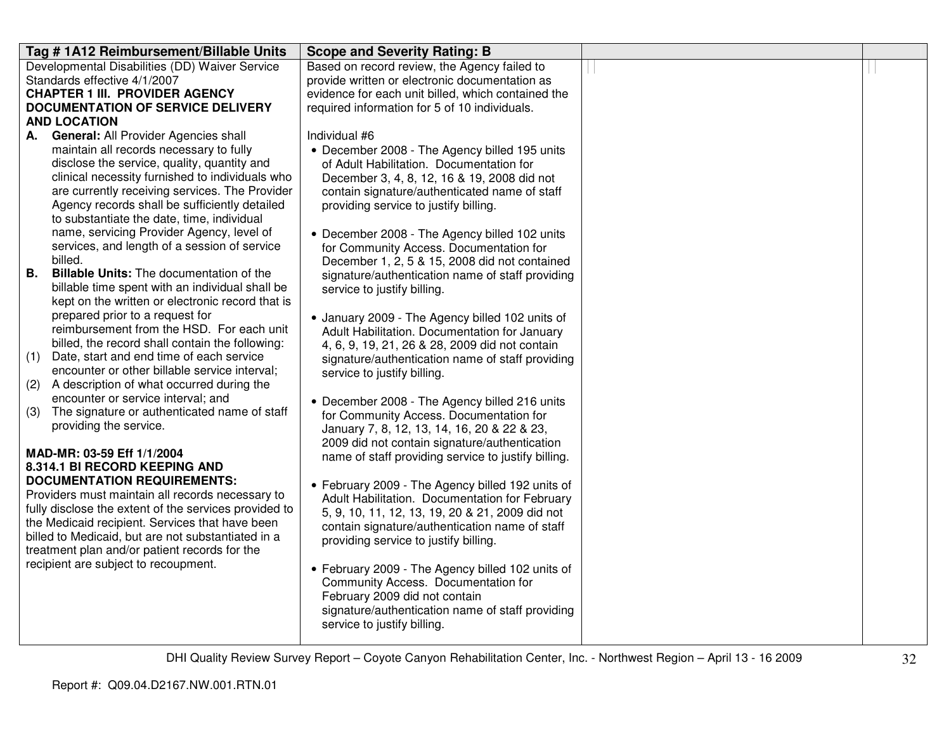| Tag #1A12 Reimbursement/Billable Units                                                              | <b>Scope and Severity Rating: B</b>                                                                |  |
|-----------------------------------------------------------------------------------------------------|----------------------------------------------------------------------------------------------------|--|
| Developmental Disabilities (DD) Waiver Service                                                      | Based on record review, the Agency failed to                                                       |  |
| Standards effective 4/1/2007                                                                        | provide written or electronic documentation as                                                     |  |
| <b>CHAPTER 1 III. PROVIDER AGENCY</b>                                                               | evidence for each unit billed, which contained the                                                 |  |
| <b>DOCUMENTATION OF SERVICE DELIVERY</b><br><b>AND LOCATION</b>                                     | required information for 5 of 10 individuals.                                                      |  |
| A. General: All Provider Agencies shall                                                             | Individual #6                                                                                      |  |
| maintain all records necessary to fully                                                             | • December 2008 - The Agency billed 195 units                                                      |  |
| disclose the service, quality, quantity and                                                         | of Adult Habilitation. Documentation for                                                           |  |
| clinical necessity furnished to individuals who                                                     | December 3, 4, 8, 12, 16 & 19, 2008 did not                                                        |  |
| are currently receiving services. The Provider                                                      | contain signature/authenticated name of staff                                                      |  |
| Agency records shall be sufficiently detailed                                                       | providing service to justify billing.                                                              |  |
| to substantiate the date, time, individual                                                          |                                                                                                    |  |
| name, servicing Provider Agency, level of                                                           | • December 2008 - The Agency billed 102 units                                                      |  |
| services, and length of a session of service                                                        | for Community Access. Documentation for                                                            |  |
| billed.                                                                                             | December 1, 2, 5 & 15, 2008 did not contained                                                      |  |
| <b>Billable Units:</b> The documentation of the<br><b>B.</b>                                        | signature/authentication name of staff providing                                                   |  |
| billable time spent with an individual shall be<br>kept on the written or electronic record that is | service to justify billing.                                                                        |  |
| prepared prior to a request for                                                                     |                                                                                                    |  |
| reimbursement from the HSD. For each unit                                                           | • January 2009 - The Agency billed 102 units of<br>Adult Habilitation. Documentation for January   |  |
| billed, the record shall contain the following:                                                     | 4, 6, 9, 19, 21, 26 & 28, 2009 did not contain                                                     |  |
| Date, start and end time of each service<br>(1)                                                     | signature/authentication name of staff providing                                                   |  |
| encounter or other billable service interval;                                                       | service to justify billing.                                                                        |  |
| A description of what occurred during the<br>(2)                                                    |                                                                                                    |  |
| encounter or service interval; and                                                                  | • December 2008 - The Agency billed 216 units                                                      |  |
| The signature or authenticated name of staff<br>(3)                                                 | for Community Access. Documentation for                                                            |  |
| providing the service.                                                                              | January 7, 8, 12, 13, 14, 16, 20 & 22 & 23,                                                        |  |
| MAD-MR: 03-59 Eff 1/1/2004                                                                          | 2009 did not contain signature/authentication                                                      |  |
| 8.314.1 BI RECORD KEEPING AND                                                                       | name of staff providing service to justify billing.                                                |  |
| <b>DOCUMENTATION REQUIREMENTS:</b>                                                                  |                                                                                                    |  |
| Providers must maintain all records necessary to                                                    | • February 2009 - The Agency billed 192 units of<br>Adult Habilitation. Documentation for February |  |
| fully disclose the extent of the services provided to                                               | 5, 9, 10, 11, 12, 13, 19, 20 & 21, 2009 did not                                                    |  |
| the Medicaid recipient. Services that have been                                                     | contain signature/authentication name of staff                                                     |  |
| billed to Medicaid, but are not substantiated in a                                                  | providing service to justify billing.                                                              |  |
| treatment plan and/or patient records for the                                                       |                                                                                                    |  |
| recipient are subject to recoupment.                                                                | • February 2009 - The Agency billed 102 units of                                                   |  |
|                                                                                                     | Community Access. Documentation for                                                                |  |
|                                                                                                     | February 2009 did not contain                                                                      |  |
|                                                                                                     | signature/authentication name of staff providing                                                   |  |
|                                                                                                     | service to justify billing.                                                                        |  |
|                                                                                                     |                                                                                                    |  |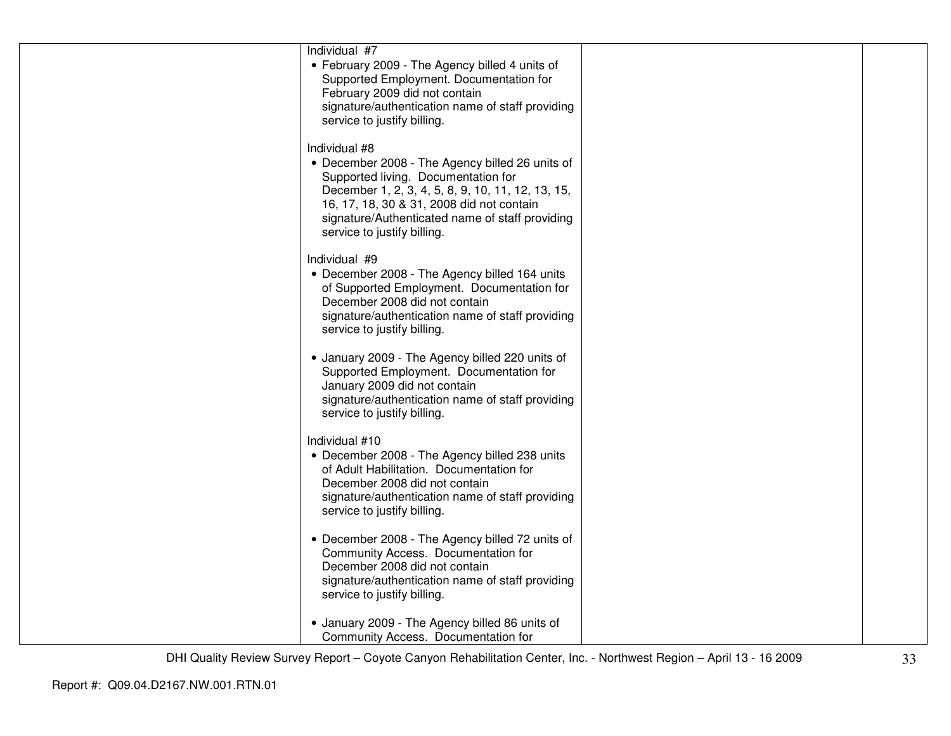| Individual #7                                                                             |  |
|-------------------------------------------------------------------------------------------|--|
| • February 2009 - The Agency billed 4 units of<br>Supported Employment. Documentation for |  |
| February 2009 did not contain                                                             |  |
| signature/authentication name of staff providing                                          |  |
| service to justify billing.                                                               |  |
|                                                                                           |  |
| Individual #8<br>• December 2008 - The Agency billed 26 units of                          |  |
| Supported living. Documentation for                                                       |  |
| December 1, 2, 3, 4, 5, 8, 9, 10, 11, 12, 13, 15,                                         |  |
| 16, 17, 18, 30 & 31, 2008 did not contain                                                 |  |
| signature/Authenticated name of staff providing                                           |  |
| service to justify billing.                                                               |  |
| Individual #9                                                                             |  |
| • December 2008 - The Agency billed 164 units                                             |  |
| of Supported Employment. Documentation for                                                |  |
| December 2008 did not contain<br>signature/authentication name of staff providing         |  |
| service to justify billing.                                                               |  |
|                                                                                           |  |
| • January 2009 - The Agency billed 220 units of                                           |  |
| Supported Employment. Documentation for                                                   |  |
| January 2009 did not contain<br>signature/authentication name of staff providing          |  |
| service to justify billing.                                                               |  |
|                                                                                           |  |
| Individual #10                                                                            |  |
| • December 2008 - The Agency billed 238 units<br>of Adult Habilitation. Documentation for |  |
| December 2008 did not contain                                                             |  |
| signature/authentication name of staff providing                                          |  |
| service to justify billing.                                                               |  |
|                                                                                           |  |
| • December 2008 - The Agency billed 72 units of<br>Community Access. Documentation for    |  |
| December 2008 did not contain                                                             |  |
| signature/authentication name of staff providing                                          |  |
| service to justify billing.                                                               |  |
|                                                                                           |  |
| • January 2009 - The Agency billed 86 units of<br>Community Access. Documentation for     |  |
|                                                                                           |  |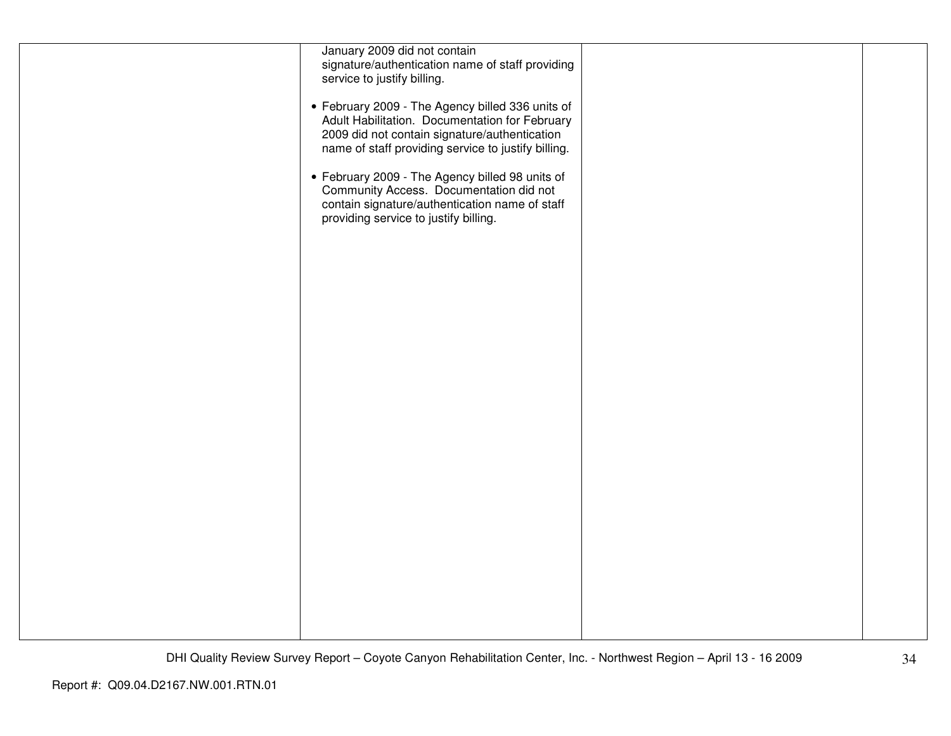| January 2009 did not contain<br>signature/authentication name of staff providing<br>service to justify billing.                                                                                            |  |
|------------------------------------------------------------------------------------------------------------------------------------------------------------------------------------------------------------|--|
| • February 2009 - The Agency billed 336 units of<br>Adult Habilitation. Documentation for February<br>2009 did not contain signature/authentication<br>name of staff providing service to justify billing. |  |
| • February 2009 - The Agency billed 98 units of<br>Community Access. Documentation did not<br>contain signature/authentication name of staff<br>providing service to justify billing.                      |  |
|                                                                                                                                                                                                            |  |
|                                                                                                                                                                                                            |  |
|                                                                                                                                                                                                            |  |
|                                                                                                                                                                                                            |  |
|                                                                                                                                                                                                            |  |
|                                                                                                                                                                                                            |  |
|                                                                                                                                                                                                            |  |
|                                                                                                                                                                                                            |  |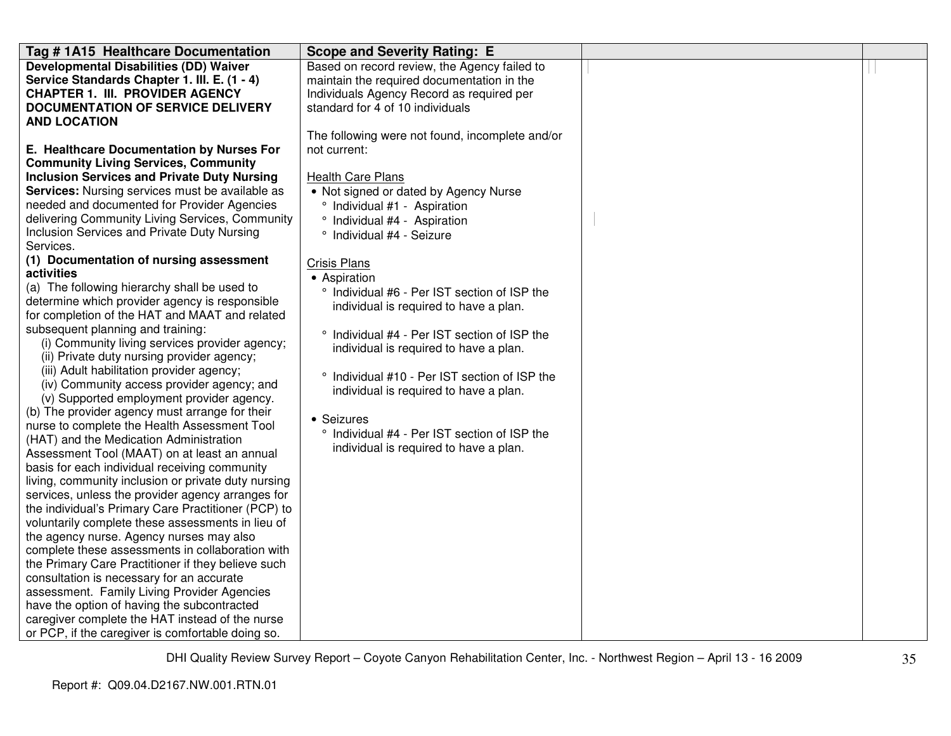| Tag # 1A15 Healthcare Documentation                                                               | <b>Scope and Severity Rating: E</b>             |  |
|---------------------------------------------------------------------------------------------------|-------------------------------------------------|--|
| <b>Developmental Disabilities (DD) Waiver</b>                                                     | Based on record review, the Agency failed to    |  |
| Service Standards Chapter 1. III. E. (1 - 4)                                                      | maintain the required documentation in the      |  |
| <b>CHAPTER 1. III. PROVIDER AGENCY</b>                                                            | Individuals Agency Record as required per       |  |
| <b>DOCUMENTATION OF SERVICE DELIVERY</b>                                                          | standard for 4 of 10 individuals                |  |
| <b>AND LOCATION</b>                                                                               |                                                 |  |
|                                                                                                   | The following were not found, incomplete and/or |  |
| E. Healthcare Documentation by Nurses For                                                         | not current:                                    |  |
| <b>Community Living Services, Community</b><br><b>Inclusion Services and Private Duty Nursing</b> |                                                 |  |
| Services: Nursing services must be available as                                                   | <b>Health Care Plans</b>                        |  |
| needed and documented for Provider Agencies                                                       | • Not signed or dated by Agency Nurse           |  |
| delivering Community Living Services, Community                                                   | ° Individual #1 - Aspiration                    |  |
| Inclusion Services and Private Duty Nursing                                                       | ° Individual #4 - Aspiration                    |  |
| Services.                                                                                         | ° Individual #4 - Seizure                       |  |
| (1) Documentation of nursing assessment                                                           |                                                 |  |
| activities                                                                                        | Crisis Plans                                    |  |
| (a) The following hierarchy shall be used to                                                      | • Aspiration                                    |  |
| determine which provider agency is responsible                                                    | ° Individual #6 - Per IST section of ISP the    |  |
| for completion of the HAT and MAAT and related                                                    | individual is required to have a plan.          |  |
| subsequent planning and training:                                                                 |                                                 |  |
| (i) Community living services provider agency;                                                    | ° Individual #4 - Per IST section of ISP the    |  |
| (ii) Private duty nursing provider agency;                                                        | individual is required to have a plan.          |  |
| (iii) Adult habilitation provider agency;                                                         |                                                 |  |
| (iv) Community access provider agency; and                                                        | ° Individual #10 - Per IST section of ISP the   |  |
| (v) Supported employment provider agency.                                                         | individual is required to have a plan.          |  |
| (b) The provider agency must arrange for their                                                    |                                                 |  |
| nurse to complete the Health Assessment Tool                                                      | • Seizures                                      |  |
| (HAT) and the Medication Administration                                                           | ° Individual #4 - Per IST section of ISP the    |  |
| Assessment Tool (MAAT) on at least an annual                                                      | individual is required to have a plan.          |  |
| basis for each individual receiving community                                                     |                                                 |  |
| living, community inclusion or private duty nursing                                               |                                                 |  |
| services, unless the provider agency arranges for                                                 |                                                 |  |
| the individual's Primary Care Practitioner (PCP) to                                               |                                                 |  |
| voluntarily complete these assessments in lieu of                                                 |                                                 |  |
| the agency nurse. Agency nurses may also                                                          |                                                 |  |
| complete these assessments in collaboration with                                                  |                                                 |  |
| the Primary Care Practitioner if they believe such                                                |                                                 |  |
| consultation is necessary for an accurate                                                         |                                                 |  |
| assessment. Family Living Provider Agencies                                                       |                                                 |  |
| have the option of having the subcontracted                                                       |                                                 |  |
| caregiver complete the HAT instead of the nurse                                                   |                                                 |  |
| or PCP, if the caregiver is comfortable doing so.                                                 |                                                 |  |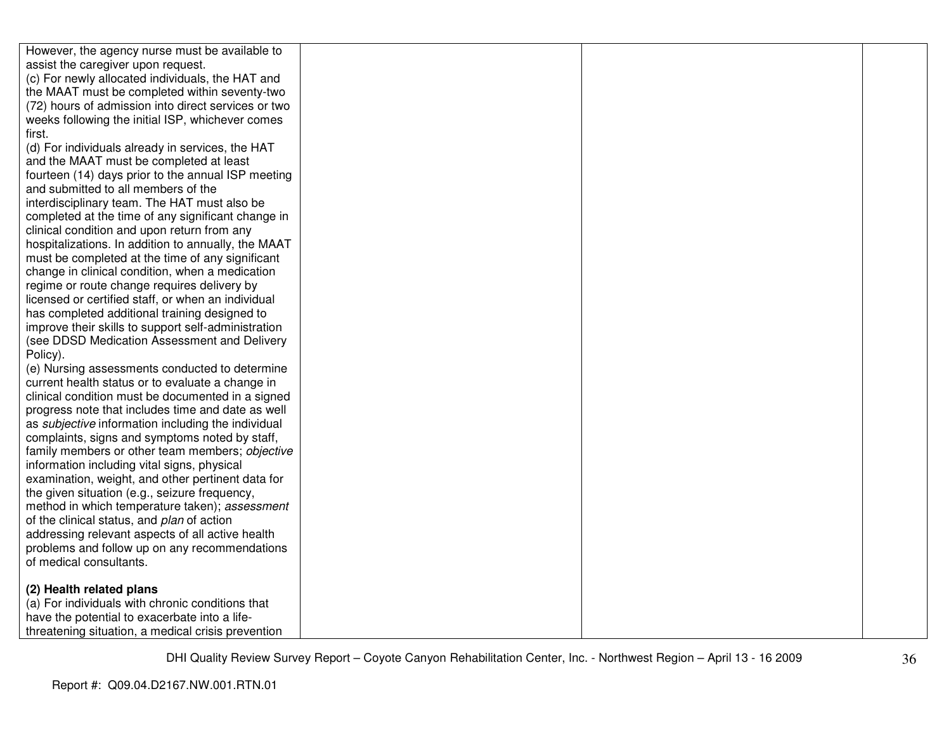| However, the agency nurse must be available to      |  |  |
|-----------------------------------------------------|--|--|
| assist the caregiver upon request.                  |  |  |
| (c) For newly allocated individuals, the HAT and    |  |  |
| the MAAT must be completed within seventy-two       |  |  |
| (72) hours of admission into direct services or two |  |  |
| weeks following the initial ISP, whichever comes    |  |  |
| first.                                              |  |  |
| (d) For individuals already in services, the HAT    |  |  |
| and the MAAT must be completed at least             |  |  |
| fourteen (14) days prior to the annual ISP meeting  |  |  |
| and submitted to all members of the                 |  |  |
| interdisciplinary team. The HAT must also be        |  |  |
| completed at the time of any significant change in  |  |  |
| clinical condition and upon return from any         |  |  |
| hospitalizations. In addition to annually, the MAAT |  |  |
| must be completed at the time of any significant    |  |  |
| change in clinical condition, when a medication     |  |  |
| regime or route change requires delivery by         |  |  |
| licensed or certified staff, or when an individual  |  |  |
| has completed additional training designed to       |  |  |
| improve their skills to support self-administration |  |  |
| (see DDSD Medication Assessment and Delivery        |  |  |
| Policy).                                            |  |  |
| (e) Nursing assessments conducted to determine      |  |  |
| current health status or to evaluate a change in    |  |  |
| clinical condition must be documented in a signed   |  |  |
| progress note that includes time and date as well   |  |  |
| as subjective information including the individual  |  |  |
| complaints, signs and symptoms noted by staff,      |  |  |
| family members or other team members; objective     |  |  |
| information including vital signs, physical         |  |  |
| examination, weight, and other pertinent data for   |  |  |
| the given situation (e.g., seizure frequency,       |  |  |
| method in which temperature taken); assessment      |  |  |
| of the clinical status, and plan of action          |  |  |
| addressing relevant aspects of all active health    |  |  |
| problems and follow up on any recommendations       |  |  |
| of medical consultants.                             |  |  |
|                                                     |  |  |
| (2) Health related plans                            |  |  |
| (a) For individuals with chronic conditions that    |  |  |
| have the potential to exacerbate into a life-       |  |  |
| threatening situation, a medical crisis prevention  |  |  |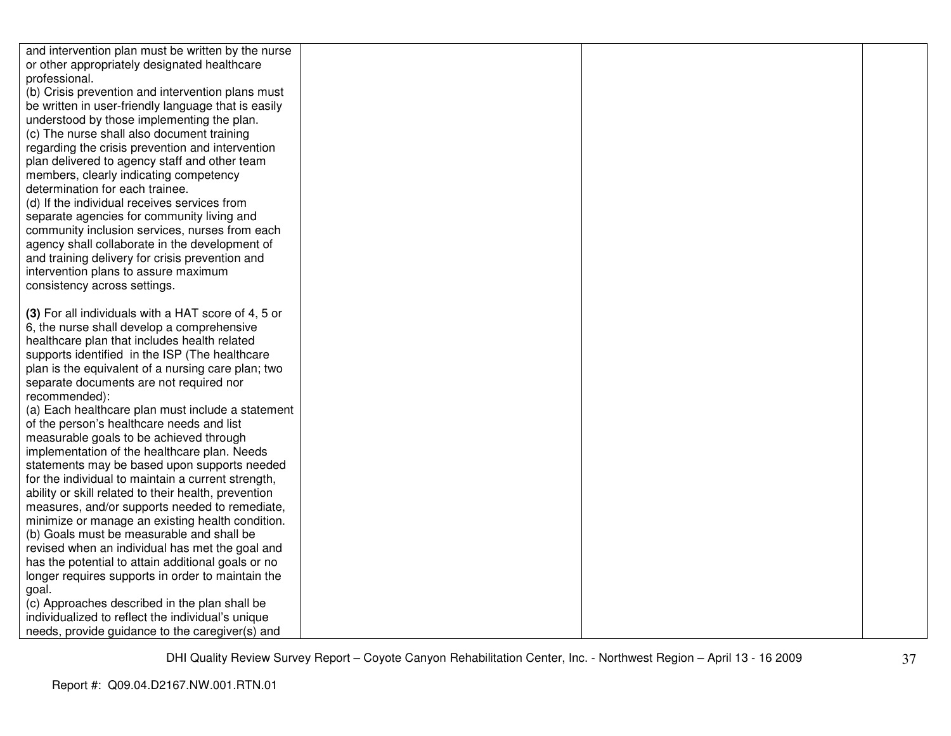| and intervention plan must be written by the nurse   |  |  |
|------------------------------------------------------|--|--|
| or other appropriately designated healthcare         |  |  |
| professional.                                        |  |  |
| (b) Crisis prevention and intervention plans must    |  |  |
| be written in user-friendly language that is easily  |  |  |
| understood by those implementing the plan.           |  |  |
| (c) The nurse shall also document training           |  |  |
| regarding the crisis prevention and intervention     |  |  |
| plan delivered to agency staff and other team        |  |  |
| members, clearly indicating competency               |  |  |
| determination for each trainee.                      |  |  |
| (d) If the individual receives services from         |  |  |
| separate agencies for community living and           |  |  |
| community inclusion services, nurses from each       |  |  |
| agency shall collaborate in the development of       |  |  |
| and training delivery for crisis prevention and      |  |  |
| intervention plans to assure maximum                 |  |  |
| consistency across settings.                         |  |  |
|                                                      |  |  |
| (3) For all individuals with a HAT score of 4, 5 or  |  |  |
| 6, the nurse shall develop a comprehensive           |  |  |
| healthcare plan that includes health related         |  |  |
| supports identified in the ISP (The healthcare       |  |  |
| plan is the equivalent of a nursing care plan; two   |  |  |
| separate documents are not required nor              |  |  |
| recommended):                                        |  |  |
| (a) Each healthcare plan must include a statement    |  |  |
| of the person's healthcare needs and list            |  |  |
| measurable goals to be achieved through              |  |  |
| implementation of the healthcare plan. Needs         |  |  |
| statements may be based upon supports needed         |  |  |
| for the individual to maintain a current strength,   |  |  |
| ability or skill related to their health, prevention |  |  |
| measures, and/or supports needed to remediate,       |  |  |
| minimize or manage an existing health condition.     |  |  |
| (b) Goals must be measurable and shall be            |  |  |
| revised when an individual has met the goal and      |  |  |
| has the potential to attain additional goals or no   |  |  |
| longer requires supports in order to maintain the    |  |  |
| goal.                                                |  |  |
| (c) Approaches described in the plan shall be        |  |  |
| individualized to reflect the individual's unique    |  |  |
| needs, provide guidance to the caregiver(s) and      |  |  |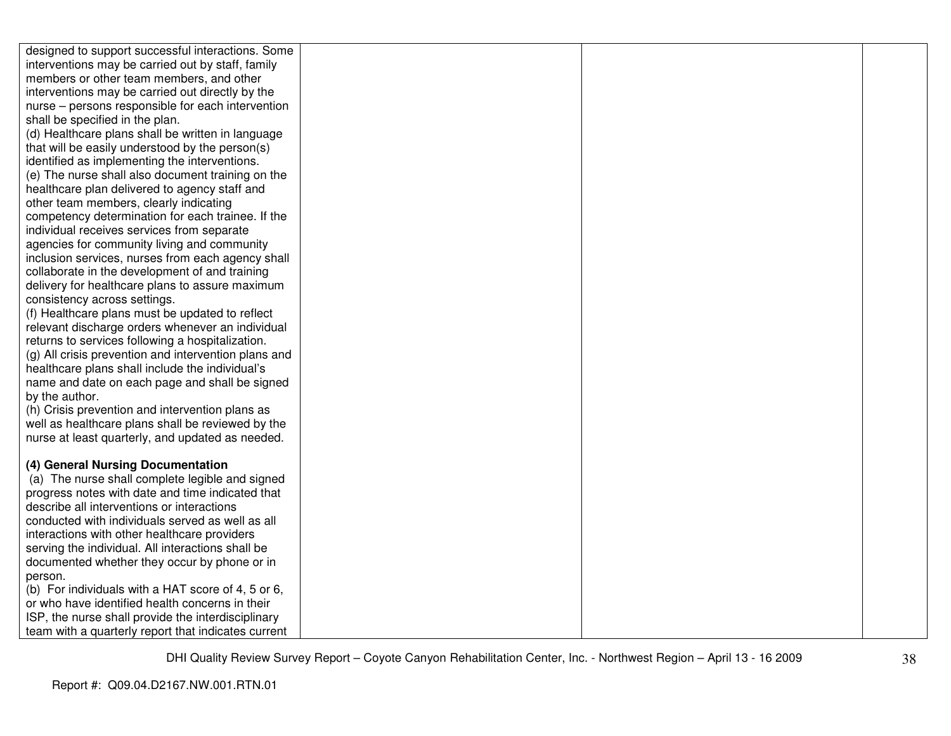| designed to support successful interactions. Some                                                     |  |  |
|-------------------------------------------------------------------------------------------------------|--|--|
| interventions may be carried out by staff, family                                                     |  |  |
| members or other team members, and other                                                              |  |  |
| interventions may be carried out directly by the                                                      |  |  |
| nurse - persons responsible for each intervention                                                     |  |  |
| shall be specified in the plan.                                                                       |  |  |
| (d) Healthcare plans shall be written in language                                                     |  |  |
| that will be easily understood by the person(s)                                                       |  |  |
| identified as implementing the interventions.                                                         |  |  |
| (e) The nurse shall also document training on the                                                     |  |  |
| healthcare plan delivered to agency staff and                                                         |  |  |
| other team members, clearly indicating                                                                |  |  |
| competency determination for each trainee. If the                                                     |  |  |
| individual receives services from separate                                                            |  |  |
| agencies for community living and community                                                           |  |  |
| inclusion services, nurses from each agency shall                                                     |  |  |
| collaborate in the development of and training                                                        |  |  |
| delivery for healthcare plans to assure maximum                                                       |  |  |
| consistency across settings.                                                                          |  |  |
| (f) Healthcare plans must be updated to reflect                                                       |  |  |
| relevant discharge orders whenever an individual                                                      |  |  |
| returns to services following a hospitalization.                                                      |  |  |
| (g) All crisis prevention and intervention plans and                                                  |  |  |
| healthcare plans shall include the individual's                                                       |  |  |
| name and date on each page and shall be signed                                                        |  |  |
| by the author.                                                                                        |  |  |
| (h) Crisis prevention and intervention plans as                                                       |  |  |
| well as healthcare plans shall be reviewed by the<br>nurse at least quarterly, and updated as needed. |  |  |
|                                                                                                       |  |  |
| (4) General Nursing Documentation                                                                     |  |  |
| (a) The nurse shall complete legible and signed                                                       |  |  |
| progress notes with date and time indicated that                                                      |  |  |
| describe all interventions or interactions                                                            |  |  |
| conducted with individuals served as well as all                                                      |  |  |
| interactions with other healthcare providers                                                          |  |  |
| serving the individual. All interactions shall be                                                     |  |  |
| documented whether they occur by phone or in                                                          |  |  |
| person.                                                                                               |  |  |
| (b) For individuals with a HAT score of 4, 5 or 6,                                                    |  |  |
| or who have identified health concerns in their                                                       |  |  |
| ISP, the nurse shall provide the interdisciplinary                                                    |  |  |
| team with a quarterly report that indicates current                                                   |  |  |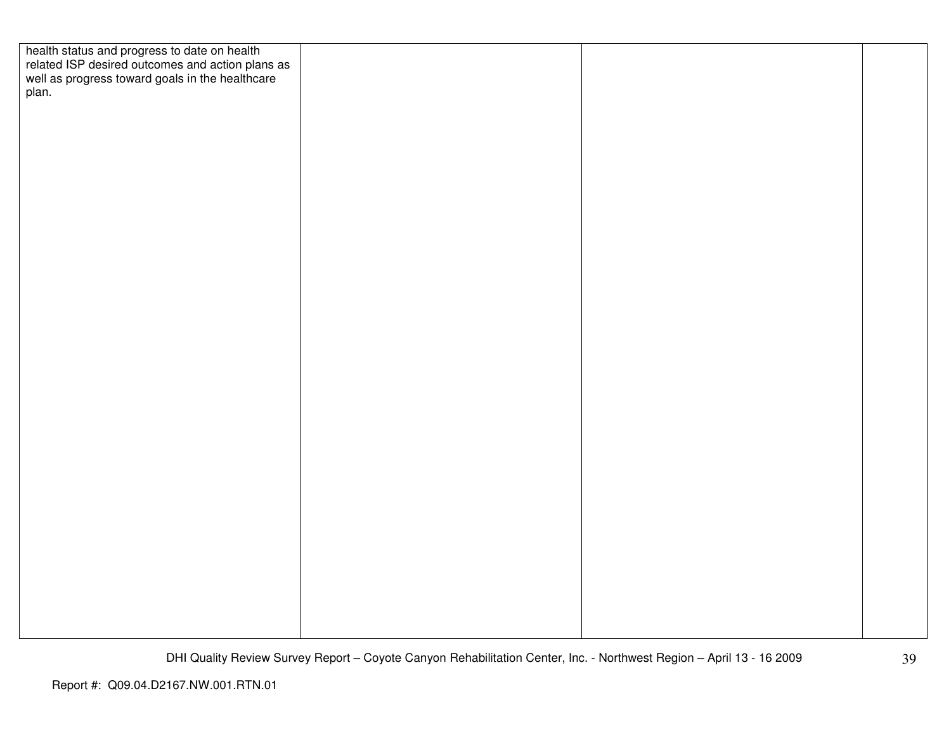| health status and progress to date on health<br>related ISP desired outcomes and action plans as<br>well as progress toward goals in the healthcare<br>plan. |  |  |
|--------------------------------------------------------------------------------------------------------------------------------------------------------------|--|--|
|                                                                                                                                                              |  |  |
|                                                                                                                                                              |  |  |
|                                                                                                                                                              |  |  |
|                                                                                                                                                              |  |  |
|                                                                                                                                                              |  |  |
|                                                                                                                                                              |  |  |
|                                                                                                                                                              |  |  |
|                                                                                                                                                              |  |  |
|                                                                                                                                                              |  |  |
|                                                                                                                                                              |  |  |
|                                                                                                                                                              |  |  |
|                                                                                                                                                              |  |  |
|                                                                                                                                                              |  |  |
|                                                                                                                                                              |  |  |
|                                                                                                                                                              |  |  |
|                                                                                                                                                              |  |  |
|                                                                                                                                                              |  |  |
|                                                                                                                                                              |  |  |
|                                                                                                                                                              |  |  |
|                                                                                                                                                              |  |  |
|                                                                                                                                                              |  |  |
|                                                                                                                                                              |  |  |
|                                                                                                                                                              |  |  |
|                                                                                                                                                              |  |  |
|                                                                                                                                                              |  |  |
|                                                                                                                                                              |  |  |
|                                                                                                                                                              |  |  |
|                                                                                                                                                              |  |  |
|                                                                                                                                                              |  |  |
|                                                                                                                                                              |  |  |
|                                                                                                                                                              |  |  |
|                                                                                                                                                              |  |  |
|                                                                                                                                                              |  |  |
|                                                                                                                                                              |  |  |
|                                                                                                                                                              |  |  |
|                                                                                                                                                              |  |  |
|                                                                                                                                                              |  |  |
|                                                                                                                                                              |  |  |
|                                                                                                                                                              |  |  |
|                                                                                                                                                              |  |  |
|                                                                                                                                                              |  |  |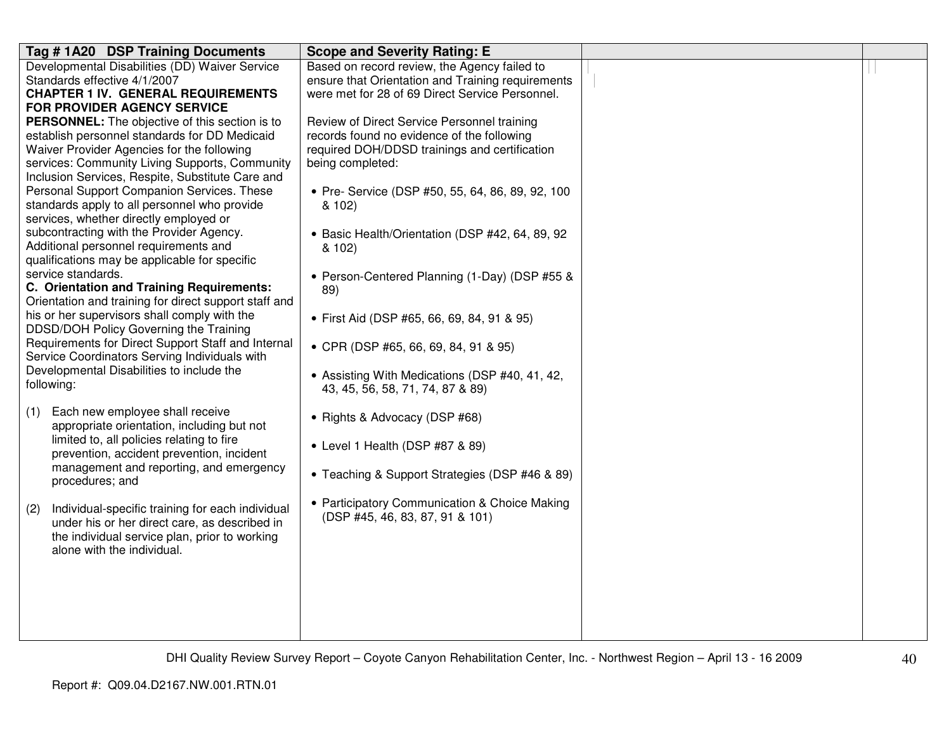| Tag #1A20 DSP Training Documents                                                        | <b>Scope and Severity Rating: E</b>               |  |
|-----------------------------------------------------------------------------------------|---------------------------------------------------|--|
| Developmental Disabilities (DD) Waiver Service                                          | Based on record review, the Agency failed to      |  |
| Standards effective 4/1/2007                                                            | ensure that Orientation and Training requirements |  |
| <b>CHAPTER 1 IV. GENERAL REQUIREMENTS</b>                                               | were met for 28 of 69 Direct Service Personnel.   |  |
| FOR PROVIDER AGENCY SERVICE<br>PERSONNEL: The objective of this section is to           | Review of Direct Service Personnel training       |  |
| establish personnel standards for DD Medicaid                                           | records found no evidence of the following        |  |
| Waiver Provider Agencies for the following                                              | required DOH/DDSD trainings and certification     |  |
| services: Community Living Supports, Community                                          | being completed:                                  |  |
| Inclusion Services, Respite, Substitute Care and                                        |                                                   |  |
| Personal Support Companion Services. These                                              | • Pre- Service (DSP #50, 55, 64, 86, 89, 92, 100  |  |
| standards apply to all personnel who provide                                            | & 102)                                            |  |
| services, whether directly employed or                                                  |                                                   |  |
| subcontracting with the Provider Agency.                                                | • Basic Health/Orientation (DSP #42, 64, 89, 92   |  |
| Additional personnel requirements and                                                   | & 102)                                            |  |
| qualifications may be applicable for specific                                           |                                                   |  |
| service standards.<br>C. Orientation and Training Requirements:                         | • Person-Centered Planning (1-Day) (DSP #55 &     |  |
| Orientation and training for direct support staff and                                   | 89)                                               |  |
| his or her supervisors shall comply with the                                            | • First Aid (DSP #65, 66, 69, 84, 91 & 95)        |  |
| DDSD/DOH Policy Governing the Training                                                  |                                                   |  |
| Requirements for Direct Support Staff and Internal                                      | • CPR (DSP #65, 66, 69, 84, 91 & 95)              |  |
| Service Coordinators Serving Individuals with                                           |                                                   |  |
| Developmental Disabilities to include the                                               | • Assisting With Medications (DSP #40, 41, 42,    |  |
| following:                                                                              | 43, 45, 56, 58, 71, 74, 87 & 89)                  |  |
|                                                                                         |                                                   |  |
| Each new employee shall receive<br>(1)                                                  | • Rights & Advocacy (DSP #68)                     |  |
| appropriate orientation, including but not<br>limited to, all policies relating to fire |                                                   |  |
| prevention, accident prevention, incident                                               | • Level 1 Health (DSP #87 & 89)                   |  |
| management and reporting, and emergency                                                 |                                                   |  |
| procedures; and                                                                         | • Teaching & Support Strategies (DSP #46 & 89)    |  |
|                                                                                         | • Participatory Communication & Choice Making     |  |
| Individual-specific training for each individual<br>(2)                                 | (DSP #45, 46, 83, 87, 91 & 101)                   |  |
| under his or her direct care, as described in                                           |                                                   |  |
| the individual service plan, prior to working                                           |                                                   |  |
| alone with the individual.                                                              |                                                   |  |
|                                                                                         |                                                   |  |
|                                                                                         |                                                   |  |
|                                                                                         |                                                   |  |
|                                                                                         |                                                   |  |
|                                                                                         |                                                   |  |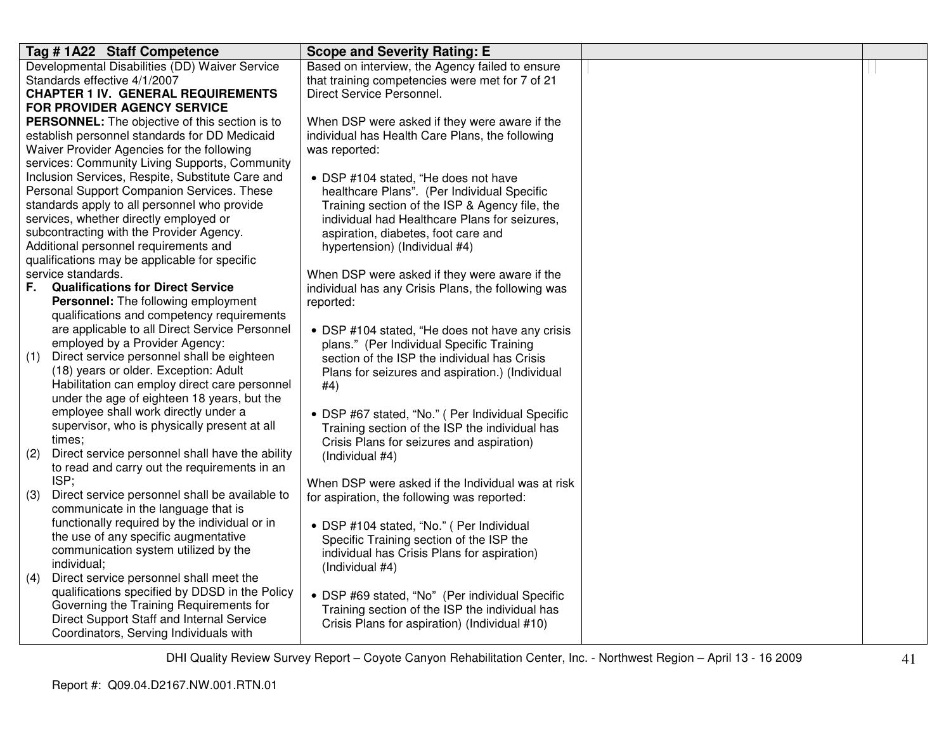|            | Tag #1A22 Staff Competence                                                                                                                                                                                                                                                                                                                                                                                                                                                                                                                                                                   | <b>Scope and Severity Rating: E</b>                                                                                                                                                                                                                                                                                                                                                                                                                                                                                                                                                                                                                                                                |  |
|------------|----------------------------------------------------------------------------------------------------------------------------------------------------------------------------------------------------------------------------------------------------------------------------------------------------------------------------------------------------------------------------------------------------------------------------------------------------------------------------------------------------------------------------------------------------------------------------------------------|----------------------------------------------------------------------------------------------------------------------------------------------------------------------------------------------------------------------------------------------------------------------------------------------------------------------------------------------------------------------------------------------------------------------------------------------------------------------------------------------------------------------------------------------------------------------------------------------------------------------------------------------------------------------------------------------------|--|
|            | Developmental Disabilities (DD) Waiver Service                                                                                                                                                                                                                                                                                                                                                                                                                                                                                                                                               | Based on interview, the Agency failed to ensure                                                                                                                                                                                                                                                                                                                                                                                                                                                                                                                                                                                                                                                    |  |
|            | Standards effective 4/1/2007                                                                                                                                                                                                                                                                                                                                                                                                                                                                                                                                                                 | that training competencies were met for 7 of 21                                                                                                                                                                                                                                                                                                                                                                                                                                                                                                                                                                                                                                                    |  |
|            | <b>CHAPTER 1 IV. GENERAL REQUIREMENTS</b>                                                                                                                                                                                                                                                                                                                                                                                                                                                                                                                                                    | Direct Service Personnel.                                                                                                                                                                                                                                                                                                                                                                                                                                                                                                                                                                                                                                                                          |  |
|            | FOR PROVIDER AGENCY SERVICE                                                                                                                                                                                                                                                                                                                                                                                                                                                                                                                                                                  |                                                                                                                                                                                                                                                                                                                                                                                                                                                                                                                                                                                                                                                                                                    |  |
|            | <b>PERSONNEL:</b> The objective of this section is to                                                                                                                                                                                                                                                                                                                                                                                                                                                                                                                                        | When DSP were asked if they were aware if the                                                                                                                                                                                                                                                                                                                                                                                                                                                                                                                                                                                                                                                      |  |
|            | establish personnel standards for DD Medicaid                                                                                                                                                                                                                                                                                                                                                                                                                                                                                                                                                | individual has Health Care Plans, the following                                                                                                                                                                                                                                                                                                                                                                                                                                                                                                                                                                                                                                                    |  |
|            | Waiver Provider Agencies for the following                                                                                                                                                                                                                                                                                                                                                                                                                                                                                                                                                   | was reported:                                                                                                                                                                                                                                                                                                                                                                                                                                                                                                                                                                                                                                                                                      |  |
|            | services: Community Living Supports, Community                                                                                                                                                                                                                                                                                                                                                                                                                                                                                                                                               |                                                                                                                                                                                                                                                                                                                                                                                                                                                                                                                                                                                                                                                                                                    |  |
|            | Inclusion Services, Respite, Substitute Care and                                                                                                                                                                                                                                                                                                                                                                                                                                                                                                                                             | • DSP #104 stated, "He does not have                                                                                                                                                                                                                                                                                                                                                                                                                                                                                                                                                                                                                                                               |  |
|            | Personal Support Companion Services. These                                                                                                                                                                                                                                                                                                                                                                                                                                                                                                                                                   | healthcare Plans". (Per Individual Specific                                                                                                                                                                                                                                                                                                                                                                                                                                                                                                                                                                                                                                                        |  |
|            | standards apply to all personnel who provide                                                                                                                                                                                                                                                                                                                                                                                                                                                                                                                                                 | Training section of the ISP & Agency file, the                                                                                                                                                                                                                                                                                                                                                                                                                                                                                                                                                                                                                                                     |  |
|            | services, whether directly employed or                                                                                                                                                                                                                                                                                                                                                                                                                                                                                                                                                       | individual had Healthcare Plans for seizures.                                                                                                                                                                                                                                                                                                                                                                                                                                                                                                                                                                                                                                                      |  |
|            | subcontracting with the Provider Agency.                                                                                                                                                                                                                                                                                                                                                                                                                                                                                                                                                     | aspiration, diabetes, foot care and                                                                                                                                                                                                                                                                                                                                                                                                                                                                                                                                                                                                                                                                |  |
|            | Additional personnel requirements and                                                                                                                                                                                                                                                                                                                                                                                                                                                                                                                                                        | hypertension) (Individual #4)                                                                                                                                                                                                                                                                                                                                                                                                                                                                                                                                                                                                                                                                      |  |
|            | qualifications may be applicable for specific                                                                                                                                                                                                                                                                                                                                                                                                                                                                                                                                                |                                                                                                                                                                                                                                                                                                                                                                                                                                                                                                                                                                                                                                                                                                    |  |
|            | service standards.                                                                                                                                                                                                                                                                                                                                                                                                                                                                                                                                                                           | When DSP were asked if they were aware if the                                                                                                                                                                                                                                                                                                                                                                                                                                                                                                                                                                                                                                                      |  |
| F. .       | <b>Qualifications for Direct Service</b>                                                                                                                                                                                                                                                                                                                                                                                                                                                                                                                                                     | individual has any Crisis Plans, the following was                                                                                                                                                                                                                                                                                                                                                                                                                                                                                                                                                                                                                                                 |  |
|            | Personnel: The following employment                                                                                                                                                                                                                                                                                                                                                                                                                                                                                                                                                          | reported:                                                                                                                                                                                                                                                                                                                                                                                                                                                                                                                                                                                                                                                                                          |  |
|            | qualifications and competency requirements                                                                                                                                                                                                                                                                                                                                                                                                                                                                                                                                                   |                                                                                                                                                                                                                                                                                                                                                                                                                                                                                                                                                                                                                                                                                                    |  |
|            | are applicable to all Direct Service Personnel<br>employed by a Provider Agency:                                                                                                                                                                                                                                                                                                                                                                                                                                                                                                             | • DSP #104 stated, "He does not have any crisis                                                                                                                                                                                                                                                                                                                                                                                                                                                                                                                                                                                                                                                    |  |
| (1)        | Direct service personnel shall be eighteen                                                                                                                                                                                                                                                                                                                                                                                                                                                                                                                                                   | plans." (Per Individual Specific Training                                                                                                                                                                                                                                                                                                                                                                                                                                                                                                                                                                                                                                                          |  |
|            |                                                                                                                                                                                                                                                                                                                                                                                                                                                                                                                                                                                              |                                                                                                                                                                                                                                                                                                                                                                                                                                                                                                                                                                                                                                                                                                    |  |
|            |                                                                                                                                                                                                                                                                                                                                                                                                                                                                                                                                                                                              |                                                                                                                                                                                                                                                                                                                                                                                                                                                                                                                                                                                                                                                                                                    |  |
|            |                                                                                                                                                                                                                                                                                                                                                                                                                                                                                                                                                                                              |                                                                                                                                                                                                                                                                                                                                                                                                                                                                                                                                                                                                                                                                                                    |  |
|            |                                                                                                                                                                                                                                                                                                                                                                                                                                                                                                                                                                                              |                                                                                                                                                                                                                                                                                                                                                                                                                                                                                                                                                                                                                                                                                                    |  |
|            |                                                                                                                                                                                                                                                                                                                                                                                                                                                                                                                                                                                              |                                                                                                                                                                                                                                                                                                                                                                                                                                                                                                                                                                                                                                                                                                    |  |
|            |                                                                                                                                                                                                                                                                                                                                                                                                                                                                                                                                                                                              |                                                                                                                                                                                                                                                                                                                                                                                                                                                                                                                                                                                                                                                                                                    |  |
|            |                                                                                                                                                                                                                                                                                                                                                                                                                                                                                                                                                                                              |                                                                                                                                                                                                                                                                                                                                                                                                                                                                                                                                                                                                                                                                                                    |  |
|            |                                                                                                                                                                                                                                                                                                                                                                                                                                                                                                                                                                                              |                                                                                                                                                                                                                                                                                                                                                                                                                                                                                                                                                                                                                                                                                                    |  |
|            |                                                                                                                                                                                                                                                                                                                                                                                                                                                                                                                                                                                              |                                                                                                                                                                                                                                                                                                                                                                                                                                                                                                                                                                                                                                                                                                    |  |
|            |                                                                                                                                                                                                                                                                                                                                                                                                                                                                                                                                                                                              |                                                                                                                                                                                                                                                                                                                                                                                                                                                                                                                                                                                                                                                                                                    |  |
|            | communicate in the language that is                                                                                                                                                                                                                                                                                                                                                                                                                                                                                                                                                          |                                                                                                                                                                                                                                                                                                                                                                                                                                                                                                                                                                                                                                                                                                    |  |
|            |                                                                                                                                                                                                                                                                                                                                                                                                                                                                                                                                                                                              |                                                                                                                                                                                                                                                                                                                                                                                                                                                                                                                                                                                                                                                                                                    |  |
|            | the use of any specific augmentative                                                                                                                                                                                                                                                                                                                                                                                                                                                                                                                                                         |                                                                                                                                                                                                                                                                                                                                                                                                                                                                                                                                                                                                                                                                                                    |  |
|            | communication system utilized by the                                                                                                                                                                                                                                                                                                                                                                                                                                                                                                                                                         |                                                                                                                                                                                                                                                                                                                                                                                                                                                                                                                                                                                                                                                                                                    |  |
|            | individual;                                                                                                                                                                                                                                                                                                                                                                                                                                                                                                                                                                                  |                                                                                                                                                                                                                                                                                                                                                                                                                                                                                                                                                                                                                                                                                                    |  |
| (4)        | Direct service personnel shall meet the                                                                                                                                                                                                                                                                                                                                                                                                                                                                                                                                                      |                                                                                                                                                                                                                                                                                                                                                                                                                                                                                                                                                                                                                                                                                                    |  |
|            |                                                                                                                                                                                                                                                                                                                                                                                                                                                                                                                                                                                              |                                                                                                                                                                                                                                                                                                                                                                                                                                                                                                                                                                                                                                                                                                    |  |
|            |                                                                                                                                                                                                                                                                                                                                                                                                                                                                                                                                                                                              |                                                                                                                                                                                                                                                                                                                                                                                                                                                                                                                                                                                                                                                                                                    |  |
|            | Direct Support Staff and Internal Service                                                                                                                                                                                                                                                                                                                                                                                                                                                                                                                                                    |                                                                                                                                                                                                                                                                                                                                                                                                                                                                                                                                                                                                                                                                                                    |  |
|            |                                                                                                                                                                                                                                                                                                                                                                                                                                                                                                                                                                                              |                                                                                                                                                                                                                                                                                                                                                                                                                                                                                                                                                                                                                                                                                                    |  |
| (2)<br>(3) | (18) years or older. Exception: Adult<br>Habilitation can employ direct care personnel<br>under the age of eighteen 18 years, but the<br>employee shall work directly under a<br>supervisor, who is physically present at all<br>times:<br>Direct service personnel shall have the ability<br>to read and carry out the requirements in an<br>ISP;<br>Direct service personnel shall be available to<br>functionally required by the individual or in<br>qualifications specified by DDSD in the Policy<br>Governing the Training Requirements for<br>Coordinators, Serving Individuals with | section of the ISP the individual has Crisis<br>Plans for seizures and aspiration.) (Individual<br>#4)<br>• DSP #67 stated, "No." ( Per Individual Specific<br>Training section of the ISP the individual has<br>Crisis Plans for seizures and aspiration)<br>(Individual #4)<br>When DSP were asked if the Individual was at risk<br>for aspiration, the following was reported:<br>• DSP #104 stated, "No." ( Per Individual<br>Specific Training section of the ISP the<br>individual has Crisis Plans for aspiration)<br>(Individual #4)<br>• DSP #69 stated, "No" (Per individual Specific<br>Training section of the ISP the individual has<br>Crisis Plans for aspiration) (Individual #10) |  |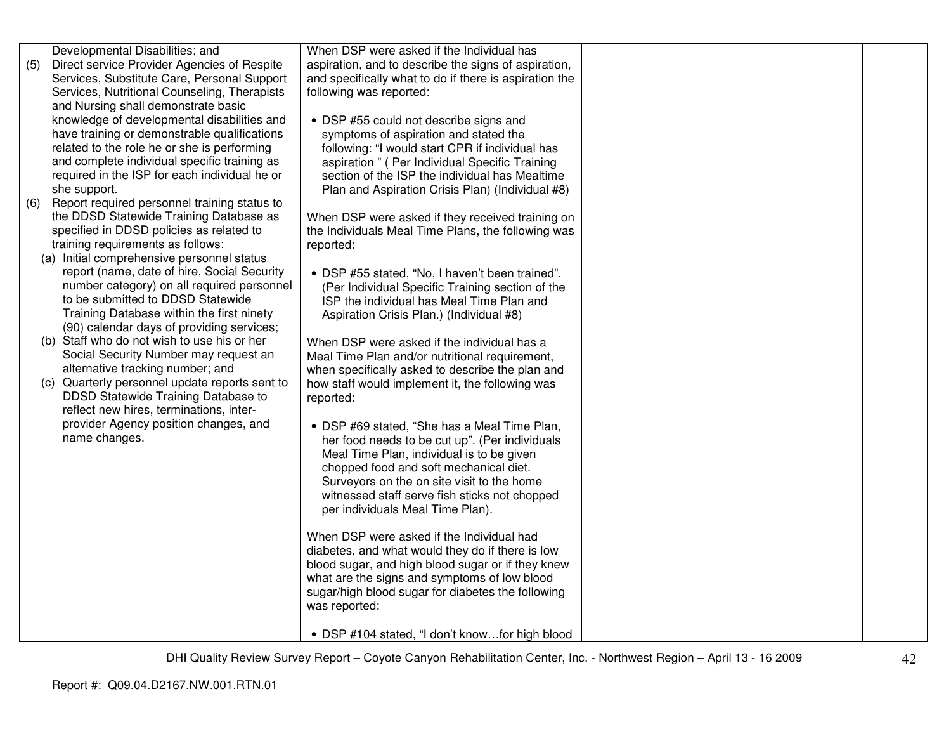|     | Developmental Disabilities; and                | When DSP were asked if the Individual has              |  |
|-----|------------------------------------------------|--------------------------------------------------------|--|
| (5) | Direct service Provider Agencies of Respite    | aspiration, and to describe the signs of aspiration,   |  |
|     | Services, Substitute Care, Personal Support    | and specifically what to do if there is aspiration the |  |
|     | Services, Nutritional Counseling, Therapists   | following was reported:                                |  |
|     | and Nursing shall demonstrate basic            |                                                        |  |
|     | knowledge of developmental disabilities and    | • DSP #55 could not describe signs and                 |  |
|     | have training or demonstrable qualifications   | symptoms of aspiration and stated the                  |  |
|     | related to the role he or she is performing    | following: "I would start CPR if individual has        |  |
|     | and complete individual specific training as   | aspiration " (Per Individual Specific Training         |  |
|     | required in the ISP for each individual he or  | section of the ISP the individual has Mealtime         |  |
|     | she support.                                   | Plan and Aspiration Crisis Plan) (Individual #8)       |  |
| (6) | Report required personnel training status to   |                                                        |  |
|     | the DDSD Statewide Training Database as        | When DSP were asked if they received training on       |  |
|     | specified in DDSD policies as related to       | the Individuals Meal Time Plans, the following was     |  |
|     | training requirements as follows:              | reported:                                              |  |
|     | (a) Initial comprehensive personnel status     |                                                        |  |
|     | report (name, date of hire, Social Security    | • DSP #55 stated, "No, I haven't been trained".        |  |
|     | number category) on all required personnel     | (Per Individual Specific Training section of the       |  |
|     | to be submitted to DDSD Statewide              | ISP the individual has Meal Time Plan and              |  |
|     | Training Database within the first ninety      | Aspiration Crisis Plan.) (Individual #8)               |  |
|     | (90) calendar days of providing services;      |                                                        |  |
|     | (b) Staff who do not wish to use his or her    | When DSP were asked if the individual has a            |  |
|     | Social Security Number may request an          | Meal Time Plan and/or nutritional requirement,         |  |
|     | alternative tracking number; and               | when specifically asked to describe the plan and       |  |
|     | (c) Quarterly personnel update reports sent to | how staff would implement it, the following was        |  |
|     | DDSD Statewide Training Database to            | reported:                                              |  |
|     | reflect new hires, terminations, inter-        |                                                        |  |
|     | provider Agency position changes, and          | • DSP #69 stated, "She has a Meal Time Plan,           |  |
|     | name changes.                                  | her food needs to be cut up". (Per individuals         |  |
|     |                                                | Meal Time Plan, individual is to be given              |  |
|     |                                                | chopped food and soft mechanical diet.                 |  |
|     |                                                | Surveyors on the on site visit to the home             |  |
|     |                                                | witnessed staff serve fish sticks not chopped          |  |
|     |                                                | per individuals Meal Time Plan).                       |  |
|     |                                                |                                                        |  |
|     |                                                | When DSP were asked if the Individual had              |  |
|     |                                                | diabetes, and what would they do if there is low       |  |
|     |                                                | blood sugar, and high blood sugar or if they knew      |  |
|     |                                                | what are the signs and symptoms of low blood           |  |
|     |                                                | sugar/high blood sugar for diabetes the following      |  |
|     |                                                | was reported:                                          |  |
|     |                                                |                                                        |  |
|     |                                                | • DSP #104 stated, "I don't knowfor high blood         |  |
|     |                                                |                                                        |  |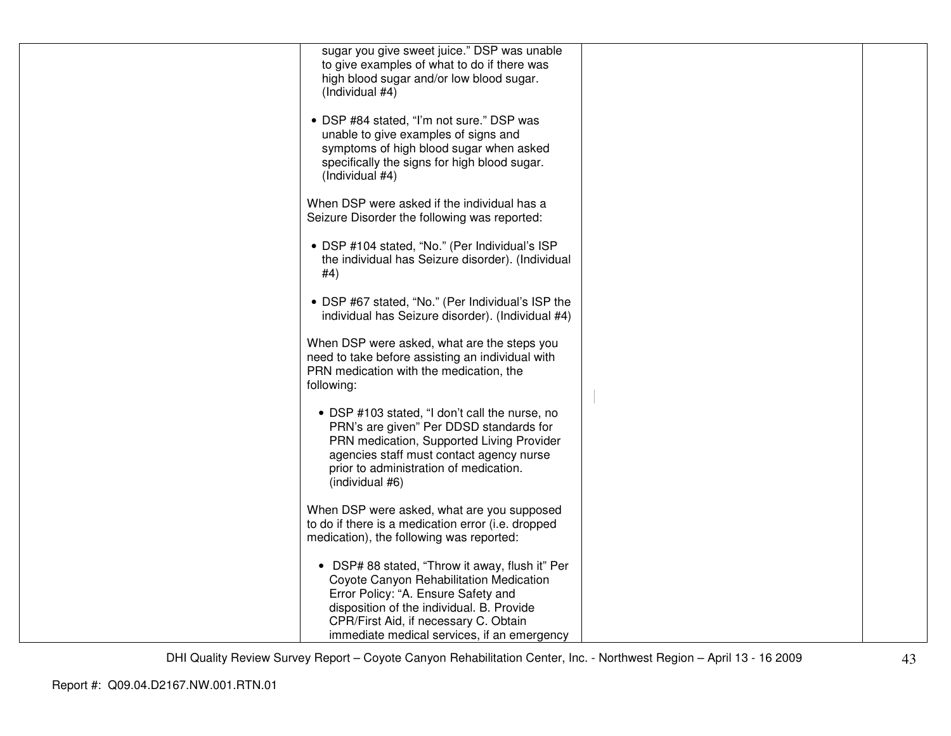| sugar you give sweet juice." DSP was unable<br>to give examples of what to do if there was<br>high blood sugar and/or low blood sugar.<br>(Individual #4)                                                                                                              |  |
|------------------------------------------------------------------------------------------------------------------------------------------------------------------------------------------------------------------------------------------------------------------------|--|
| • DSP #84 stated, "I'm not sure." DSP was<br>unable to give examples of signs and<br>symptoms of high blood sugar when asked<br>specifically the signs for high blood sugar.<br>(Individual #4)                                                                        |  |
| When DSP were asked if the individual has a<br>Seizure Disorder the following was reported:                                                                                                                                                                            |  |
| • DSP #104 stated, "No." (Per Individual's ISP<br>the individual has Seizure disorder). (Individual<br>#4)                                                                                                                                                             |  |
| • DSP #67 stated, "No." (Per Individual's ISP the<br>individual has Seizure disorder). (Individual #4)                                                                                                                                                                 |  |
| When DSP were asked, what are the steps you<br>need to take before assisting an individual with<br>PRN medication with the medication, the<br>following:                                                                                                               |  |
| • DSP #103 stated, "I don't call the nurse, no<br>PRN's are given" Per DDSD standards for<br>PRN medication, Supported Living Provider<br>agencies staff must contact agency nurse<br>prior to administration of medication.<br>(individual #6)                        |  |
| When DSP were asked, what are you supposed<br>to do if there is a medication error (i.e. dropped<br>medication), the following was reported:                                                                                                                           |  |
| • DSP# 88 stated, "Throw it away, flush it" Per<br>Coyote Canyon Rehabilitation Medication<br>Error Policy: "A. Ensure Safety and<br>disposition of the individual. B. Provide<br>CPR/First Aid, if necessary C. Obtain<br>immediate medical services, if an emergency |  |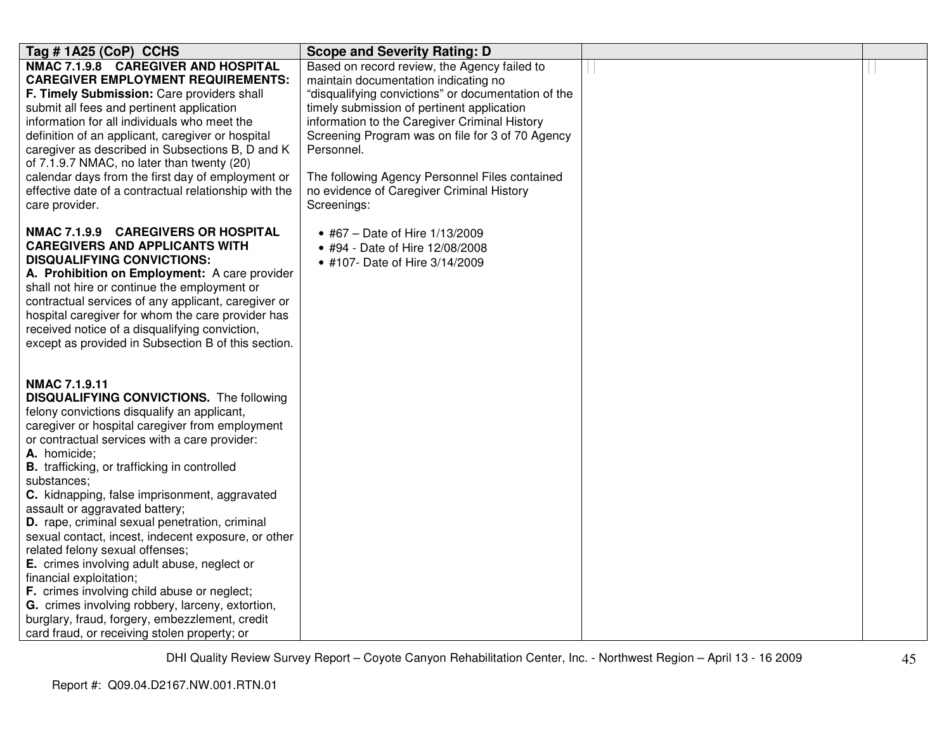| Tag #1A25 (CoP) CCHS                                                                                                                                                                                                                                                                                                                                                                                                                                                                                                                                                                                                                                                                                                                                                                                                           | <b>Scope and Severity Rating: D</b>                                                                                                                                                                                                                                                                                                                            |  |
|--------------------------------------------------------------------------------------------------------------------------------------------------------------------------------------------------------------------------------------------------------------------------------------------------------------------------------------------------------------------------------------------------------------------------------------------------------------------------------------------------------------------------------------------------------------------------------------------------------------------------------------------------------------------------------------------------------------------------------------------------------------------------------------------------------------------------------|----------------------------------------------------------------------------------------------------------------------------------------------------------------------------------------------------------------------------------------------------------------------------------------------------------------------------------------------------------------|--|
| NMAC 7.1.9.8 CAREGIVER AND HOSPITAL<br><b>CAREGIVER EMPLOYMENT REQUIREMENTS:</b><br>F. Timely Submission: Care providers shall<br>submit all fees and pertinent application<br>information for all individuals who meet the<br>definition of an applicant, caregiver or hospital<br>caregiver as described in Subsections B, D and K<br>of 7.1.9.7 NMAC, no later than twenty (20)<br>calendar days from the first day of employment or                                                                                                                                                                                                                                                                                                                                                                                        | Based on record review, the Agency failed to<br>maintain documentation indicating no<br>"disqualifying convictions" or documentation of the<br>timely submission of pertinent application<br>information to the Caregiver Criminal History<br>Screening Program was on file for 3 of 70 Agency<br>Personnel.<br>The following Agency Personnel Files contained |  |
| effective date of a contractual relationship with the<br>care provider.<br>NMAC 7.1.9.9 CAREGIVERS OR HOSPITAL<br><b>CAREGIVERS AND APPLICANTS WITH</b><br><b>DISQUALIFYING CONVICTIONS:</b><br>A. Prohibition on Employment: A care provider<br>shall not hire or continue the employment or<br>contractual services of any applicant, caregiver or<br>hospital caregiver for whom the care provider has<br>received notice of a disqualifying conviction,<br>except as provided in Subsection B of this section.                                                                                                                                                                                                                                                                                                             | no evidence of Caregiver Criminal History<br>Screenings:<br>• #67 - Date of Hire 1/13/2009<br>• #94 - Date of Hire 12/08/2008<br>• #107- Date of Hire 3/14/2009                                                                                                                                                                                                |  |
| <b>NMAC 7.1.9.11</b><br><b>DISQUALIFYING CONVICTIONS.</b> The following<br>felony convictions disqualify an applicant,<br>caregiver or hospital caregiver from employment<br>or contractual services with a care provider:<br>A. homicide;<br><b>B.</b> trafficking, or trafficking in controlled<br>substances;<br>C. kidnapping, false imprisonment, aggravated<br>assault or aggravated battery;<br>D. rape, criminal sexual penetration, criminal<br>sexual contact, incest, indecent exposure, or other<br>related felony sexual offenses;<br>E. crimes involving adult abuse, neglect or<br>financial exploitation;<br>F. crimes involving child abuse or neglect;<br>G. crimes involving robbery, larceny, extortion,<br>burglary, fraud, forgery, embezzlement, credit<br>card fraud, or receiving stolen property; or |                                                                                                                                                                                                                                                                                                                                                                |  |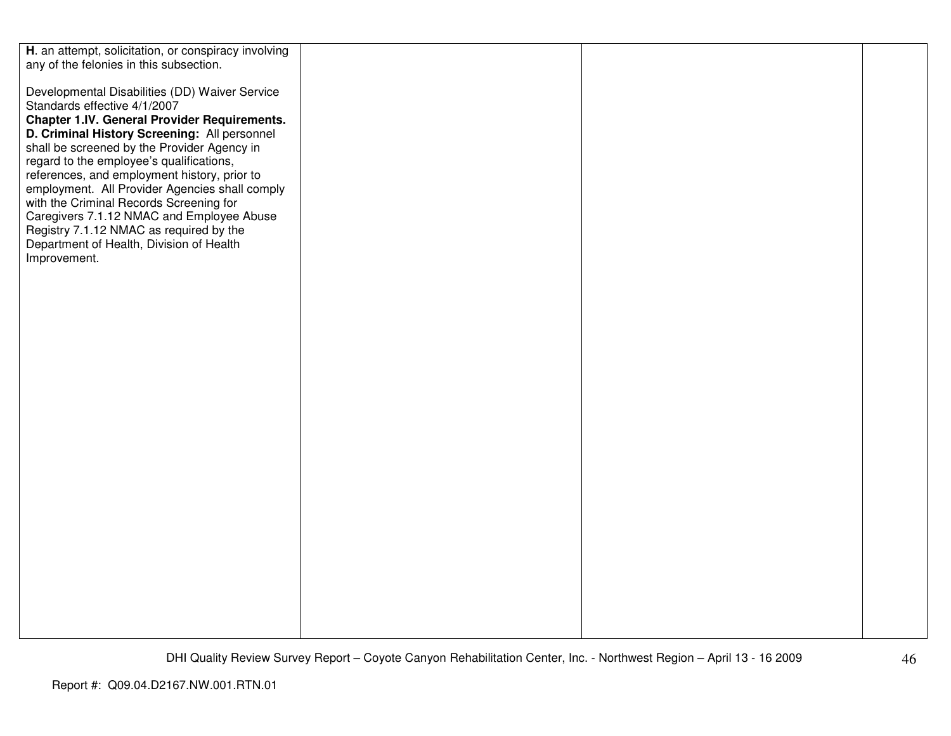| H. an attempt, solicitation, or conspiracy involving |  |  |
|------------------------------------------------------|--|--|
|                                                      |  |  |
| any of the felonies in this subsection.              |  |  |
|                                                      |  |  |
| Developmental Disabilities (DD) Waiver Service       |  |  |
| Standards effective 4/1/2007                         |  |  |
|                                                      |  |  |
| <b>Chapter 1.IV. General Provider Requirements.</b>  |  |  |
| D. Criminal History Screening: All personnel         |  |  |
| shall be screened by the Provider Agency in          |  |  |
|                                                      |  |  |
| regard to the employee's qualifications,             |  |  |
| references, and employment history, prior to         |  |  |
| employment. All Provider Agencies shall comply       |  |  |
| with the Criminal Records Screening for              |  |  |
|                                                      |  |  |
| Caregivers 7.1.12 NMAC and Employee Abuse            |  |  |
| Registry 7.1.12 NMAC as required by the              |  |  |
| Department of Health, Division of Health             |  |  |
|                                                      |  |  |
| Improvement.                                         |  |  |
|                                                      |  |  |
|                                                      |  |  |
|                                                      |  |  |
|                                                      |  |  |
|                                                      |  |  |
|                                                      |  |  |
|                                                      |  |  |
|                                                      |  |  |
|                                                      |  |  |
|                                                      |  |  |
|                                                      |  |  |
|                                                      |  |  |
|                                                      |  |  |
|                                                      |  |  |
|                                                      |  |  |
|                                                      |  |  |
|                                                      |  |  |
|                                                      |  |  |
|                                                      |  |  |
|                                                      |  |  |
|                                                      |  |  |
|                                                      |  |  |
|                                                      |  |  |
|                                                      |  |  |
|                                                      |  |  |
|                                                      |  |  |
|                                                      |  |  |
|                                                      |  |  |
|                                                      |  |  |
|                                                      |  |  |
|                                                      |  |  |
|                                                      |  |  |
|                                                      |  |  |
|                                                      |  |  |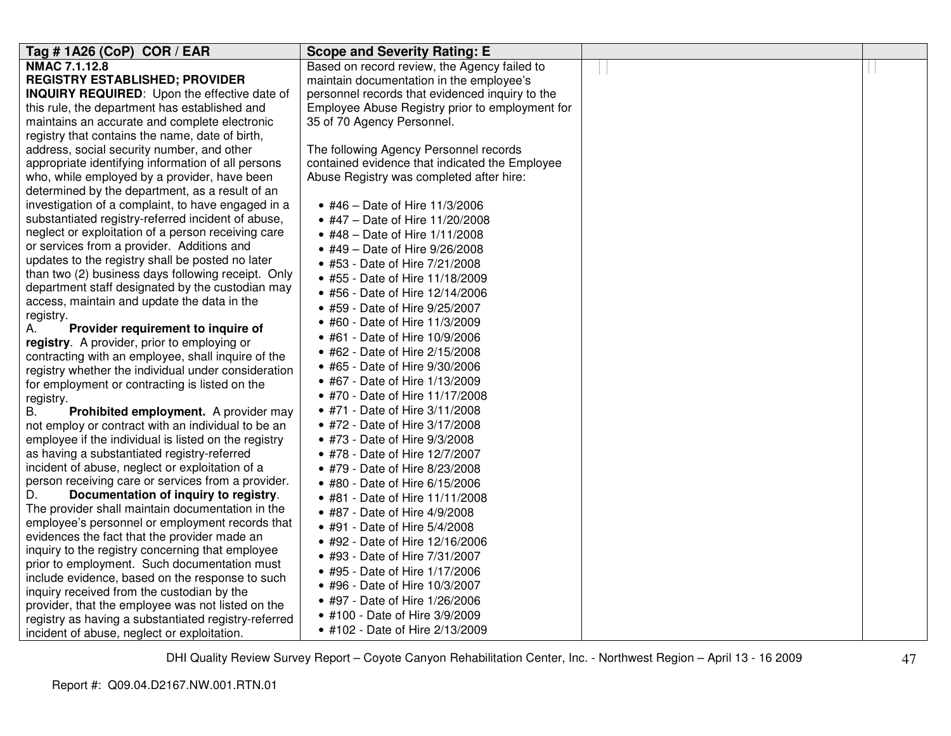| Tag # 1A26 (CoP) COR / EAR                                                              | <b>Scope and Severity Rating: E</b>             |  |
|-----------------------------------------------------------------------------------------|-------------------------------------------------|--|
| <b>NMAC 7.1.12.8</b>                                                                    | Based on record review, the Agency failed to    |  |
| <b>REGISTRY ESTABLISHED; PROVIDER</b>                                                   | maintain documentation in the employee's        |  |
| <b>INQUIRY REQUIRED:</b> Upon the effective date of                                     | personnel records that evidenced inquiry to the |  |
| this rule, the department has established and                                           | Employee Abuse Registry prior to employment for |  |
| maintains an accurate and complete electronic                                           | 35 of 70 Agency Personnel.                      |  |
| registry that contains the name, date of birth,                                         |                                                 |  |
| address, social security number, and other                                              | The following Agency Personnel records          |  |
| appropriate identifying information of all persons                                      | contained evidence that indicated the Employee  |  |
| who, while employed by a provider, have been                                            | Abuse Registry was completed after hire:        |  |
| determined by the department, as a result of an                                         |                                                 |  |
| investigation of a complaint, to have engaged in a                                      | • #46 - Date of Hire 11/3/2006                  |  |
| substantiated registry-referred incident of abuse,                                      | • #47 - Date of Hire 11/20/2008                 |  |
| neglect or exploitation of a person receiving care                                      | • #48 – Date of Hire 1/11/2008                  |  |
| or services from a provider. Additions and                                              | • #49 - Date of Hire 9/26/2008                  |  |
| updates to the registry shall be posted no later                                        | • #53 - Date of Hire 7/21/2008                  |  |
| than two (2) business days following receipt. Only                                      | • #55 - Date of Hire 11/18/2009                 |  |
| department staff designated by the custodian may                                        | • #56 - Date of Hire 12/14/2006                 |  |
| access, maintain and update the data in the                                             | • #59 - Date of Hire 9/25/2007                  |  |
| registry.                                                                               | • #60 - Date of Hire 11/3/2009                  |  |
| Provider requirement to inquire of<br>А.<br>registry. A provider, prior to employing or | • #61 - Date of Hire 10/9/2006                  |  |
| contracting with an employee, shall inquire of the                                      | • #62 - Date of Hire 2/15/2008                  |  |
| registry whether the individual under consideration                                     | • #65 - Date of Hire 9/30/2006                  |  |
| for employment or contracting is listed on the                                          | • #67 - Date of Hire 1/13/2009                  |  |
| registry.                                                                               | • #70 - Date of Hire 11/17/2008                 |  |
| Prohibited employment. A provider may<br>В.                                             | • #71 - Date of Hire 3/11/2008                  |  |
| not employ or contract with an individual to be an                                      | • #72 - Date of Hire 3/17/2008                  |  |
| employee if the individual is listed on the registry                                    | • #73 - Date of Hire 9/3/2008                   |  |
| as having a substantiated registry-referred                                             | • #78 - Date of Hire 12/7/2007                  |  |
| incident of abuse, neglect or exploitation of a                                         | • #79 - Date of Hire 8/23/2008                  |  |
| person receiving care or services from a provider.                                      | • #80 - Date of Hire 6/15/2006                  |  |
| Documentation of inquiry to registry.<br>D.                                             | • #81 - Date of Hire 11/11/2008                 |  |
| The provider shall maintain documentation in the                                        | • #87 - Date of Hire 4/9/2008                   |  |
| employee's personnel or employment records that                                         | • #91 - Date of Hire 5/4/2008                   |  |
| evidences the fact that the provider made an                                            | • #92 - Date of Hire 12/16/2006                 |  |
| inquiry to the registry concerning that employee                                        | • #93 - Date of Hire 7/31/2007                  |  |
| prior to employment. Such documentation must                                            | • #95 - Date of Hire 1/17/2006                  |  |
| include evidence, based on the response to such                                         | • #96 - Date of Hire 10/3/2007                  |  |
| inquiry received from the custodian by the                                              | • #97 - Date of Hire 1/26/2006                  |  |
| provider, that the employee was not listed on the                                       | • #100 - Date of Hire 3/9/2009                  |  |
| registry as having a substantiated registry-referred                                    | • #102 - Date of Hire 2/13/2009                 |  |
| incident of abuse, neglect or exploitation.                                             |                                                 |  |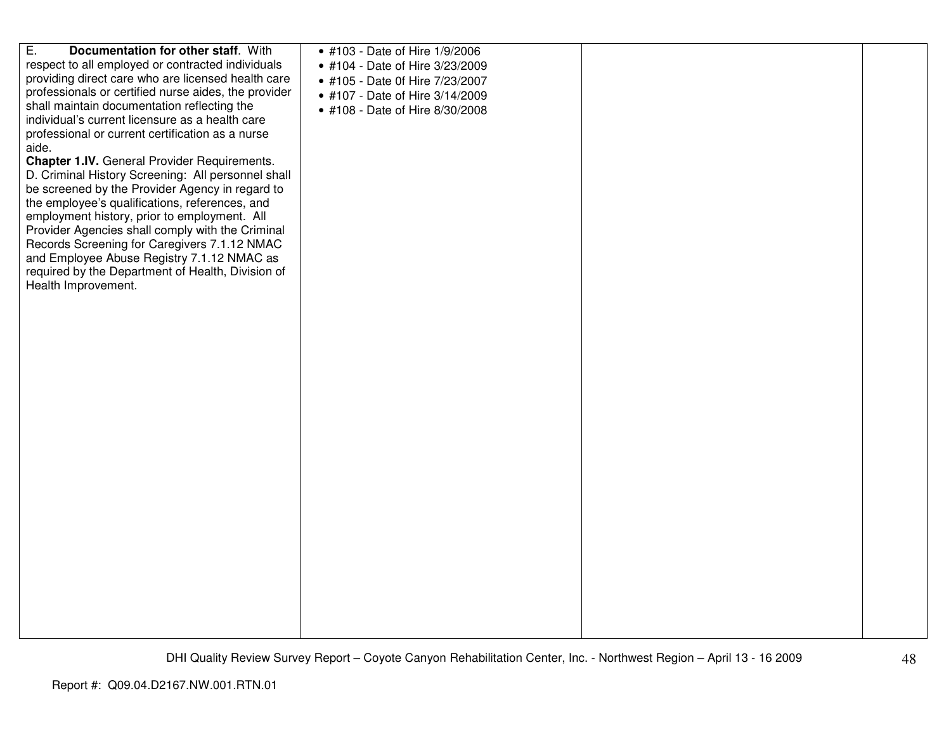| $\overline{E}$ .<br>Documentation for other staff. With | • #103 - Date of Hire 1/9/2006  |  |
|---------------------------------------------------------|---------------------------------|--|
| respect to all employed or contracted individuals       | • #104 - Date of Hire 3/23/2009 |  |
| providing direct care who are licensed health care      | • #105 - Date 0f Hire 7/23/2007 |  |
| professionals or certified nurse aides, the provider    |                                 |  |
| shall maintain documentation reflecting the             | • #107 - Date of Hire 3/14/2009 |  |
| individual's current licensure as a health care         | • #108 - Date of Hire 8/30/2008 |  |
| professional or current certification as a nurse        |                                 |  |
| aide.                                                   |                                 |  |
| Chapter 1.IV. General Provider Requirements.            |                                 |  |
| D. Criminal History Screening: All personnel shall      |                                 |  |
| be screened by the Provider Agency in regard to         |                                 |  |
| the employee's qualifications, references, and          |                                 |  |
| employment history, prior to employment. All            |                                 |  |
| Provider Agencies shall comply with the Criminal        |                                 |  |
| Records Screening for Caregivers 7.1.12 NMAC            |                                 |  |
| and Employee Abuse Registry 7.1.12 NMAC as              |                                 |  |
| required by the Department of Health, Division of       |                                 |  |
| Health Improvement.                                     |                                 |  |
|                                                         |                                 |  |
|                                                         |                                 |  |
|                                                         |                                 |  |
|                                                         |                                 |  |
|                                                         |                                 |  |
|                                                         |                                 |  |
|                                                         |                                 |  |
|                                                         |                                 |  |
|                                                         |                                 |  |
|                                                         |                                 |  |
|                                                         |                                 |  |
|                                                         |                                 |  |
|                                                         |                                 |  |
|                                                         |                                 |  |
|                                                         |                                 |  |
|                                                         |                                 |  |
|                                                         |                                 |  |
|                                                         |                                 |  |
|                                                         |                                 |  |
|                                                         |                                 |  |
|                                                         |                                 |  |
|                                                         |                                 |  |
|                                                         |                                 |  |
|                                                         |                                 |  |
|                                                         |                                 |  |
|                                                         |                                 |  |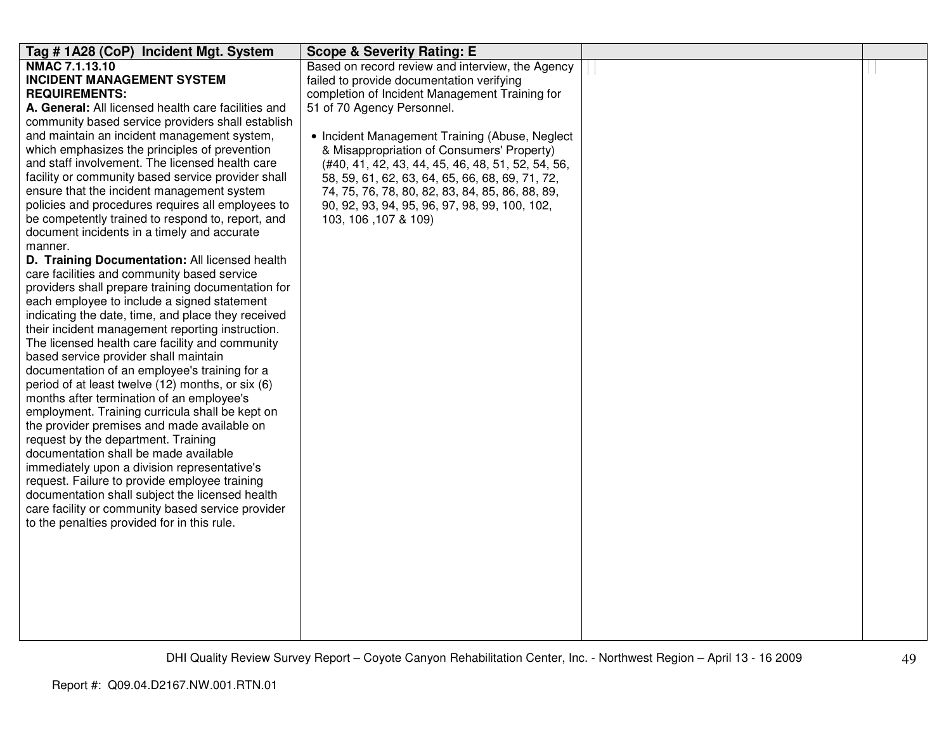| Tag # 1A28 (CoP) Incident Mgt. System                                                                    | <b>Scope &amp; Severity Rating: E</b>             |  |
|----------------------------------------------------------------------------------------------------------|---------------------------------------------------|--|
| <b>NMAC 7.1.13.10</b>                                                                                    | Based on record review and interview, the Agency  |  |
| <b>INCIDENT MANAGEMENT SYSTEM</b>                                                                        | failed to provide documentation verifying         |  |
| <b>REQUIREMENTS:</b>                                                                                     | completion of Incident Management Training for    |  |
| A. General: All licensed health care facilities and<br>community based service providers shall establish | 51 of 70 Agency Personnel.                        |  |
| and maintain an incident management system,                                                              | • Incident Management Training (Abuse, Neglect    |  |
| which emphasizes the principles of prevention                                                            | & Misappropriation of Consumers' Property)        |  |
| and staff involvement. The licensed health care                                                          | (#40, 41, 42, 43, 44, 45, 46, 48, 51, 52, 54, 56, |  |
| facility or community based service provider shall                                                       | 58, 59, 61, 62, 63, 64, 65, 66, 68, 69, 71, 72,   |  |
| ensure that the incident management system                                                               | 74, 75, 76, 78, 80, 82, 83, 84, 85, 86, 88, 89,   |  |
| policies and procedures requires all employees to                                                        | 90, 92, 93, 94, 95, 96, 97, 98, 99, 100, 102,     |  |
| be competently trained to respond to, report, and                                                        | 103, 106, 107 & 109)                              |  |
| document incidents in a timely and accurate                                                              |                                                   |  |
| manner.                                                                                                  |                                                   |  |
| D. Training Documentation: All licensed health                                                           |                                                   |  |
| care facilities and community based service                                                              |                                                   |  |
| providers shall prepare training documentation for                                                       |                                                   |  |
| each employee to include a signed statement                                                              |                                                   |  |
| indicating the date, time, and place they received                                                       |                                                   |  |
| their incident management reporting instruction.<br>The licensed health care facility and community      |                                                   |  |
| based service provider shall maintain                                                                    |                                                   |  |
| documentation of an employee's training for a                                                            |                                                   |  |
| period of at least twelve (12) months, or six (6)                                                        |                                                   |  |
| months after termination of an employee's                                                                |                                                   |  |
| employment. Training curricula shall be kept on                                                          |                                                   |  |
| the provider premises and made available on                                                              |                                                   |  |
| request by the department. Training                                                                      |                                                   |  |
| documentation shall be made available                                                                    |                                                   |  |
| immediately upon a division representative's                                                             |                                                   |  |
| request. Failure to provide employee training                                                            |                                                   |  |
| documentation shall subject the licensed health                                                          |                                                   |  |
| care facility or community based service provider                                                        |                                                   |  |
| to the penalties provided for in this rule.                                                              |                                                   |  |
|                                                                                                          |                                                   |  |
|                                                                                                          |                                                   |  |
|                                                                                                          |                                                   |  |
|                                                                                                          |                                                   |  |
|                                                                                                          |                                                   |  |
|                                                                                                          |                                                   |  |
|                                                                                                          |                                                   |  |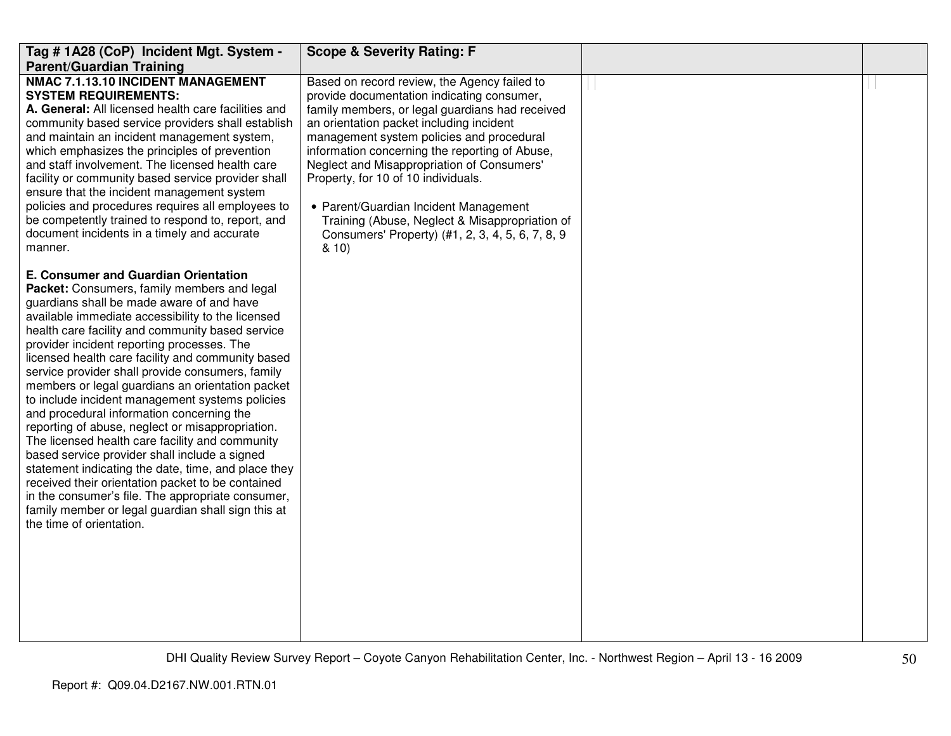| Tag # 1A28 (CoP) Incident Mgt. System -                                                                                                                                                                                                                                                                                                                                                                                                                                                                                                                                                                                                                                                                                                                                                                                                                                                                                                                                | <b>Scope &amp; Severity Rating: F</b>                                                                                                                                                                                                                                                                                                                                                                                                                                                                                               |  |
|------------------------------------------------------------------------------------------------------------------------------------------------------------------------------------------------------------------------------------------------------------------------------------------------------------------------------------------------------------------------------------------------------------------------------------------------------------------------------------------------------------------------------------------------------------------------------------------------------------------------------------------------------------------------------------------------------------------------------------------------------------------------------------------------------------------------------------------------------------------------------------------------------------------------------------------------------------------------|-------------------------------------------------------------------------------------------------------------------------------------------------------------------------------------------------------------------------------------------------------------------------------------------------------------------------------------------------------------------------------------------------------------------------------------------------------------------------------------------------------------------------------------|--|
| <b>Parent/Guardian Training</b>                                                                                                                                                                                                                                                                                                                                                                                                                                                                                                                                                                                                                                                                                                                                                                                                                                                                                                                                        |                                                                                                                                                                                                                                                                                                                                                                                                                                                                                                                                     |  |
| NMAC 7.1.13.10 INCIDENT MANAGEMENT<br><b>SYSTEM REQUIREMENTS:</b><br>A. General: All licensed health care facilities and<br>community based service providers shall establish<br>and maintain an incident management system,<br>which emphasizes the principles of prevention<br>and staff involvement. The licensed health care<br>facility or community based service provider shall<br>ensure that the incident management system<br>policies and procedures requires all employees to<br>be competently trained to respond to, report, and<br>document incidents in a timely and accurate<br>manner.                                                                                                                                                                                                                                                                                                                                                               | Based on record review, the Agency failed to<br>provide documentation indicating consumer,<br>family members, or legal guardians had received<br>an orientation packet including incident<br>management system policies and procedural<br>information concerning the reporting of Abuse,<br>Neglect and Misappropriation of Consumers'<br>Property, for 10 of 10 individuals.<br>• Parent/Guardian Incident Management<br>Training (Abuse, Neglect & Misappropriation of<br>Consumers' Property) (#1, 2, 3, 4, 5, 6, 7, 8, 9<br>810 |  |
| <b>E. Consumer and Guardian Orientation</b><br>Packet: Consumers, family members and legal<br>guardians shall be made aware of and have<br>available immediate accessibility to the licensed<br>health care facility and community based service<br>provider incident reporting processes. The<br>licensed health care facility and community based<br>service provider shall provide consumers, family<br>members or legal guardians an orientation packet<br>to include incident management systems policies<br>and procedural information concerning the<br>reporting of abuse, neglect or misappropriation.<br>The licensed health care facility and community<br>based service provider shall include a signed<br>statement indicating the date, time, and place they<br>received their orientation packet to be contained<br>in the consumer's file. The appropriate consumer,<br>family member or legal guardian shall sign this at<br>the time of orientation. |                                                                                                                                                                                                                                                                                                                                                                                                                                                                                                                                     |  |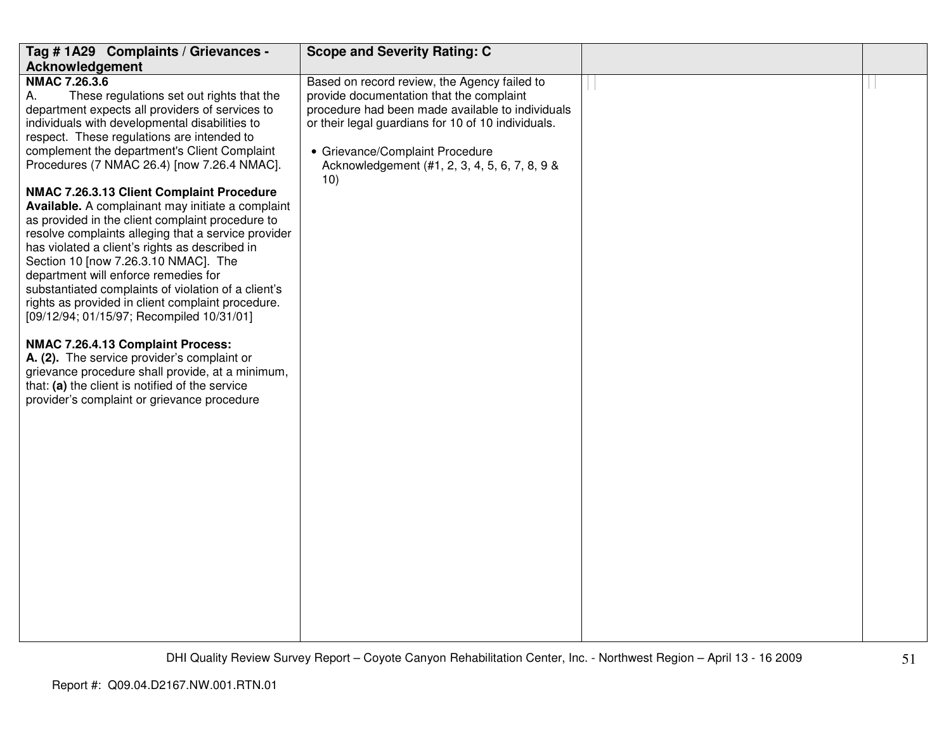| Tag #1A29 Complaints / Grievances -                                                                                                                                                                                                                                                                                                                                                                                                                                                                                                                                                                                                                                                                                                                                                                                                                                                                                                                                                                                                                                  | <b>Scope and Severity Rating: C</b>                                                                                                                                                                                                                                                           |  |
|----------------------------------------------------------------------------------------------------------------------------------------------------------------------------------------------------------------------------------------------------------------------------------------------------------------------------------------------------------------------------------------------------------------------------------------------------------------------------------------------------------------------------------------------------------------------------------------------------------------------------------------------------------------------------------------------------------------------------------------------------------------------------------------------------------------------------------------------------------------------------------------------------------------------------------------------------------------------------------------------------------------------------------------------------------------------|-----------------------------------------------------------------------------------------------------------------------------------------------------------------------------------------------------------------------------------------------------------------------------------------------|--|
| <b>Acknowledgement</b>                                                                                                                                                                                                                                                                                                                                                                                                                                                                                                                                                                                                                                                                                                                                                                                                                                                                                                                                                                                                                                               |                                                                                                                                                                                                                                                                                               |  |
| NMAC 7.26.3.6<br>Α.<br>These regulations set out rights that the<br>department expects all providers of services to<br>individuals with developmental disabilities to<br>respect. These regulations are intended to<br>complement the department's Client Complaint<br>Procedures (7 NMAC 26.4) [now 7.26.4 NMAC].<br>NMAC 7.26.3.13 Client Complaint Procedure<br>Available. A complainant may initiate a complaint<br>as provided in the client complaint procedure to<br>resolve complaints alleging that a service provider<br>has violated a client's rights as described in<br>Section 10 [now 7.26.3.10 NMAC]. The<br>department will enforce remedies for<br>substantiated complaints of violation of a client's<br>rights as provided in client complaint procedure.<br>[09/12/94; 01/15/97; Recompiled 10/31/01]<br>NMAC 7.26.4.13 Complaint Process:<br>A. (2). The service provider's complaint or<br>grievance procedure shall provide, at a minimum,<br>that: (a) the client is notified of the service<br>provider's complaint or grievance procedure | Based on record review, the Agency failed to<br>provide documentation that the complaint<br>procedure had been made available to individuals<br>or their legal guardians for 10 of 10 individuals.<br>• Grievance/Complaint Procedure<br>Acknowledgement (#1, 2, 3, 4, 5, 6, 7, 8, 9 &<br>10) |  |
|                                                                                                                                                                                                                                                                                                                                                                                                                                                                                                                                                                                                                                                                                                                                                                                                                                                                                                                                                                                                                                                                      |                                                                                                                                                                                                                                                                                               |  |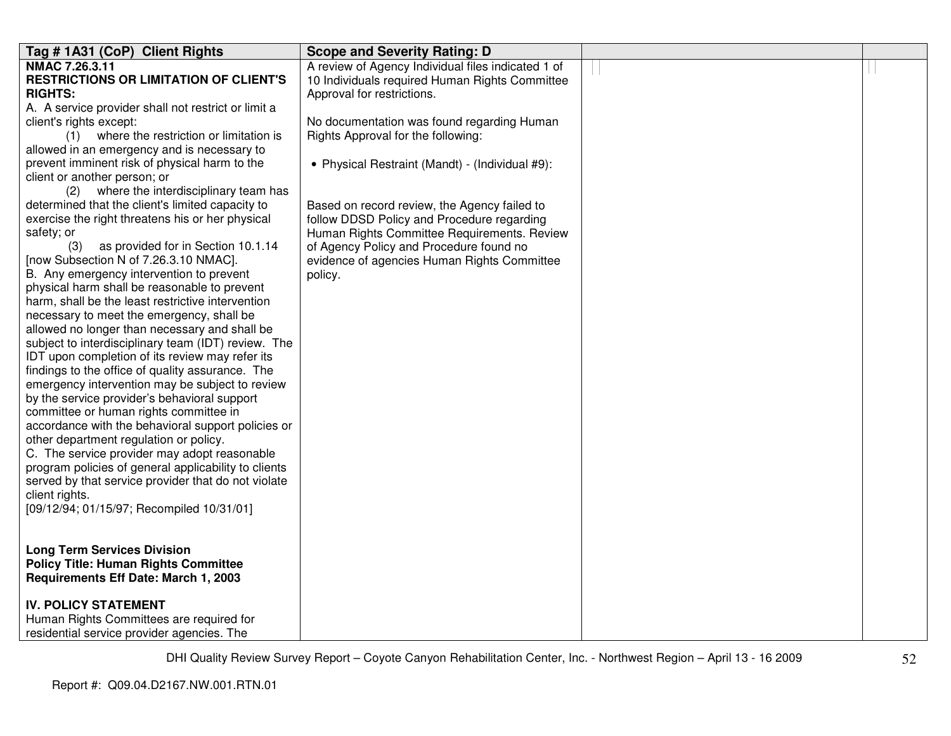| Tag # 1A31 (CoP) Client Rights                                                           | <b>Scope and Severity Rating: D</b>                |  |
|------------------------------------------------------------------------------------------|----------------------------------------------------|--|
| NMAC 7.26.3.11                                                                           | A review of Agency Individual files indicated 1 of |  |
| <b>RESTRICTIONS OR LIMITATION OF CLIENT'S</b>                                            | 10 Individuals required Human Rights Committee     |  |
| <b>RIGHTS:</b>                                                                           | Approval for restrictions.                         |  |
| A. A service provider shall not restrict or limit a                                      |                                                    |  |
| client's rights except:                                                                  | No documentation was found regarding Human         |  |
| where the restriction or limitation is<br>(1)                                            | Rights Approval for the following:                 |  |
| allowed in an emergency and is necessary to                                              |                                                    |  |
| prevent imminent risk of physical harm to the                                            | • Physical Restraint (Mandt) - (Individual #9):    |  |
| client or another person; or                                                             |                                                    |  |
| where the interdisciplinary team has<br>(2)                                              |                                                    |  |
| determined that the client's limited capacity to                                         | Based on record review, the Agency failed to       |  |
| exercise the right threatens his or her physical                                         | follow DDSD Policy and Procedure regarding         |  |
| safety; or                                                                               | Human Rights Committee Requirements. Review        |  |
| as provided for in Section 10.1.14<br>(3)                                                | of Agency Policy and Procedure found no            |  |
| [now Subsection N of 7.26.3.10 NMAC].                                                    | evidence of agencies Human Rights Committee        |  |
| B. Any emergency intervention to prevent<br>physical harm shall be reasonable to prevent | policy.                                            |  |
| harm, shall be the least restrictive intervention                                        |                                                    |  |
| necessary to meet the emergency, shall be                                                |                                                    |  |
| allowed no longer than necessary and shall be                                            |                                                    |  |
| subject to interdisciplinary team (IDT) review. The                                      |                                                    |  |
| IDT upon completion of its review may refer its                                          |                                                    |  |
| findings to the office of quality assurance. The                                         |                                                    |  |
| emergency intervention may be subject to review                                          |                                                    |  |
| by the service provider's behavioral support                                             |                                                    |  |
| committee or human rights committee in                                                   |                                                    |  |
| accordance with the behavioral support policies or                                       |                                                    |  |
| other department regulation or policy.                                                   |                                                    |  |
| C. The service provider may adopt reasonable                                             |                                                    |  |
| program policies of general applicability to clients                                     |                                                    |  |
| served by that service provider that do not violate                                      |                                                    |  |
| client rights.                                                                           |                                                    |  |
| [09/12/94; 01/15/97; Recompiled 10/31/01]                                                |                                                    |  |
|                                                                                          |                                                    |  |
|                                                                                          |                                                    |  |
| <b>Long Term Services Division</b>                                                       |                                                    |  |
| <b>Policy Title: Human Rights Committee</b>                                              |                                                    |  |
| Requirements Eff Date: March 1, 2003                                                     |                                                    |  |
|                                                                                          |                                                    |  |
| <b>IV. POLICY STATEMENT</b>                                                              |                                                    |  |
| Human Rights Committees are required for                                                 |                                                    |  |
| residential service provider agencies. The                                               |                                                    |  |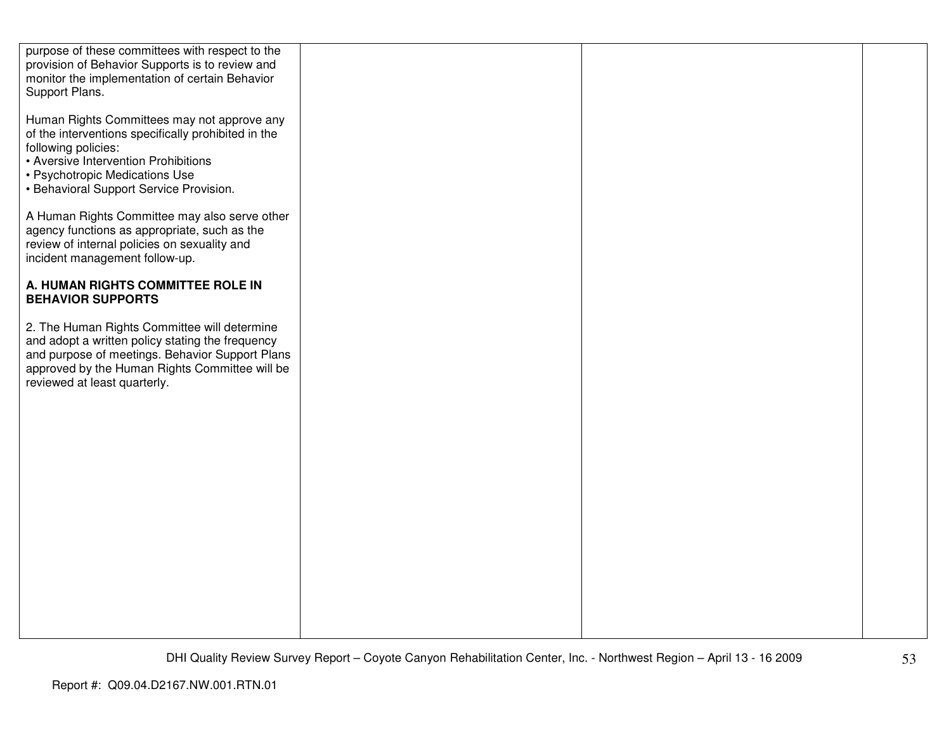| purpose of these committees with respect to the<br>provision of Behavior Supports is to review and<br>monitor the implementation of certain Behavior<br>Support Plans.                                                                         |  |  |
|------------------------------------------------------------------------------------------------------------------------------------------------------------------------------------------------------------------------------------------------|--|--|
| Human Rights Committees may not approve any<br>of the interventions specifically prohibited in the<br>following policies:<br>• Aversive Intervention Prohibitions<br>• Psychotropic Medications Use<br>• Behavioral Support Service Provision. |  |  |
| A Human Rights Committee may also serve other<br>agency functions as appropriate, such as the<br>review of internal policies on sexuality and<br>incident management follow-up.                                                                |  |  |
| A. HUMAN RIGHTS COMMITTEE ROLE IN<br><b>BEHAVIOR SUPPORTS</b>                                                                                                                                                                                  |  |  |
| 2. The Human Rights Committee will determine<br>and adopt a written policy stating the frequency<br>and purpose of meetings. Behavior Support Plans<br>approved by the Human Rights Committee will be<br>reviewed at least quarterly.          |  |  |
|                                                                                                                                                                                                                                                |  |  |
|                                                                                                                                                                                                                                                |  |  |
|                                                                                                                                                                                                                                                |  |  |
|                                                                                                                                                                                                                                                |  |  |
|                                                                                                                                                                                                                                                |  |  |
|                                                                                                                                                                                                                                                |  |  |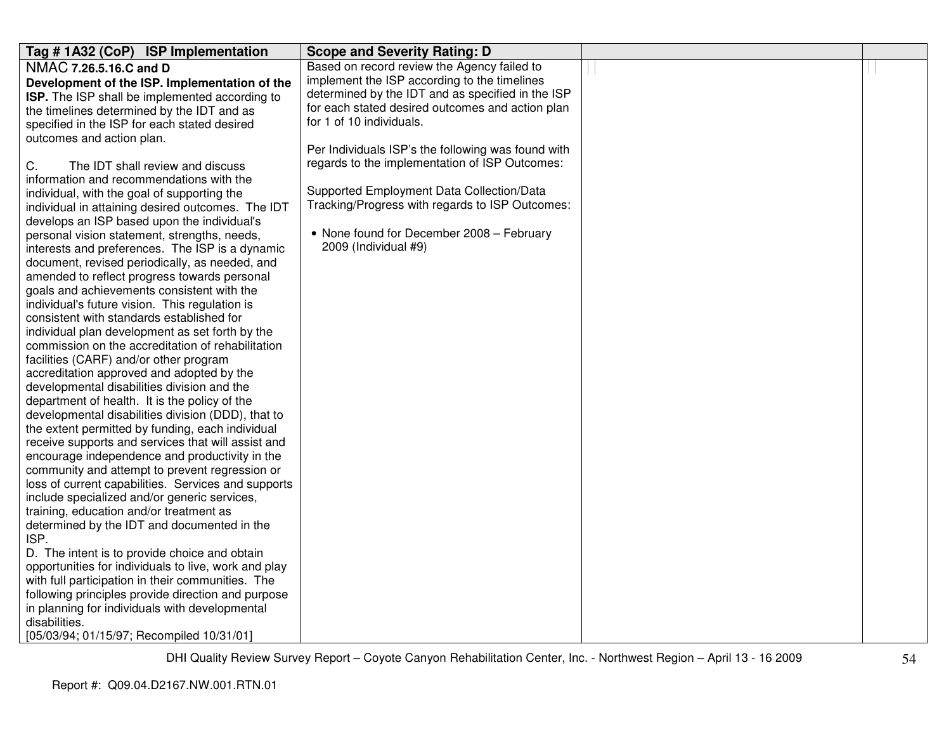| Tag #1A32 (CoP) ISP Implementation                   | <b>Scope and Severity Rating: D</b>                |  |
|------------------------------------------------------|----------------------------------------------------|--|
| NMAC 7.26.5.16.C and D                               | Based on record review the Agency failed to        |  |
| Development of the ISP. Implementation of the        | implement the ISP according to the timelines       |  |
| ISP. The ISP shall be implemented according to       | determined by the IDT and as specified in the ISP  |  |
| the timelines determined by the IDT and as           | for each stated desired outcomes and action plan   |  |
| specified in the ISP for each stated desired         | for 1 of 10 individuals.                           |  |
| outcomes and action plan.                            |                                                    |  |
|                                                      | Per Individuals ISP's the following was found with |  |
| C.<br>The IDT shall review and discuss               | regards to the implementation of ISP Outcomes:     |  |
| information and recommendations with the             |                                                    |  |
| individual, with the goal of supporting the          | Supported Employment Data Collection/Data          |  |
| individual in attaining desired outcomes. The IDT    | Tracking/Progress with regards to ISP Outcomes:    |  |
| develops an ISP based upon the individual's          |                                                    |  |
| personal vision statement, strengths, needs,         | • None found for December 2008 - February          |  |
| interests and preferences. The ISP is a dynamic      | 2009 (Individual #9)                               |  |
| document, revised periodically, as needed, and       |                                                    |  |
| amended to reflect progress towards personal         |                                                    |  |
| goals and achievements consistent with the           |                                                    |  |
| individual's future vision. This regulation is       |                                                    |  |
| consistent with standards established for            |                                                    |  |
| individual plan development as set forth by the      |                                                    |  |
| commission on the accreditation of rehabilitation    |                                                    |  |
| facilities (CARF) and/or other program               |                                                    |  |
| accreditation approved and adopted by the            |                                                    |  |
| developmental disabilities division and the          |                                                    |  |
| department of health. It is the policy of the        |                                                    |  |
| developmental disabilities division (DDD), that to   |                                                    |  |
| the extent permitted by funding, each individual     |                                                    |  |
| receive supports and services that will assist and   |                                                    |  |
| encourage independence and productivity in the       |                                                    |  |
| community and attempt to prevent regression or       |                                                    |  |
| loss of current capabilities. Services and supports  |                                                    |  |
| include specialized and/or generic services,         |                                                    |  |
| training, education and/or treatment as              |                                                    |  |
| determined by the IDT and documented in the          |                                                    |  |
| ISP.                                                 |                                                    |  |
| D. The intent is to provide choice and obtain        |                                                    |  |
| opportunities for individuals to live, work and play |                                                    |  |
| with full participation in their communities. The    |                                                    |  |
| following principles provide direction and purpose   |                                                    |  |
| in planning for individuals with developmental       |                                                    |  |
| disabilities.                                        |                                                    |  |
| [05/03/94; 01/15/97; Recompiled 10/31/01]            |                                                    |  |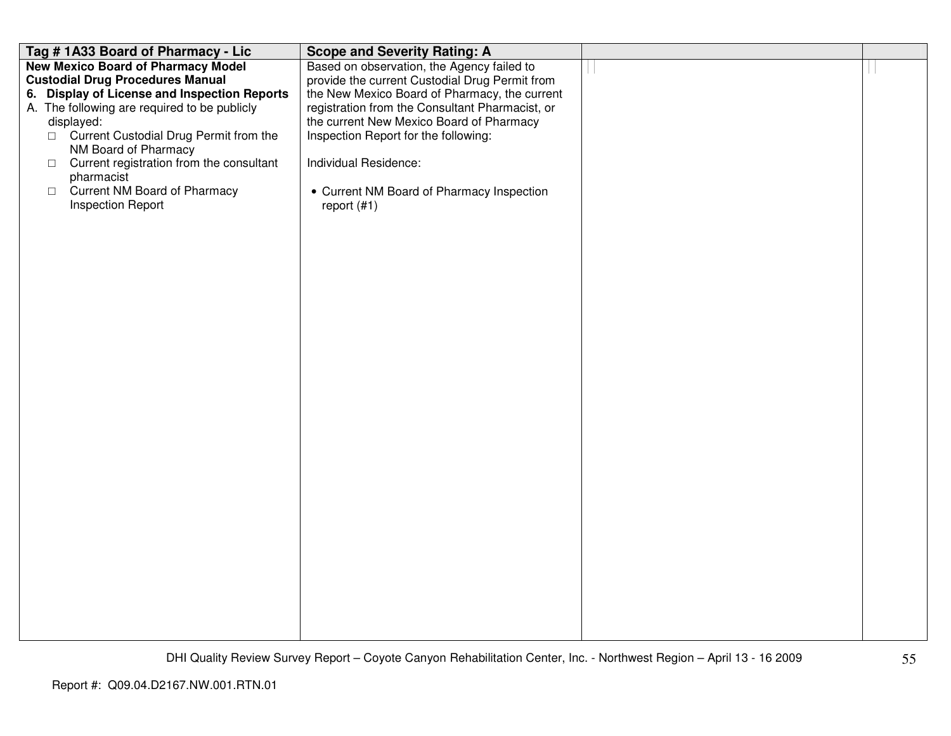| Tag #1A33 Board of Pharmacy - Lic<br><b>New Mexico Board of Pharmacy Model</b><br><b>Custodial Drug Procedures Manual</b><br>6. Display of License and Inspection Reports<br>A. The following are required to be publicly<br>displayed:<br>□ Current Custodial Drug Permit from the<br>NM Board of Pharmacy<br>Current registration from the consultant<br>$\Box$<br>pharmacist<br>Current NM Board of Pharmacy<br>$\Box$<br><b>Inspection Report</b> | <b>Scope and Severity Rating: A</b><br>Based on observation, the Agency failed to<br>provide the current Custodial Drug Permit from<br>the New Mexico Board of Pharmacy, the current<br>registration from the Consultant Pharmacist, or<br>the current New Mexico Board of Pharmacy<br>Inspection Report for the following:<br>Individual Residence:<br>• Current NM Board of Pharmacy Inspection<br>report $(#1)$ |  |
|-------------------------------------------------------------------------------------------------------------------------------------------------------------------------------------------------------------------------------------------------------------------------------------------------------------------------------------------------------------------------------------------------------------------------------------------------------|--------------------------------------------------------------------------------------------------------------------------------------------------------------------------------------------------------------------------------------------------------------------------------------------------------------------------------------------------------------------------------------------------------------------|--|
|                                                                                                                                                                                                                                                                                                                                                                                                                                                       |                                                                                                                                                                                                                                                                                                                                                                                                                    |  |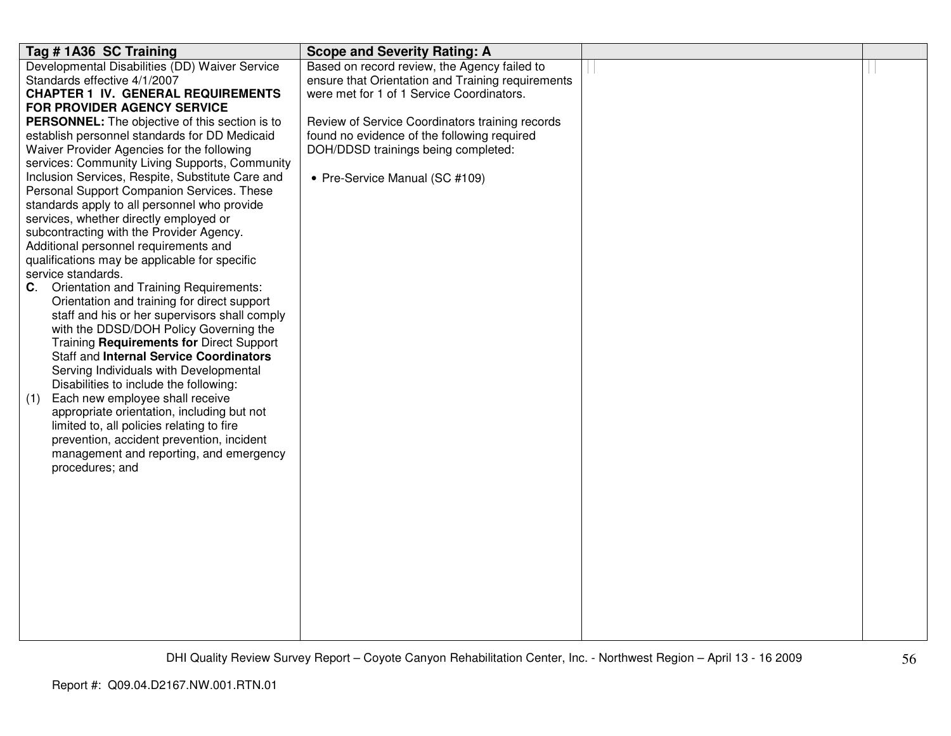| Tag # 1A36 SC Training                                                             | <b>Scope and Severity Rating: A</b>               |  |
|------------------------------------------------------------------------------------|---------------------------------------------------|--|
| Developmental Disabilities (DD) Waiver Service                                     | Based on record review, the Agency failed to      |  |
| Standards effective 4/1/2007                                                       | ensure that Orientation and Training requirements |  |
| <b>CHAPTER 1 IV. GENERAL REQUIREMENTS</b>                                          | were met for 1 of 1 Service Coordinators.         |  |
| FOR PROVIDER AGENCY SERVICE                                                        |                                                   |  |
| <b>PERSONNEL:</b> The objective of this section is to                              | Review of Service Coordinators training records   |  |
| establish personnel standards for DD Medicaid                                      | found no evidence of the following required       |  |
| Waiver Provider Agencies for the following                                         | DOH/DDSD trainings being completed:               |  |
| services: Community Living Supports, Community                                     |                                                   |  |
| Inclusion Services, Respite, Substitute Care and                                   | • Pre-Service Manual (SC #109)                    |  |
| Personal Support Companion Services. These                                         |                                                   |  |
| standards apply to all personnel who provide                                       |                                                   |  |
| services, whether directly employed or                                             |                                                   |  |
| subcontracting with the Provider Agency.                                           |                                                   |  |
| Additional personnel requirements and                                              |                                                   |  |
| qualifications may be applicable for specific                                      |                                                   |  |
| service standards.                                                                 |                                                   |  |
| <b>C.</b> Orientation and Training Requirements:                                   |                                                   |  |
| Orientation and training for direct support                                        |                                                   |  |
| staff and his or her supervisors shall comply                                      |                                                   |  |
| with the DDSD/DOH Policy Governing the<br>Training Requirements for Direct Support |                                                   |  |
| <b>Staff and Internal Service Coordinators</b>                                     |                                                   |  |
| Serving Individuals with Developmental                                             |                                                   |  |
| Disabilities to include the following:                                             |                                                   |  |
| Each new employee shall receive<br>(1)                                             |                                                   |  |
| appropriate orientation, including but not                                         |                                                   |  |
| limited to, all policies relating to fire                                          |                                                   |  |
| prevention, accident prevention, incident                                          |                                                   |  |
| management and reporting, and emergency                                            |                                                   |  |
| procedures; and                                                                    |                                                   |  |
|                                                                                    |                                                   |  |
|                                                                                    |                                                   |  |
|                                                                                    |                                                   |  |
|                                                                                    |                                                   |  |
|                                                                                    |                                                   |  |
|                                                                                    |                                                   |  |
|                                                                                    |                                                   |  |
|                                                                                    |                                                   |  |
|                                                                                    |                                                   |  |
|                                                                                    |                                                   |  |
|                                                                                    |                                                   |  |
|                                                                                    |                                                   |  |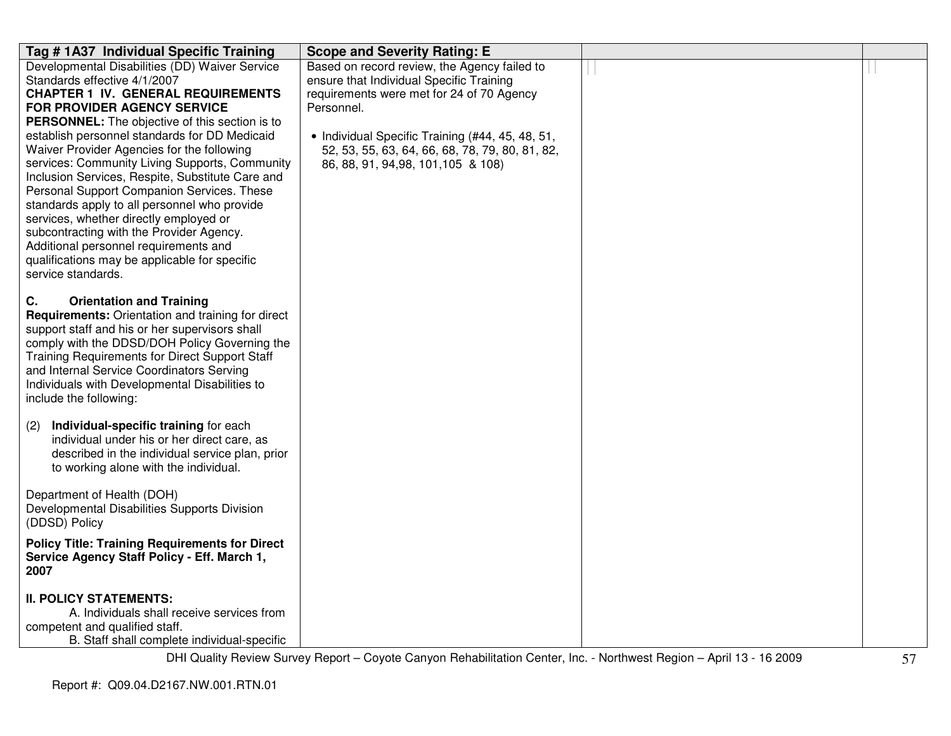| Tag # 1A37 Individual Specific Training                                                | <b>Scope and Severity Rating: E</b>              |  |
|----------------------------------------------------------------------------------------|--------------------------------------------------|--|
| Developmental Disabilities (DD) Waiver Service                                         | Based on record review, the Agency failed to     |  |
| Standards effective 4/1/2007                                                           | ensure that Individual Specific Training         |  |
| <b>CHAPTER 1 IV. GENERAL REQUIREMENTS</b>                                              | requirements were met for 24 of 70 Agency        |  |
| FOR PROVIDER AGENCY SERVICE                                                            | Personnel.                                       |  |
| PERSONNEL: The objective of this section is to                                         |                                                  |  |
| establish personnel standards for DD Medicaid                                          | • Individual Specific Training (#44, 45, 48, 51, |  |
| Waiver Provider Agencies for the following                                             | 52, 53, 55, 63, 64, 66, 68, 78, 79, 80, 81, 82,  |  |
| services: Community Living Supports, Community                                         | 86, 88, 91, 94, 98, 101, 105 & 108)              |  |
| Inclusion Services, Respite, Substitute Care and                                       |                                                  |  |
| Personal Support Companion Services. These                                             |                                                  |  |
| standards apply to all personnel who provide<br>services, whether directly employed or |                                                  |  |
| subcontracting with the Provider Agency.                                               |                                                  |  |
| Additional personnel requirements and                                                  |                                                  |  |
| qualifications may be applicable for specific                                          |                                                  |  |
| service standards.                                                                     |                                                  |  |
|                                                                                        |                                                  |  |
| C.<br><b>Orientation and Training</b>                                                  |                                                  |  |
| <b>Requirements:</b> Orientation and training for direct                               |                                                  |  |
| support staff and his or her supervisors shall                                         |                                                  |  |
| comply with the DDSD/DOH Policy Governing the                                          |                                                  |  |
| Training Requirements for Direct Support Staff                                         |                                                  |  |
| and Internal Service Coordinators Serving                                              |                                                  |  |
| Individuals with Developmental Disabilities to                                         |                                                  |  |
| include the following:                                                                 |                                                  |  |
| Individual-specific training for each<br>(2)                                           |                                                  |  |
| individual under his or her direct care, as                                            |                                                  |  |
| described in the individual service plan, prior                                        |                                                  |  |
| to working alone with the individual.                                                  |                                                  |  |
|                                                                                        |                                                  |  |
| Department of Health (DOH)                                                             |                                                  |  |
| Developmental Disabilities Supports Division                                           |                                                  |  |
| (DDSD) Policy                                                                          |                                                  |  |
| <b>Policy Title: Training Requirements for Direct</b>                                  |                                                  |  |
| Service Agency Staff Policy - Eff. March 1,                                            |                                                  |  |
| 2007                                                                                   |                                                  |  |
| <b>II. POLICY STATEMENTS:</b>                                                          |                                                  |  |
| A. Individuals shall receive services from                                             |                                                  |  |
| competent and qualified staff.                                                         |                                                  |  |
| B. Staff shall complete individual-specific                                            |                                                  |  |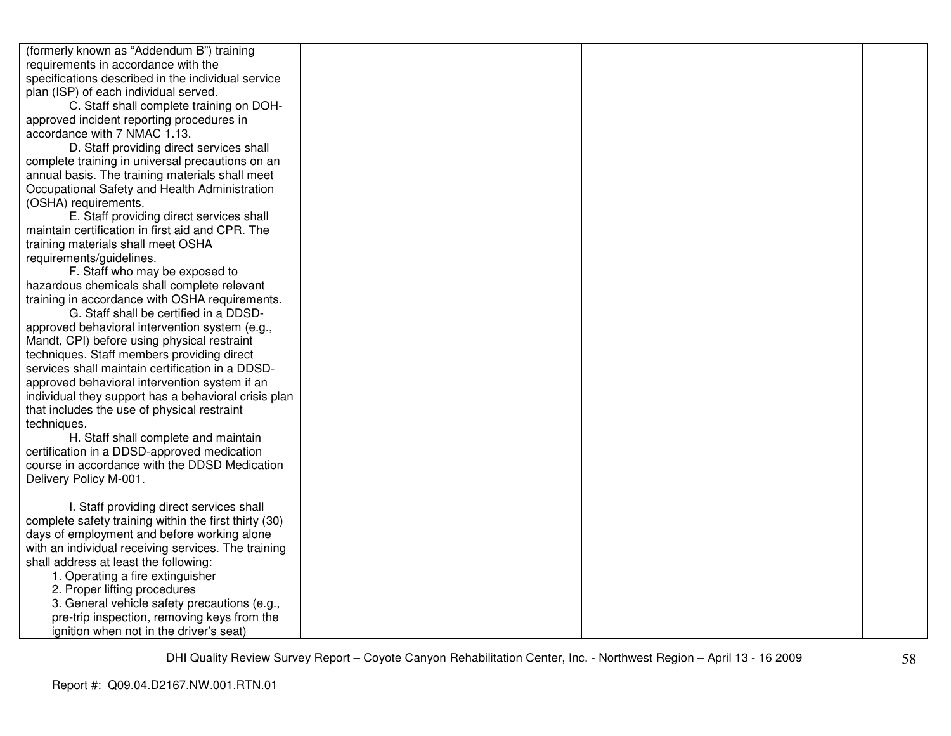| (formerly known as "Addendum B") training<br>requirements in accordance with the |  |  |
|----------------------------------------------------------------------------------|--|--|
| specifications described in the individual service                               |  |  |
|                                                                                  |  |  |
| plan (ISP) of each individual served.                                            |  |  |
| C. Staff shall complete training on DOH-                                         |  |  |
| approved incident reporting procedures in                                        |  |  |
| accordance with 7 NMAC 1.13.                                                     |  |  |
| D. Staff providing direct services shall                                         |  |  |
| complete training in universal precautions on an                                 |  |  |
| annual basis. The training materials shall meet                                  |  |  |
| Occupational Safety and Health Administration                                    |  |  |
| (OSHA) requirements.                                                             |  |  |
| E. Staff providing direct services shall                                         |  |  |
| maintain certification in first aid and CPR. The                                 |  |  |
| training materials shall meet OSHA                                               |  |  |
| requirements/guidelines.                                                         |  |  |
| F. Staff who may be exposed to                                                   |  |  |
| hazardous chemicals shall complete relevant                                      |  |  |
| training in accordance with OSHA requirements.                                   |  |  |
| G. Staff shall be certified in a DDSD-                                           |  |  |
| approved behavioral intervention system (e.g.,                                   |  |  |
| Mandt, CPI) before using physical restraint                                      |  |  |
| techniques. Staff members providing direct                                       |  |  |
| services shall maintain certification in a DDSD-                                 |  |  |
| approved behavioral intervention system if an                                    |  |  |
| individual they support has a behavioral crisis plan                             |  |  |
| that includes the use of physical restraint                                      |  |  |
| techniques.                                                                      |  |  |
| H. Staff shall complete and maintain                                             |  |  |
| certification in a DDSD-approved medication                                      |  |  |
| course in accordance with the DDSD Medication                                    |  |  |
| Delivery Policy M-001.                                                           |  |  |
|                                                                                  |  |  |
| I. Staff providing direct services shall                                         |  |  |
| complete safety training within the first thirty (30)                            |  |  |
| days of employment and before working alone                                      |  |  |
| with an individual receiving services. The training                              |  |  |
| shall address at least the following:                                            |  |  |
| 1. Operating a fire extinguisher                                                 |  |  |
| 2. Proper lifting procedures                                                     |  |  |
| 3. General vehicle safety precautions (e.g.,                                     |  |  |
| pre-trip inspection, removing keys from the                                      |  |  |
| ignition when not in the driver's seat)                                          |  |  |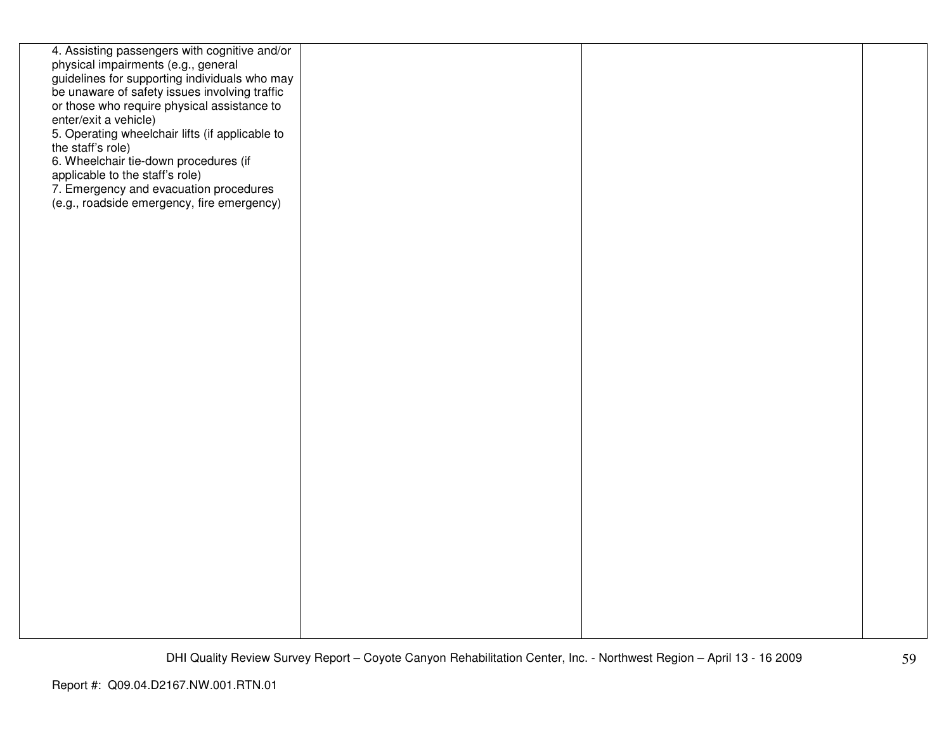| 4. Assisting passengers with cognitive and/or   |  |  |
|-------------------------------------------------|--|--|
|                                                 |  |  |
| physical impairments (e.g., general             |  |  |
| guidelines for supporting individuals who may   |  |  |
| be unaware of safety issues involving traffic   |  |  |
| or those who require physical assistance to     |  |  |
| enter/exit a vehicle)                           |  |  |
| 5. Operating wheelchair lifts (if applicable to |  |  |
| the staff's role)                               |  |  |
|                                                 |  |  |
| 6. Wheelchair tie-down procedures (if           |  |  |
| applicable to the staff's role)                 |  |  |
| 7. Emergency and evacuation procedures          |  |  |
| (e.g., roadside emergency, fire emergency)      |  |  |
|                                                 |  |  |
|                                                 |  |  |
|                                                 |  |  |
|                                                 |  |  |
|                                                 |  |  |
|                                                 |  |  |
|                                                 |  |  |
|                                                 |  |  |
|                                                 |  |  |
|                                                 |  |  |
|                                                 |  |  |
|                                                 |  |  |
|                                                 |  |  |
|                                                 |  |  |
|                                                 |  |  |
|                                                 |  |  |
|                                                 |  |  |
|                                                 |  |  |
|                                                 |  |  |
|                                                 |  |  |
|                                                 |  |  |
|                                                 |  |  |
|                                                 |  |  |
|                                                 |  |  |
|                                                 |  |  |
|                                                 |  |  |
|                                                 |  |  |
|                                                 |  |  |
|                                                 |  |  |
|                                                 |  |  |
|                                                 |  |  |
|                                                 |  |  |
|                                                 |  |  |
|                                                 |  |  |
|                                                 |  |  |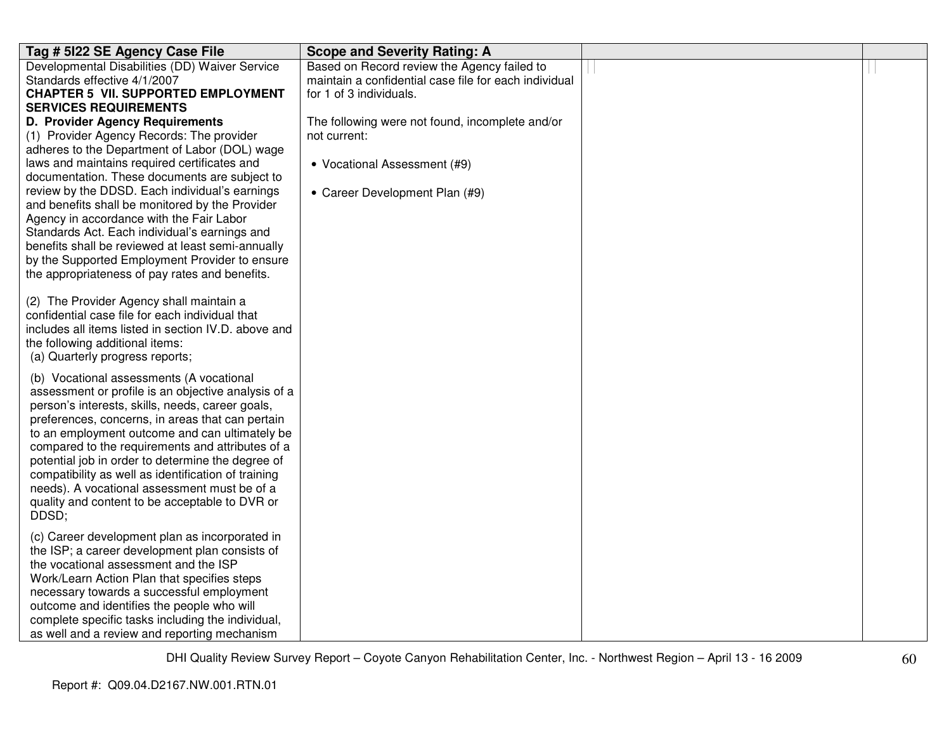| Tag # 5122 SE Agency Case File                                                                                                                                                                                                                                                                                                                                                                                                                                                                                                                                                                                                                                                                                                                                   | <b>Scope and Severity Rating: A</b>                                                                                                                                                                                                                                  |  |
|------------------------------------------------------------------------------------------------------------------------------------------------------------------------------------------------------------------------------------------------------------------------------------------------------------------------------------------------------------------------------------------------------------------------------------------------------------------------------------------------------------------------------------------------------------------------------------------------------------------------------------------------------------------------------------------------------------------------------------------------------------------|----------------------------------------------------------------------------------------------------------------------------------------------------------------------------------------------------------------------------------------------------------------------|--|
| Developmental Disabilities (DD) Waiver Service<br>Standards effective 4/1/2007<br><b>CHAPTER 5 VII. SUPPORTED EMPLOYMENT</b><br><b>SERVICES REQUIREMENTS</b><br><b>D. Provider Agency Requirements</b><br>(1) Provider Agency Records: The provider<br>adheres to the Department of Labor (DOL) wage<br>laws and maintains required certificates and<br>documentation. These documents are subject to<br>review by the DDSD. Each individual's earnings<br>and benefits shall be monitored by the Provider<br>Agency in accordance with the Fair Labor<br>Standards Act. Each individual's earnings and<br>benefits shall be reviewed at least semi-annually<br>by the Supported Employment Provider to ensure<br>the appropriateness of pay rates and benefits. | Based on Record review the Agency failed to<br>maintain a confidential case file for each individual<br>for 1 of 3 individuals.<br>The following were not found, incomplete and/or<br>not current:<br>• Vocational Assessment (#9)<br>• Career Development Plan (#9) |  |
| (2) The Provider Agency shall maintain a<br>confidential case file for each individual that<br>includes all items listed in section IV.D. above and<br>the following additional items:<br>(a) Quarterly progress reports;<br>(b) Vocational assessments (A vocational<br>assessment or profile is an objective analysis of a<br>person's interests, skills, needs, career goals,                                                                                                                                                                                                                                                                                                                                                                                 |                                                                                                                                                                                                                                                                      |  |
| preferences, concerns, in areas that can pertain<br>to an employment outcome and can ultimately be<br>compared to the requirements and attributes of a<br>potential job in order to determine the degree of<br>compatibility as well as identification of training<br>needs). A vocational assessment must be of a<br>quality and content to be acceptable to DVR or<br>DDSD;                                                                                                                                                                                                                                                                                                                                                                                    |                                                                                                                                                                                                                                                                      |  |
| (c) Career development plan as incorporated in<br>the ISP; a career development plan consists of<br>the vocational assessment and the ISP<br>Work/Learn Action Plan that specifies steps<br>necessary towards a successful employment<br>outcome and identifies the people who will<br>complete specific tasks including the individual,<br>as well and a review and reporting mechanism                                                                                                                                                                                                                                                                                                                                                                         |                                                                                                                                                                                                                                                                      |  |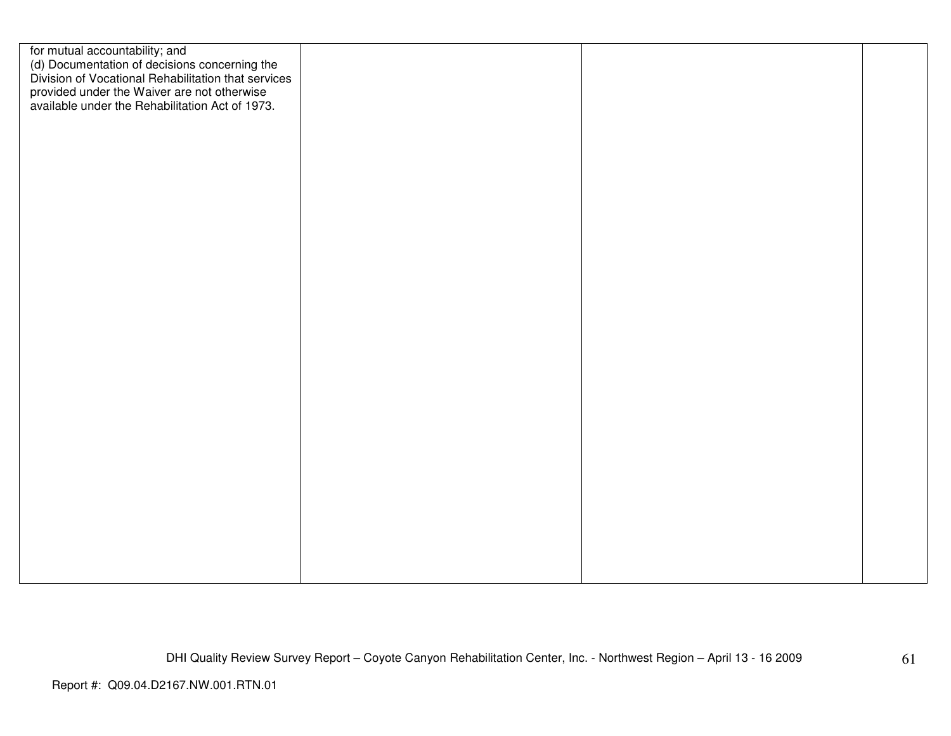| for mutual accountability; and<br>(d) Documentation of decisions concerning the<br>Division of Vocational Rehabilitation that services |  |  |
|----------------------------------------------------------------------------------------------------------------------------------------|--|--|
|                                                                                                                                        |  |  |
| provided under the Waiver are not otherwise                                                                                            |  |  |
| available under the Rehabilitation Act of 1973.                                                                                        |  |  |
|                                                                                                                                        |  |  |
|                                                                                                                                        |  |  |
|                                                                                                                                        |  |  |
|                                                                                                                                        |  |  |
|                                                                                                                                        |  |  |
|                                                                                                                                        |  |  |
|                                                                                                                                        |  |  |
|                                                                                                                                        |  |  |
|                                                                                                                                        |  |  |
|                                                                                                                                        |  |  |
|                                                                                                                                        |  |  |
|                                                                                                                                        |  |  |
|                                                                                                                                        |  |  |
|                                                                                                                                        |  |  |
|                                                                                                                                        |  |  |
|                                                                                                                                        |  |  |
|                                                                                                                                        |  |  |
|                                                                                                                                        |  |  |
|                                                                                                                                        |  |  |
|                                                                                                                                        |  |  |
|                                                                                                                                        |  |  |
|                                                                                                                                        |  |  |
|                                                                                                                                        |  |  |
|                                                                                                                                        |  |  |
|                                                                                                                                        |  |  |
|                                                                                                                                        |  |  |
|                                                                                                                                        |  |  |
|                                                                                                                                        |  |  |
|                                                                                                                                        |  |  |
|                                                                                                                                        |  |  |
|                                                                                                                                        |  |  |
|                                                                                                                                        |  |  |
|                                                                                                                                        |  |  |
|                                                                                                                                        |  |  |
|                                                                                                                                        |  |  |
|                                                                                                                                        |  |  |
|                                                                                                                                        |  |  |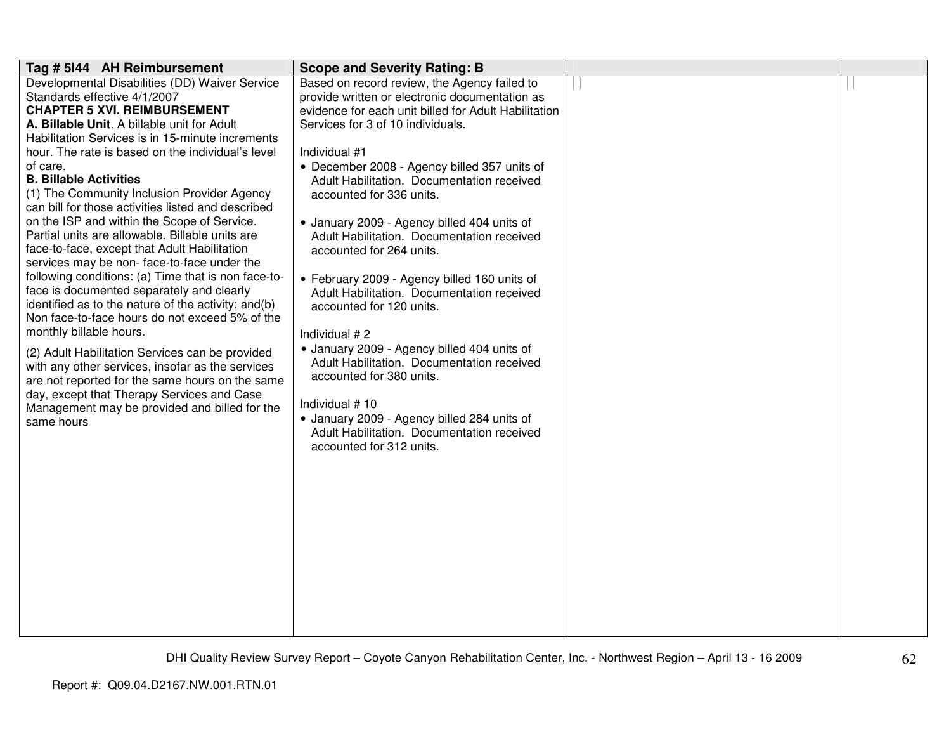| Tag # 5144 AH Reimbursement                         | <b>Scope and Severity Rating: B</b>                  |  |
|-----------------------------------------------------|------------------------------------------------------|--|
| Developmental Disabilities (DD) Waiver Service      | Based on record review, the Agency failed to         |  |
| Standards effective 4/1/2007                        | provide written or electronic documentation as       |  |
| <b>CHAPTER 5 XVI. REIMBURSEMENT</b>                 | evidence for each unit billed for Adult Habilitation |  |
| A. Billable Unit. A billable unit for Adult         | Services for 3 of 10 individuals.                    |  |
| Habilitation Services is in 15-minute increments    |                                                      |  |
| hour. The rate is based on the individual's level   | Individual #1                                        |  |
| of care.                                            | • December 2008 - Agency billed 357 units of         |  |
| <b>B. Billable Activities</b>                       | Adult Habilitation. Documentation received           |  |
| (1) The Community Inclusion Provider Agency         | accounted for 336 units.                             |  |
| can bill for those activities listed and described  |                                                      |  |
| on the ISP and within the Scope of Service.         | • January 2009 - Agency billed 404 units of          |  |
| Partial units are allowable. Billable units are     | Adult Habilitation. Documentation received           |  |
| face-to-face, except that Adult Habilitation        | accounted for 264 units.                             |  |
| services may be non-face-to-face under the          |                                                      |  |
| following conditions: (a) Time that is non face-to- | • February 2009 - Agency billed 160 units of         |  |
| face is documented separately and clearly           | Adult Habilitation. Documentation received           |  |
| identified as to the nature of the activity; and(b) | accounted for 120 units.                             |  |
| Non face-to-face hours do not exceed 5% of the      |                                                      |  |
| monthly billable hours.                             | Individual #2                                        |  |
|                                                     | • January 2009 - Agency billed 404 units of          |  |
| (2) Adult Habilitation Services can be provided     | Adult Habilitation. Documentation received           |  |
| with any other services, insofar as the services    | accounted for 380 units.                             |  |
| are not reported for the same hours on the same     |                                                      |  |
| day, except that Therapy Services and Case          | Individual #10                                       |  |
| Management may be provided and billed for the       | · January 2009 - Agency billed 284 units of          |  |
| same hours                                          | Adult Habilitation. Documentation received           |  |
|                                                     | accounted for 312 units.                             |  |
|                                                     |                                                      |  |
|                                                     |                                                      |  |
|                                                     |                                                      |  |
|                                                     |                                                      |  |
|                                                     |                                                      |  |
|                                                     |                                                      |  |
|                                                     |                                                      |  |
|                                                     |                                                      |  |
|                                                     |                                                      |  |
|                                                     |                                                      |  |
|                                                     |                                                      |  |
|                                                     |                                                      |  |
|                                                     |                                                      |  |
|                                                     |                                                      |  |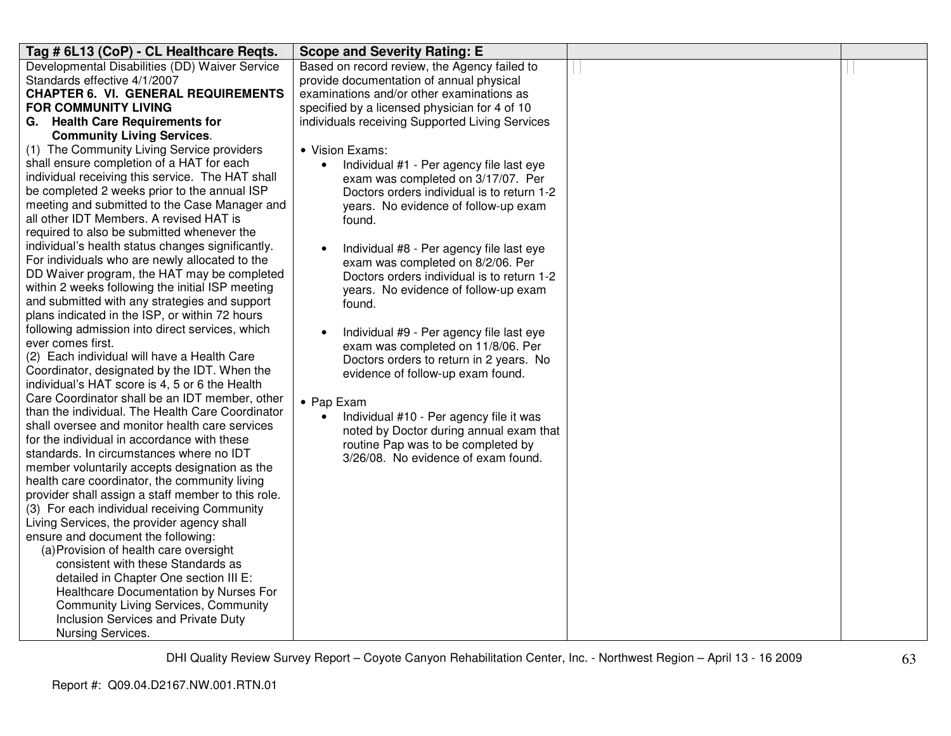| Tag # 6L13 (CoP) - CL Healthcare Reqts.                                                       | <b>Scope and Severity Rating: E</b>                   |  |
|-----------------------------------------------------------------------------------------------|-------------------------------------------------------|--|
| Developmental Disabilities (DD) Waiver Service                                                | Based on record review, the Agency failed to          |  |
| Standards effective 4/1/2007                                                                  | provide documentation of annual physical              |  |
| <b>CHAPTER 6. VI. GENERAL REQUIREMENTS</b>                                                    | examinations and/or other examinations as             |  |
| <b>FOR COMMUNITY LIVING</b>                                                                   | specified by a licensed physician for 4 of 10         |  |
| G. Health Care Requirements for                                                               | individuals receiving Supported Living Services       |  |
| <b>Community Living Services.</b>                                                             |                                                       |  |
| (1) The Community Living Service providers                                                    | • Vision Exams:                                       |  |
| shall ensure completion of a HAT for each                                                     | Individual #1 - Per agency file last eye<br>$\bullet$ |  |
| individual receiving this service. The HAT shall                                              | exam was completed on 3/17/07. Per                    |  |
| be completed 2 weeks prior to the annual ISP                                                  | Doctors orders individual is to return 1-2            |  |
| meeting and submitted to the Case Manager and                                                 | years. No evidence of follow-up exam                  |  |
| all other IDT Members. A revised HAT is                                                       | found.                                                |  |
| required to also be submitted whenever the                                                    |                                                       |  |
| individual's health status changes significantly.                                             | Individual #8 - Per agency file last eye              |  |
| For individuals who are newly allocated to the                                                | exam was completed on 8/2/06. Per                     |  |
| DD Waiver program, the HAT may be completed                                                   | Doctors orders individual is to return 1-2            |  |
| within 2 weeks following the initial ISP meeting                                              | years. No evidence of follow-up exam                  |  |
| and submitted with any strategies and support                                                 | found.                                                |  |
| plans indicated in the ISP, or within 72 hours                                                |                                                       |  |
| following admission into direct services, which                                               | Individual #9 - Per agency file last eye              |  |
| ever comes first.                                                                             | exam was completed on 11/8/06. Per                    |  |
| (2) Each individual will have a Health Care                                                   | Doctors orders to return in 2 years. No               |  |
| Coordinator, designated by the IDT. When the                                                  | evidence of follow-up exam found.                     |  |
| individual's HAT score is 4, 5 or 6 the Health                                                |                                                       |  |
| Care Coordinator shall be an IDT member, other                                                | • Pap Exam                                            |  |
| than the individual. The Health Care Coordinator                                              | Individual #10 - Per agency file it was               |  |
| shall oversee and monitor health care services<br>for the individual in accordance with these | noted by Doctor during annual exam that               |  |
| standards. In circumstances where no IDT                                                      | routine Pap was to be completed by                    |  |
| member voluntarily accepts designation as the                                                 | 3/26/08. No evidence of exam found.                   |  |
| health care coordinator, the community living                                                 |                                                       |  |
| provider shall assign a staff member to this role.                                            |                                                       |  |
| (3) For each individual receiving Community                                                   |                                                       |  |
| Living Services, the provider agency shall                                                    |                                                       |  |
| ensure and document the following:                                                            |                                                       |  |
| (a) Provision of health care oversight                                                        |                                                       |  |
| consistent with these Standards as                                                            |                                                       |  |
| detailed in Chapter One section III E:                                                        |                                                       |  |
| Healthcare Documentation by Nurses For                                                        |                                                       |  |
| <b>Community Living Services, Community</b>                                                   |                                                       |  |
| Inclusion Services and Private Duty                                                           |                                                       |  |
| Nursing Services.                                                                             |                                                       |  |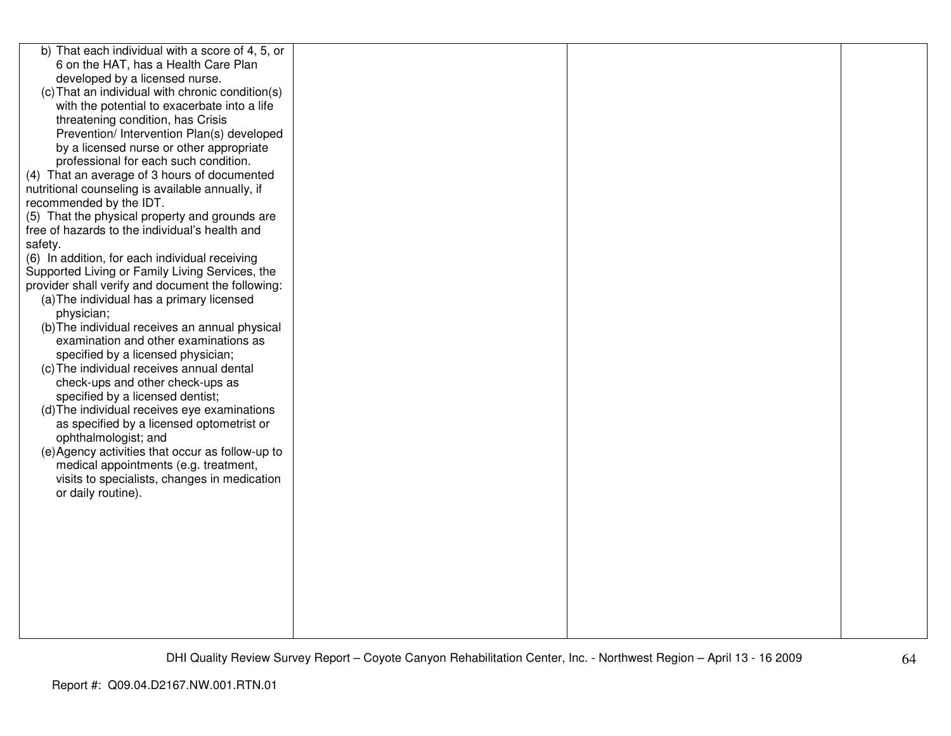| b) That each individual with a score of 4, 5, or  |  |  |
|---------------------------------------------------|--|--|
| 6 on the HAT, has a Health Care Plan              |  |  |
| developed by a licensed nurse.                    |  |  |
| (c) That an individual with chronic condition(s)  |  |  |
| with the potential to exacerbate into a life      |  |  |
| threatening condition, has Crisis                 |  |  |
| Prevention/ Intervention Plan(s) developed        |  |  |
| by a licensed nurse or other appropriate          |  |  |
| professional for each such condition.             |  |  |
| (4) That an average of 3 hours of documented      |  |  |
| nutritional counseling is available annually, if  |  |  |
| recommended by the IDT.                           |  |  |
| (5) That the physical property and grounds are    |  |  |
| free of hazards to the individual's health and    |  |  |
| safety.                                           |  |  |
| (6) In addition, for each individual receiving    |  |  |
| Supported Living or Family Living Services, the   |  |  |
| provider shall verify and document the following: |  |  |
| (a) The individual has a primary licensed         |  |  |
| physician;                                        |  |  |
| (b) The individual receives an annual physical    |  |  |
| examination and other examinations as             |  |  |
| specified by a licensed physician;                |  |  |
| (c) The individual receives annual dental         |  |  |
| check-ups and other check-ups as                  |  |  |
| specified by a licensed dentist;                  |  |  |
| (d) The individual receives eye examinations      |  |  |
| as specified by a licensed optometrist or         |  |  |
| ophthalmologist; and                              |  |  |
| (e) Agency activities that occur as follow-up to  |  |  |
| medical appointments (e.g. treatment,             |  |  |
| visits to specialists, changes in medication      |  |  |
| or daily routine).                                |  |  |
|                                                   |  |  |
|                                                   |  |  |
|                                                   |  |  |
|                                                   |  |  |
|                                                   |  |  |
|                                                   |  |  |
|                                                   |  |  |
|                                                   |  |  |
|                                                   |  |  |
|                                                   |  |  |
|                                                   |  |  |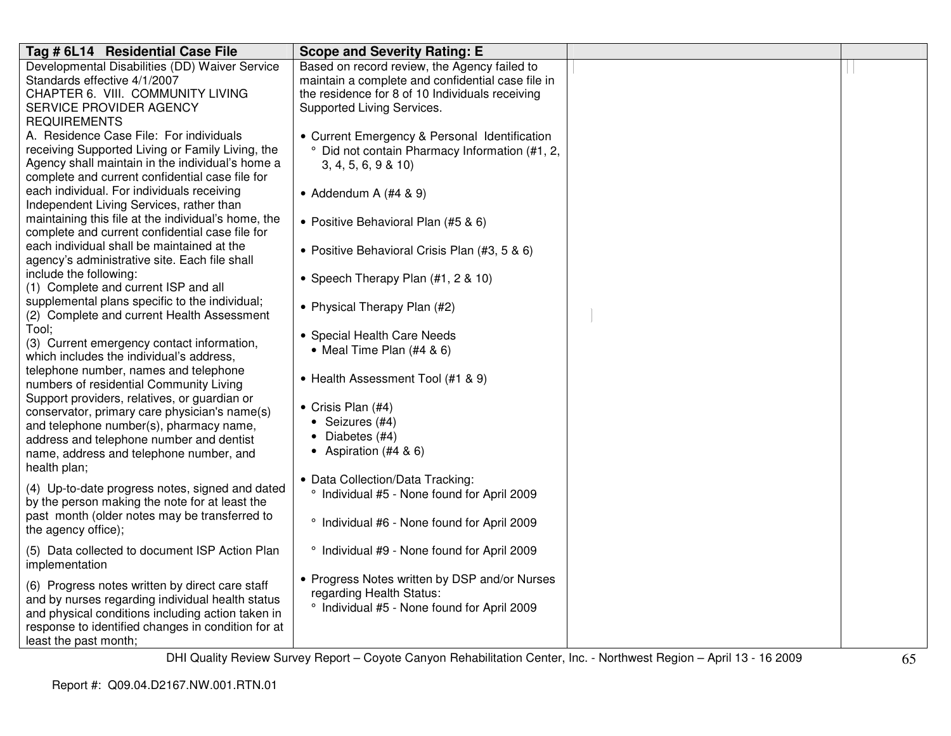| Tag # 6L14 Residential Case File                    | <b>Scope and Severity Rating: E</b>               |  |
|-----------------------------------------------------|---------------------------------------------------|--|
| Developmental Disabilities (DD) Waiver Service      | Based on record review, the Agency failed to      |  |
| Standards effective 4/1/2007                        | maintain a complete and confidential case file in |  |
| CHAPTER 6. VIII. COMMUNITY LIVING                   | the residence for 8 of 10 Individuals receiving   |  |
| SERVICE PROVIDER AGENCY                             | Supported Living Services.                        |  |
| <b>REQUIREMENTS</b>                                 |                                                   |  |
| A. Residence Case File: For individuals             | • Current Emergency & Personal Identification     |  |
| receiving Supported Living or Family Living, the    | ° Did not contain Pharmacy Information (#1, 2,    |  |
| Agency shall maintain in the individual's home a    | 3, 4, 5, 6, 9 & 10                                |  |
| complete and current confidential case file for     |                                                   |  |
| each individual. For individuals receiving          | • Addendum A $(#4 \& 9)$                          |  |
| Independent Living Services, rather than            |                                                   |  |
| maintaining this file at the individual's home, the | • Positive Behavioral Plan (#5 & 6)               |  |
| complete and current confidential case file for     |                                                   |  |
| each individual shall be maintained at the          | • Positive Behavioral Crisis Plan (#3, 5 & 6)     |  |
| agency's administrative site. Each file shall       |                                                   |  |
| include the following:                              | • Speech Therapy Plan (#1, 2 & 10)                |  |
| (1) Complete and current ISP and all                |                                                   |  |
| supplemental plans specific to the individual;      | • Physical Therapy Plan (#2)                      |  |
| (2) Complete and current Health Assessment          |                                                   |  |
| Tool;                                               | • Special Health Care Needs                       |  |
| (3) Current emergency contact information,          | • Meal Time Plan $(#4 & 6)$                       |  |
| which includes the individual's address,            |                                                   |  |
| telephone number, names and telephone               |                                                   |  |
| numbers of residential Community Living             | • Health Assessment Tool (#1 & 9)                 |  |
| Support providers, relatives, or guardian or        |                                                   |  |
| conservator, primary care physician's name(s)       | • Crisis Plan $(#4)$                              |  |
| and telephone number(s), pharmacy name,             | • Seizures (#4)                                   |  |
| address and telephone number and dentist            | $\bullet$ Diabetes (#4)                           |  |
| name, address and telephone number, and             | • Aspiration $(#4 \& 6)$                          |  |
| health plan;                                        |                                                   |  |
| (4) Up-to-date progress notes, signed and dated     | • Data Collection/Data Tracking:                  |  |
| by the person making the note for at least the      | ° Individual #5 - None found for April 2009       |  |
| past month (older notes may be transferred to       |                                                   |  |
| the agency office);                                 | ° Individual #6 - None found for April 2009       |  |
|                                                     |                                                   |  |
| (5) Data collected to document ISP Action Plan      | ° Individual #9 - None found for April 2009       |  |
| implementation                                      |                                                   |  |
| (6) Progress notes written by direct care staff     | • Progress Notes written by DSP and/or Nurses     |  |
| and by nurses regarding individual health status    | regarding Health Status:                          |  |
| and physical conditions including action taken in   | ° Individual #5 - None found for April 2009       |  |
| response to identified changes in condition for at  |                                                   |  |
| least the past month;                               |                                                   |  |
|                                                     |                                                   |  |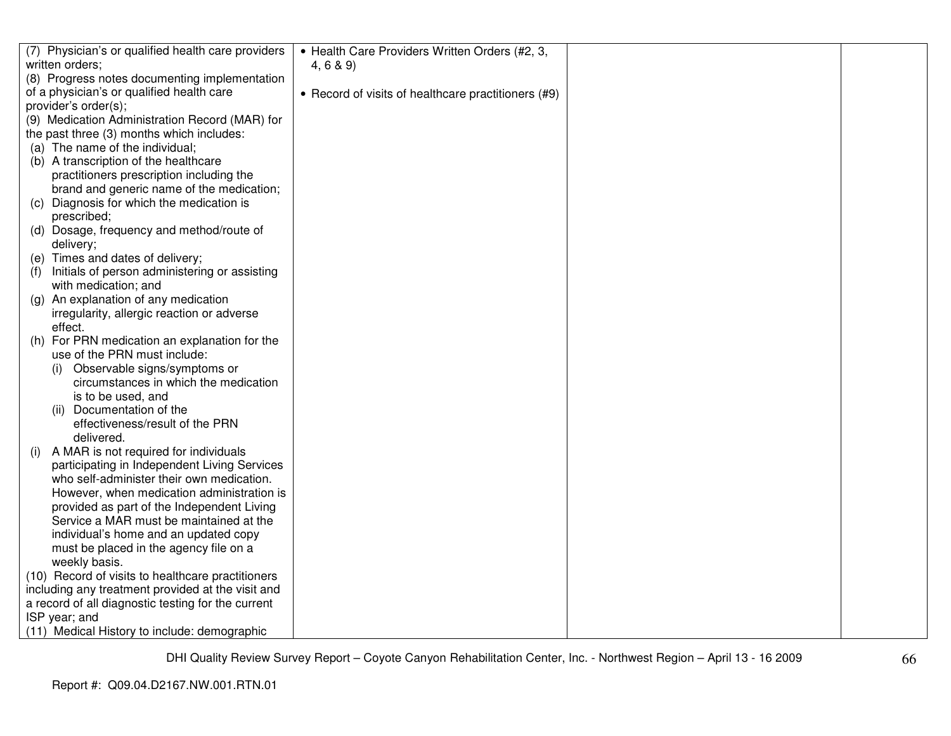| (7) Physician's or qualified health care providers   | • Health Care Providers Written Orders (#2, 3,      |  |
|------------------------------------------------------|-----------------------------------------------------|--|
| written orders;                                      | (4, 6, 8, 9)                                        |  |
| (8) Progress notes documenting implementation        |                                                     |  |
| of a physician's or qualified health care            | • Record of visits of healthcare practitioners (#9) |  |
| provider's order(s);                                 |                                                     |  |
| (9) Medication Administration Record (MAR) for       |                                                     |  |
| the past three (3) months which includes:            |                                                     |  |
| (a) The name of the individual;                      |                                                     |  |
| (b) A transcription of the healthcare                |                                                     |  |
| practitioners prescription including the             |                                                     |  |
| brand and generic name of the medication;            |                                                     |  |
| (c) Diagnosis for which the medication is            |                                                     |  |
| prescribed;                                          |                                                     |  |
| (d) Dosage, frequency and method/route of            |                                                     |  |
| delivery;                                            |                                                     |  |
| (e) Times and dates of delivery;                     |                                                     |  |
| Initials of person administering or assisting<br>(1) |                                                     |  |
| with medication; and                                 |                                                     |  |
| (g) An explanation of any medication                 |                                                     |  |
| irregularity, allergic reaction or adverse           |                                                     |  |
| effect.                                              |                                                     |  |
| (h) For PRN medication an explanation for the        |                                                     |  |
| use of the PRN must include:                         |                                                     |  |
| Observable signs/symptoms or<br>(i)                  |                                                     |  |
| circumstances in which the medication                |                                                     |  |
| is to be used, and                                   |                                                     |  |
| Documentation of the<br>(ii)                         |                                                     |  |
| effectiveness/result of the PRN                      |                                                     |  |
| delivered.                                           |                                                     |  |
| A MAR is not required for individuals<br>(i)         |                                                     |  |
| participating in Independent Living Services         |                                                     |  |
| who self-administer their own medication.            |                                                     |  |
| However, when medication administration is           |                                                     |  |
| provided as part of the Independent Living           |                                                     |  |
| Service a MAR must be maintained at the              |                                                     |  |
| individual's home and an updated copy                |                                                     |  |
| must be placed in the agency file on a               |                                                     |  |
| weekly basis.                                        |                                                     |  |
| (10) Record of visits to healthcare practitioners    |                                                     |  |
| including any treatment provided at the visit and    |                                                     |  |
| a record of all diagnostic testing for the current   |                                                     |  |
| ISP year; and                                        |                                                     |  |
| (11) Medical History to include: demographic         |                                                     |  |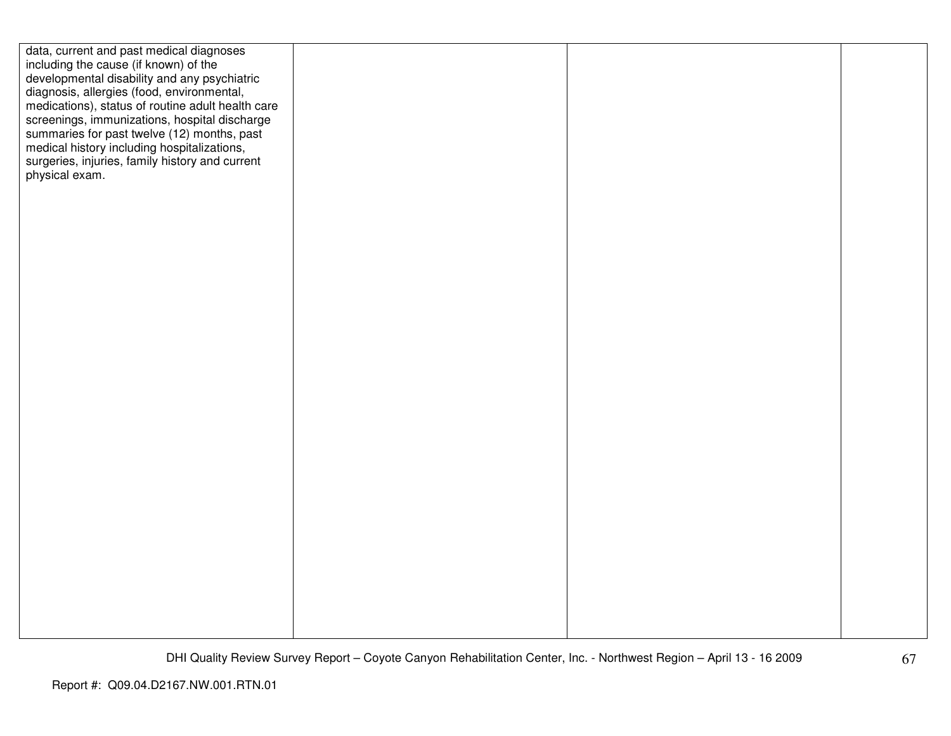| data, current and past medical diagnoses          |  |  |
|---------------------------------------------------|--|--|
| including the cause (if known) of the             |  |  |
| developmental disability and any psychiatric      |  |  |
| diagnosis, allergies (food, environmental,        |  |  |
| medications), status of routine adult health care |  |  |
| screenings, immunizations, hospital discharge     |  |  |
| summaries for past twelve (12) months, past       |  |  |
| medical history including hospitalizations,       |  |  |
| surgeries, injuries, family history and current   |  |  |
| physical exam.                                    |  |  |
|                                                   |  |  |
|                                                   |  |  |
|                                                   |  |  |
|                                                   |  |  |
|                                                   |  |  |
|                                                   |  |  |
|                                                   |  |  |
|                                                   |  |  |
|                                                   |  |  |
|                                                   |  |  |
|                                                   |  |  |
|                                                   |  |  |
|                                                   |  |  |
|                                                   |  |  |
|                                                   |  |  |
|                                                   |  |  |
|                                                   |  |  |
|                                                   |  |  |
|                                                   |  |  |
|                                                   |  |  |
|                                                   |  |  |
|                                                   |  |  |
|                                                   |  |  |
|                                                   |  |  |
|                                                   |  |  |
|                                                   |  |  |
|                                                   |  |  |
|                                                   |  |  |
|                                                   |  |  |
|                                                   |  |  |
|                                                   |  |  |
|                                                   |  |  |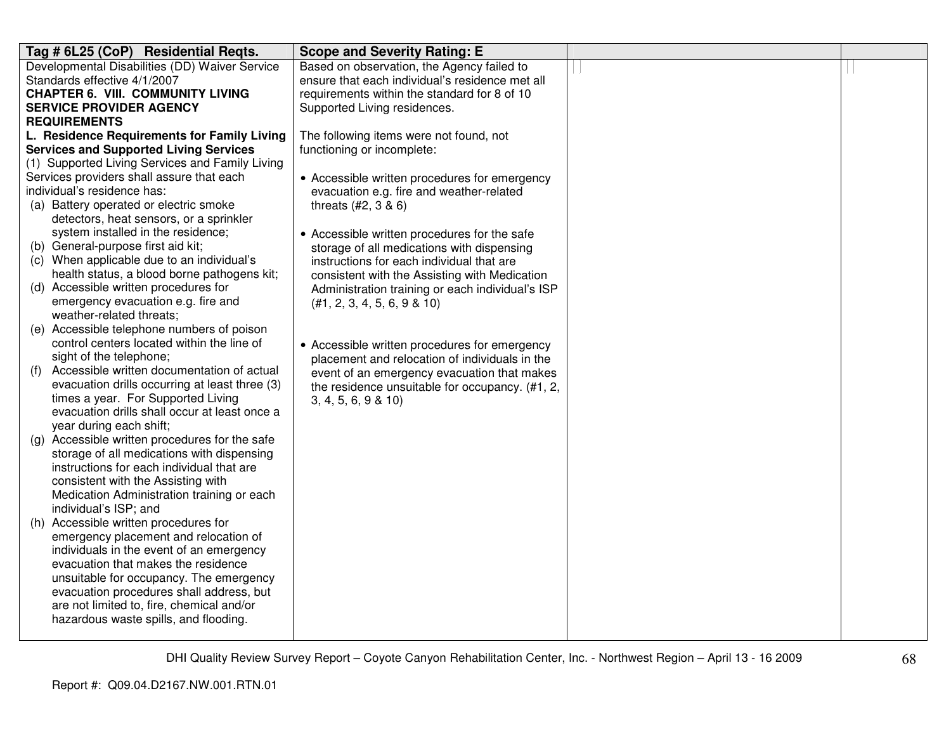| Tag # 6L25 (CoP) Residential Regts.               | <b>Scope and Severity Rating: E</b>              |  |
|---------------------------------------------------|--------------------------------------------------|--|
| Developmental Disabilities (DD) Waiver Service    | Based on observation, the Agency failed to       |  |
| Standards effective 4/1/2007                      | ensure that each individual's residence met all  |  |
| <b>CHAPTER 6. VIII. COMMUNITY LIVING</b>          | requirements within the standard for 8 of 10     |  |
| <b>SERVICE PROVIDER AGENCY</b>                    | Supported Living residences.                     |  |
| <b>REQUIREMENTS</b>                               |                                                  |  |
| L. Residence Requirements for Family Living       | The following items were not found, not          |  |
| <b>Services and Supported Living Services</b>     | functioning or incomplete:                       |  |
| (1) Supported Living Services and Family Living   |                                                  |  |
| Services providers shall assure that each         | • Accessible written procedures for emergency    |  |
| individual's residence has:                       | evacuation e.g. fire and weather-related         |  |
| (a) Battery operated or electric smoke            | threats (#2, 3 & 6)                              |  |
| detectors, heat sensors, or a sprinkler           |                                                  |  |
| system installed in the residence;                | • Accessible written procedures for the safe     |  |
| (b) General-purpose first aid kit;                | storage of all medications with dispensing       |  |
| (c) When applicable due to an individual's        | instructions for each individual that are        |  |
| health status, a blood borne pathogens kit;       | consistent with the Assisting with Medication    |  |
| (d) Accessible written procedures for             | Administration training or each individual's ISP |  |
| emergency evacuation e.g. fire and                | (H1, 2, 3, 4, 5, 6, 9 & 10)                      |  |
| weather-related threats;                          |                                                  |  |
| (e) Accessible telephone numbers of poison        |                                                  |  |
| control centers located within the line of        | • Accessible written procedures for emergency    |  |
| sight of the telephone;                           | placement and relocation of individuals in the   |  |
| Accessible written documentation of actual<br>(f) | event of an emergency evacuation that makes      |  |
| evacuation drills occurring at least three (3)    | the residence unsuitable for occupancy. (#1, 2,  |  |
| times a year. For Supported Living                | 3, 4, 5, 6, 9 & 10                               |  |
| evacuation drills shall occur at least once a     |                                                  |  |
| year during each shift;                           |                                                  |  |
| (g) Accessible written procedures for the safe    |                                                  |  |
| storage of all medications with dispensing        |                                                  |  |
| instructions for each individual that are         |                                                  |  |
| consistent with the Assisting with                |                                                  |  |
| Medication Administration training or each        |                                                  |  |
| individual's ISP; and                             |                                                  |  |
| (h) Accessible written procedures for             |                                                  |  |
| emergency placement and relocation of             |                                                  |  |
| individuals in the event of an emergency          |                                                  |  |
| evacuation that makes the residence               |                                                  |  |
| unsuitable for occupancy. The emergency           |                                                  |  |
| evacuation procedures shall address, but          |                                                  |  |
| are not limited to, fire, chemical and/or         |                                                  |  |
| hazardous waste spills, and flooding.             |                                                  |  |
|                                                   |                                                  |  |